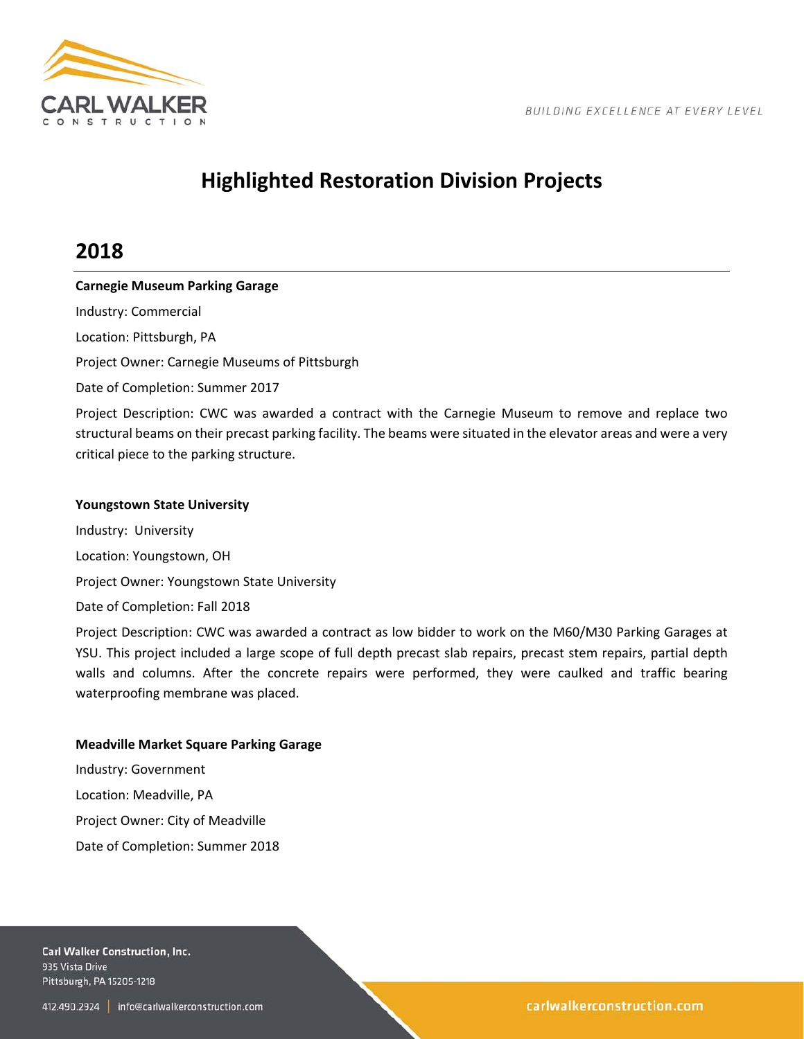

# **Highlighted Restoration Division Projects**

## **2018**

## **Carnegie Museum Parking Garage**

Industry: Commercial

Location: Pittsburgh, PA

Project Owner: Carnegie Museums of Pittsburgh

Date of Completion: Summer 2017

Project Description: CWC was awarded a contract with the Carnegie Museum to remove and replace two structural beams on their precast parking facility. The beams were situated in the elevator areas and were a very critical piece to the parking structure.

## **Youngstown State University**

Industry: University Location: Youngstown, OH Project Owner: Youngstown State University Date of Completion: Fall 2018

Project Description: CWC was awarded a contract as low bidder to work on the M60/M30 Parking Garages at YSU. This project included a large scope of full depth precast slab repairs, precast stem repairs, partial depth walls and columns. After the concrete repairs were performed, they were caulked and traffic bearing waterproofing membrane was placed.

## **Meadville Market Square Parking Garage**

Industry: Government Location: Meadville, PA Project Owner: City of Meadville Date of Completion: Summer 2018

Carl Walker Construction, Inc. 935 Vista Drive Pittsburgh, PA 15205-1218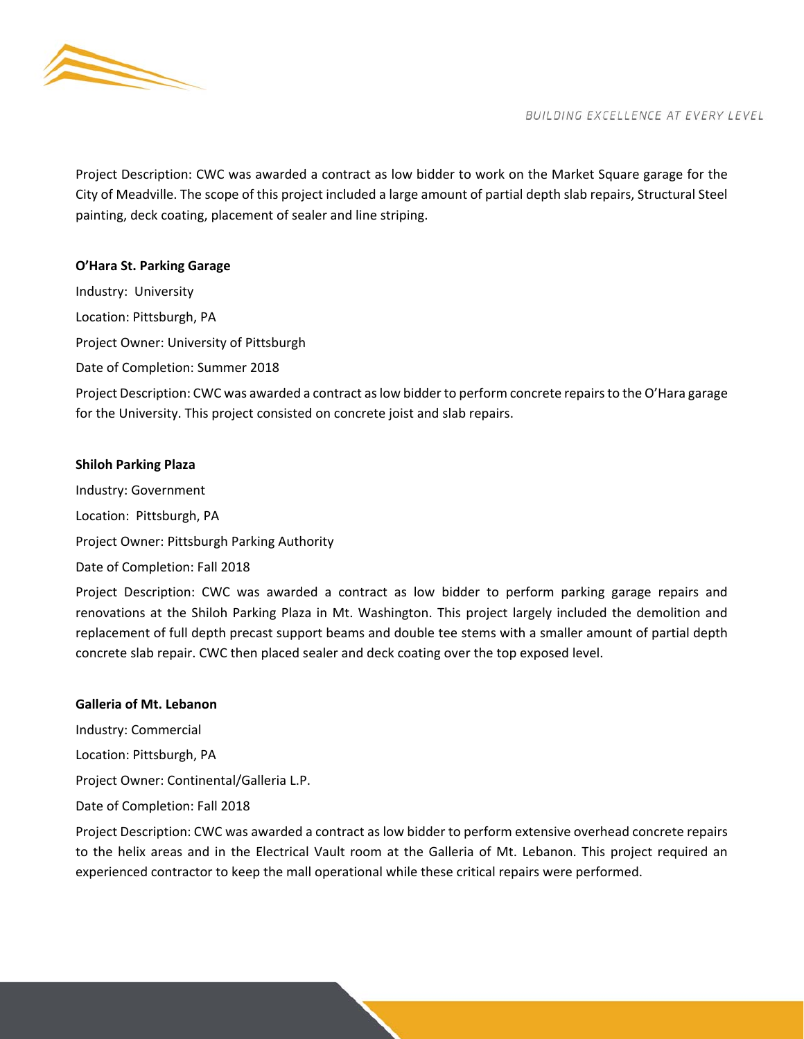

Project Description: CWC was awarded a contract as low bidder to work on the Market Square garage for the City of Meadville. The scope of this project included a large amount of partial depth slab repairs, Structural Steel painting, deck coating, placement of sealer and line striping.

## **O'Hara St. Parking Garage**

Industry: University Location: Pittsburgh, PA Project Owner: University of Pittsburgh Date of Completion: Summer 2018 Project Description: CWC was awarded a contract as low bidder to perform concrete repairs to the O'Hara garage for the University. This project consisted on concrete joist and slab repairs.

## **Shiloh Parking Plaza**

Industry: Government Location: Pittsburgh, PA Project Owner: Pittsburgh Parking Authority Date of Completion: Fall 2018

Project Description: CWC was awarded a contract as low bidder to perform parking garage repairs and renovations at the Shiloh Parking Plaza in Mt. Washington. This project largely included the demolition and replacement of full depth precast support beams and double tee stems with a smaller amount of partial depth concrete slab repair. CWC then placed sealer and deck coating over the top exposed level.

#### **Galleria of Mt. Lebanon**

Industry: Commercial Location: Pittsburgh, PA

Project Owner: Continental/Galleria L.P.

Date of Completion: Fall 2018

Project Description: CWC was awarded a contract as low bidder to perform extensive overhead concrete repairs to the helix areas and in the Electrical Vault room at the Galleria of Mt. Lebanon. This project required an experienced contractor to keep the mall operational while these critical repairs were performed.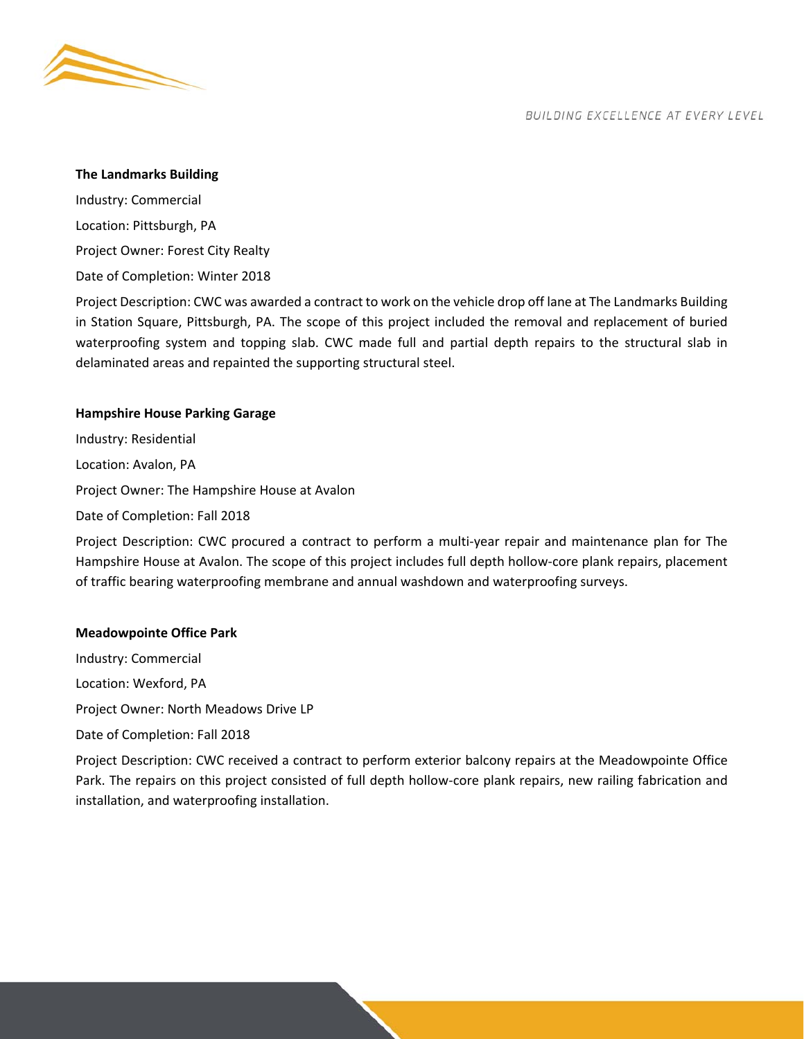

#### **The Landmarks Building**

Industry: Commercial Location: Pittsburgh, PA Project Owner: Forest City Realty Date of Completion: Winter 2018

Project Description: CWC was awarded a contract to work on the vehicle drop off lane at The Landmarks Building in Station Square, Pittsburgh, PA. The scope of this project included the removal and replacement of buried waterproofing system and topping slab. CWC made full and partial depth repairs to the structural slab in delaminated areas and repainted the supporting structural steel.

## **Hampshire House Parking Garage**

Industry: Residential Location: Avalon, PA Project Owner: The Hampshire House at Avalon Date of Completion: Fall 2018

Project Description: CWC procured a contract to perform a multi-year repair and maintenance plan for The Hampshire House at Avalon. The scope of this project includes full depth hollow‐core plank repairs, placement of traffic bearing waterproofing membrane and annual washdown and waterproofing surveys.

#### **Meadowpointe Office Park**

Industry: Commercial Location: Wexford, PA Project Owner: North Meadows Drive LP Date of Completion: Fall 2018 Project Description: CWC received a contract to perform exterior balcony repairs at the Meadowpointe Office Park. The repairs on this project consisted of full depth hollow‐core plank repairs, new railing fabrication and installation, and waterproofing installation.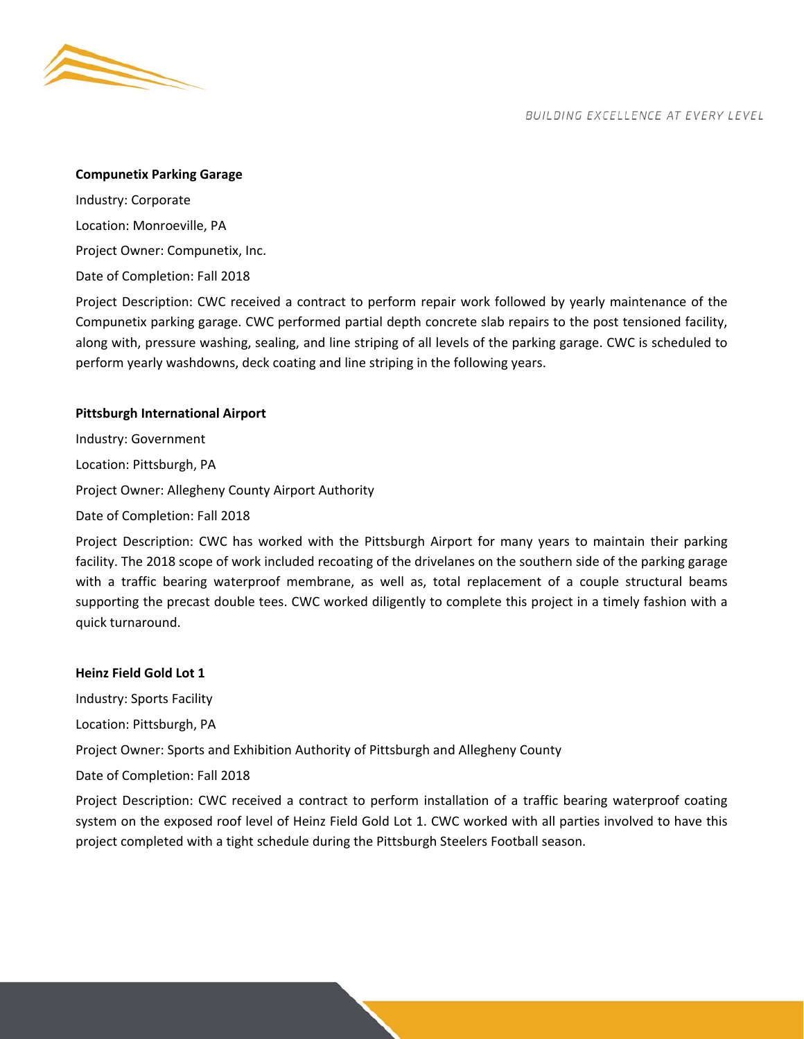

#### **Compunetix Parking Garage**

Industry: Corporate Location: Monroeville, PA Project Owner: Compunetix, Inc. Date of Completion: Fall 2018

Project Description: CWC received a contract to perform repair work followed by yearly maintenance of the Compunetix parking garage. CWC performed partial depth concrete slab repairs to the post tensioned facility, along with, pressure washing, sealing, and line striping of all levels of the parking garage. CWC is scheduled to perform yearly washdowns, deck coating and line striping in the following years.

## **Pittsburgh International Airport**

Industry: Government Location: Pittsburgh, PA Project Owner: Allegheny County Airport Authority Date of Completion: Fall 2018

Project Description: CWC has worked with the Pittsburgh Airport for many years to maintain their parking facility. The 2018 scope of work included recoating of the drivelanes on the southern side of the parking garage with a traffic bearing waterproof membrane, as well as, total replacement of a couple structural beams supporting the precast double tees. CWC worked diligently to complete this project in a timely fashion with a quick turnaround.

## **Heinz Field Gold Lot 1**

Industry: Sports Facility

Location: Pittsburgh, PA

Project Owner: Sports and Exhibition Authority of Pittsburgh and Allegheny County

Date of Completion: Fall 2018

Project Description: CWC received a contract to perform installation of a traffic bearing waterproof coating system on the exposed roof level of Heinz Field Gold Lot 1. CWC worked with all parties involved to have this project completed with a tight schedule during the Pittsburgh Steelers Football season.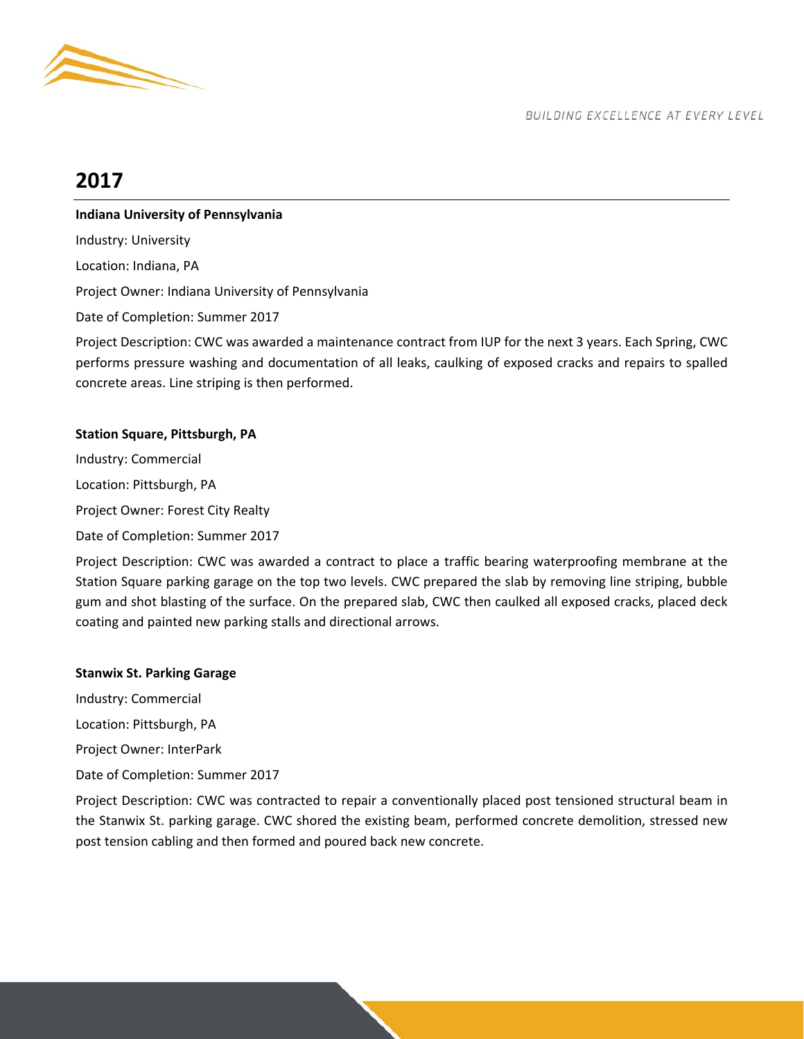

# **2017**

## **Indiana University of Pennsylvania**

Industry: University

Location: Indiana, PA

Project Owner: Indiana University of Pennsylvania

Date of Completion: Summer 2017

Project Description: CWC was awarded a maintenance contract from IUP for the next 3 years. Each Spring, CWC performs pressure washing and documentation of all leaks, caulking of exposed cracks and repairs to spalled concrete areas. Line striping is then performed.

## **Station Square, Pittsburgh, PA**

Industry: Commercial Location: Pittsburgh, PA Project Owner: Forest City Realty Date of Completion: Summer 2017

Project Description: CWC was awarded a contract to place a traffic bearing waterproofing membrane at the Station Square parking garage on the top two levels. CWC prepared the slab by removing line striping, bubble gum and shot blasting of the surface. On the prepared slab, CWC then caulked all exposed cracks, placed deck coating and painted new parking stalls and directional arrows.

## **Stanwix St. Parking Garage**

Industry: Commercial

Location: Pittsburgh, PA

Project Owner: InterPark

Date of Completion: Summer 2017

Project Description: CWC was contracted to repair a conventionally placed post tensioned structural beam in the Stanwix St. parking garage. CWC shored the existing beam, performed concrete demolition, stressed new post tension cabling and then formed and poured back new concrete.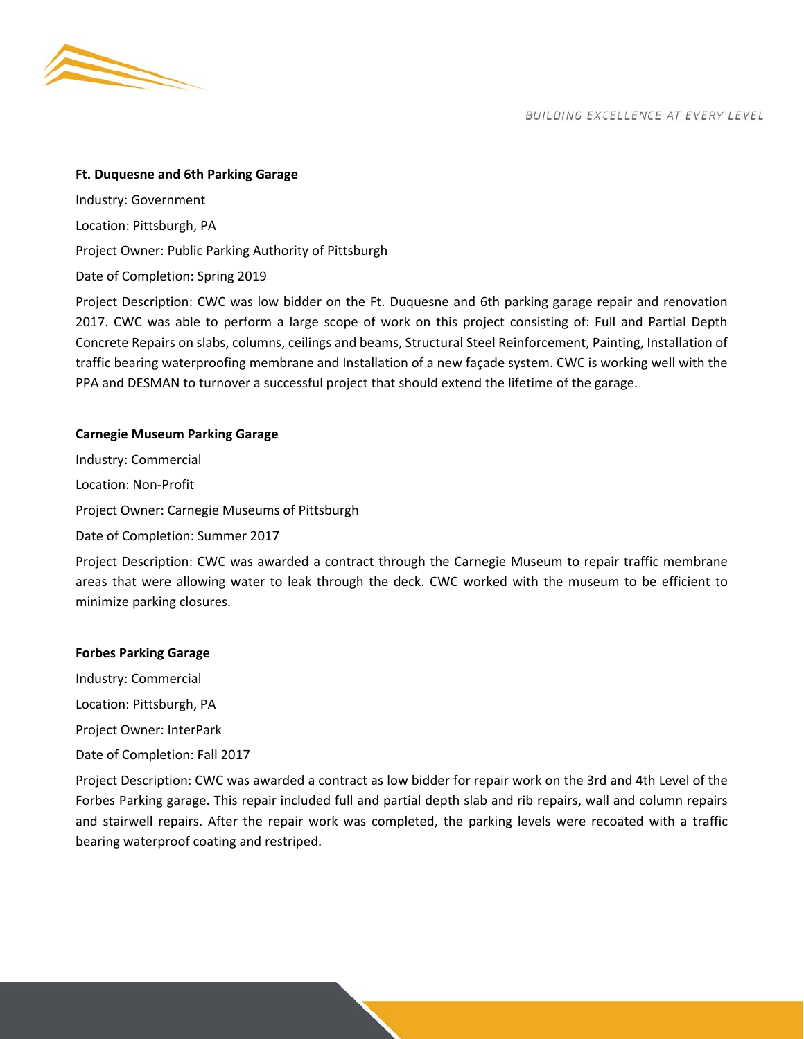

#### **Ft. Duquesne and 6th Parking Garage**

Industry: Government Location: Pittsburgh, PA Project Owner: Public Parking Authority of Pittsburgh

Date of Completion: Spring 2019

Project Description: CWC was low bidder on the Ft. Duquesne and 6th parking garage repair and renovation 2017. CWC was able to perform a large scope of work on this project consisting of: Full and Partial Depth Concrete Repairs on slabs, columns, ceilings and beams, Structural Steel Reinforcement, Painting, Installation of traffic bearing waterproofing membrane and Installation of a new façade system. CWC is working well with the PPA and DESMAN to turnover a successful project that should extend the lifetime of the garage.

#### **Carnegie Museum Parking Garage**

Industry: Commercial Location: Non‐Profit Project Owner: Carnegie Museums of Pittsburgh Date of Completion: Summer 2017

Project Description: CWC was awarded a contract through the Carnegie Museum to repair traffic membrane areas that were allowing water to leak through the deck. CWC worked with the museum to be efficient to minimize parking closures.

#### **Forbes Parking Garage**

Industry: Commercial

Location: Pittsburgh, PA

Project Owner: InterPark

Date of Completion: Fall 2017

Project Description: CWC was awarded a contract as low bidder for repair work on the 3rd and 4th Level of the Forbes Parking garage. This repair included full and partial depth slab and rib repairs, wall and column repairs and stairwell repairs. After the repair work was completed, the parking levels were recoated with a traffic bearing waterproof coating and restriped.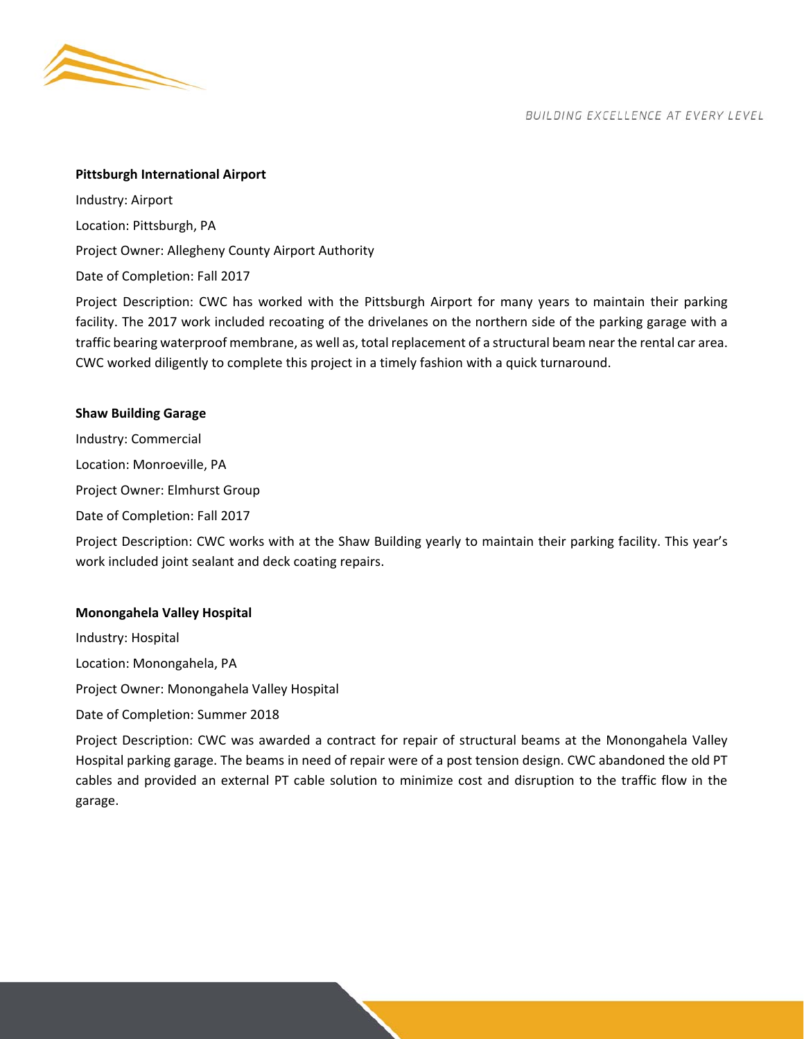

#### **Pittsburgh International Airport**

Industry: Airport Location: Pittsburgh, PA Project Owner: Allegheny County Airport Authority Date of Completion: Fall 2017

Project Description: CWC has worked with the Pittsburgh Airport for many years to maintain their parking facility. The 2017 work included recoating of the drivelanes on the northern side of the parking garage with a traffic bearing waterproof membrane, as well as, total replacement of a structural beam near the rental car area. CWC worked diligently to complete this project in a timely fashion with a quick turnaround.

#### **Shaw Building Garage**

Industry: Commercial Location: Monroeville, PA Project Owner: Elmhurst Group Date of Completion: Fall 2017

Project Description: CWC works with at the Shaw Building yearly to maintain their parking facility. This year's work included joint sealant and deck coating repairs.

## **Monongahela Valley Hospital**

Industry: Hospital Location: Monongahela, PA Project Owner: Monongahela Valley Hospital

Date of Completion: Summer 2018

Project Description: CWC was awarded a contract for repair of structural beams at the Monongahela Valley Hospital parking garage. The beams in need of repair were of a post tension design. CWC abandoned the old PT cables and provided an external PT cable solution to minimize cost and disruption to the traffic flow in the garage.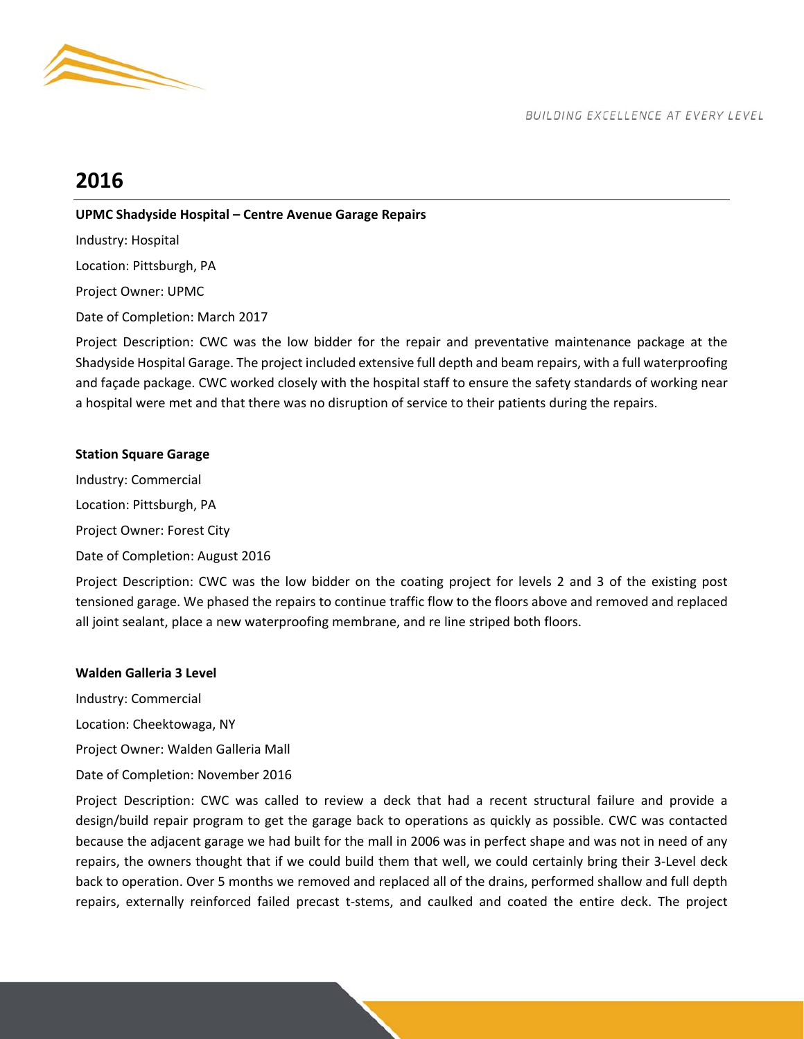

# **2016**

## **UPMC Shadyside Hospital – Centre Avenue Garage Repairs**

Industry: Hospital Location: Pittsburgh, PA Project Owner: UPMC

Date of Completion: March 2017

Project Description: CWC was the low bidder for the repair and preventative maintenance package at the Shadyside Hospital Garage. The project included extensive full depth and beam repairs, with a full waterproofing and façade package. CWC worked closely with the hospital staff to ensure the safety standards of working near a hospital were met and that there was no disruption of service to their patients during the repairs.

## **Station Square Garage**

Industry: Commercial Location: Pittsburgh, PA Project Owner: Forest City Date of Completion: August 2016

Project Description: CWC was the low bidder on the coating project for levels 2 and 3 of the existing post tensioned garage. We phased the repairs to continue traffic flow to the floors above and removed and replaced all joint sealant, place a new waterproofing membrane, and re line striped both floors.

## **Walden Galleria 3 Level**

Industry: Commercial

Location: Cheektowaga, NY

Project Owner: Walden Galleria Mall

Date of Completion: November 2016

Project Description: CWC was called to review a deck that had a recent structural failure and provide a design/build repair program to get the garage back to operations as quickly as possible. CWC was contacted because the adjacent garage we had built for the mall in 2006 was in perfect shape and was not in need of any repairs, the owners thought that if we could build them that well, we could certainly bring their 3‐Level deck back to operation. Over 5 months we removed and replaced all of the drains, performed shallow and full depth repairs, externally reinforced failed precast t-stems, and caulked and coated the entire deck. The project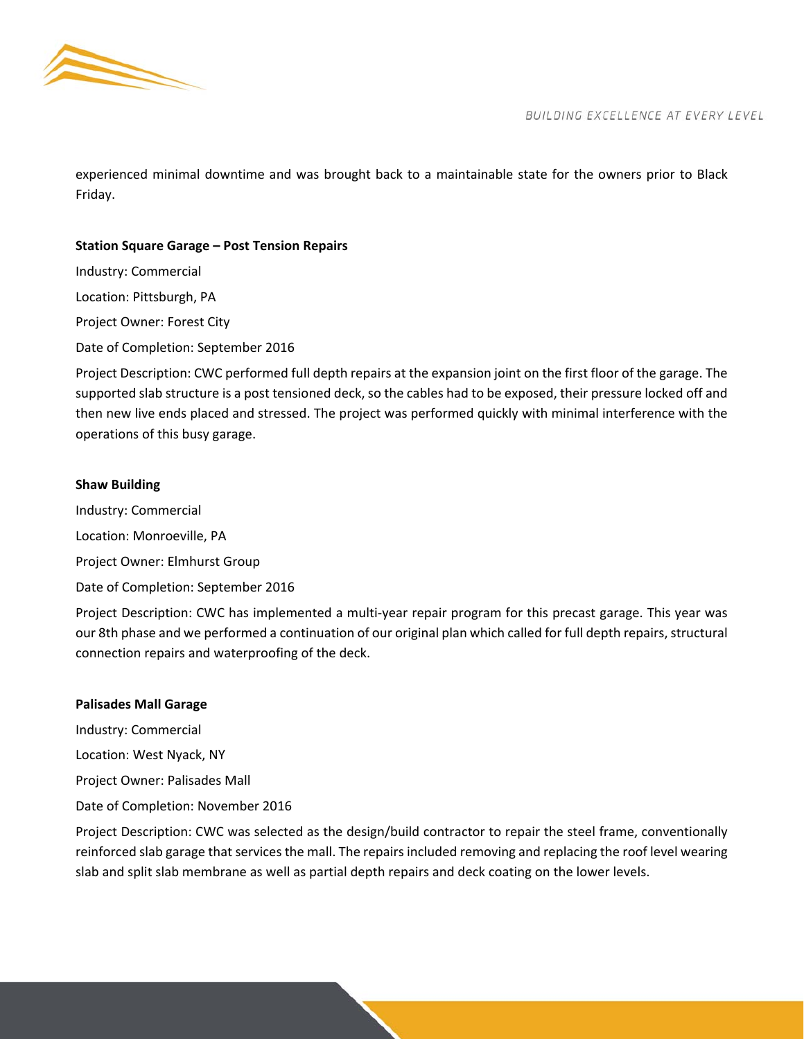

experienced minimal downtime and was brought back to a maintainable state for the owners prior to Black Friday.

## **Station Square Garage – Post Tension Repairs**

Industry: Commercial Location: Pittsburgh, PA Project Owner: Forest City

Date of Completion: September 2016

Project Description: CWC performed full depth repairs at the expansion joint on the first floor of the garage. The supported slab structure is a post tensioned deck, so the cables had to be exposed, their pressure locked off and then new live ends placed and stressed. The project was performed quickly with minimal interference with the operations of this busy garage.

## **Shaw Building**

Industry: Commercial

Location: Monroeville, PA

Project Owner: Elmhurst Group

Date of Completion: September 2016

Project Description: CWC has implemented a multi-year repair program for this precast garage. This year was our 8th phase and we performed a continuation of our original plan which called for full depth repairs, structural connection repairs and waterproofing of the deck.

## **Palisades Mall Garage**

Industry: Commercial Location: West Nyack, NY Project Owner: Palisades Mall Date of Completion: November 2016

Project Description: CWC was selected as the design/build contractor to repair the steel frame, conventionally reinforced slab garage that services the mall. The repairs included removing and replacing the roof level wearing slab and split slab membrane as well as partial depth repairs and deck coating on the lower levels.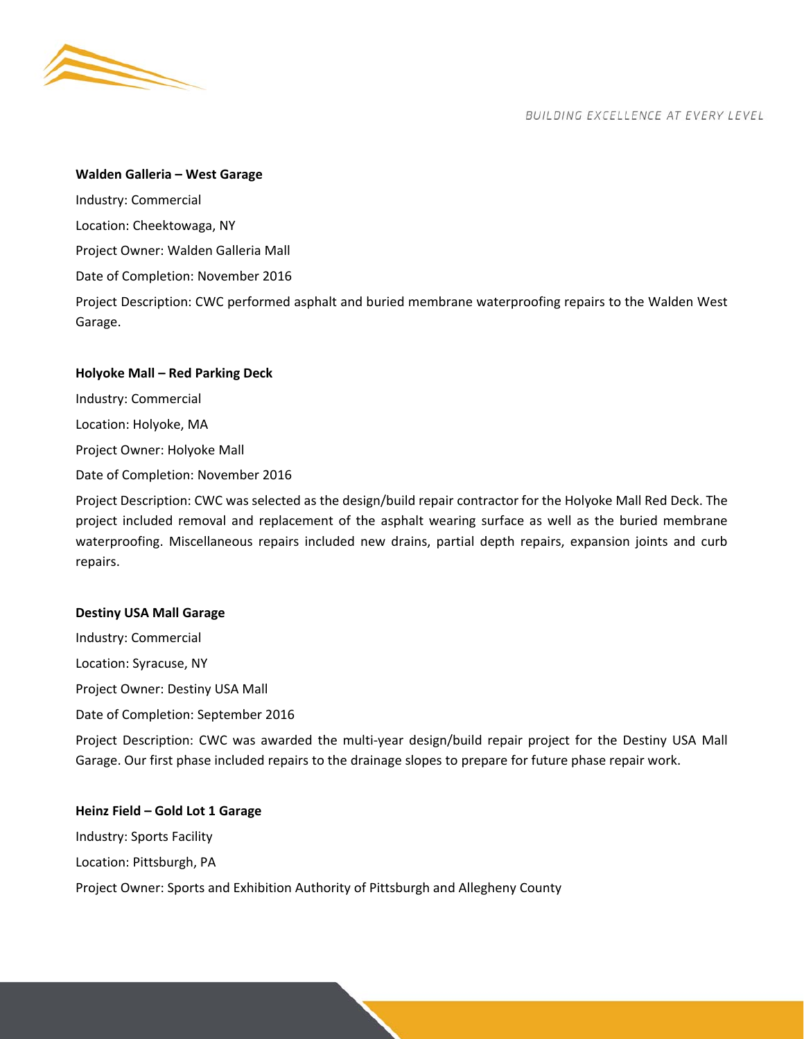

Garage.

BUILDING EXCELLENCE AT EVERY LEVEL

#### **Walden Galleria – West Garage**

Industry: Commercial Location: Cheektowaga, NY Project Owner: Walden Galleria Mall Date of Completion: November 2016 Project Description: CWC performed asphalt and buried membrane waterproofing repairs to the Walden West

Industry: Commercial Location: Holyoke, MA

**Holyoke Mall – Red Parking Deck** 

Project Owner: Holyoke Mall

Date of Completion: November 2016

Project Description: CWC was selected as the design/build repair contractor for the Holyoke Mall Red Deck. The project included removal and replacement of the asphalt wearing surface as well as the buried membrane waterproofing. Miscellaneous repairs included new drains, partial depth repairs, expansion joints and curb repairs.

#### **Destiny USA Mall Garage**

Industry: Commercial Location: Syracuse, NY Project Owner: Destiny USA Mall Date of Completion: September 2016

Project Description: CWC was awarded the multi-year design/build repair project for the Destiny USA Mall Garage. Our first phase included repairs to the drainage slopes to prepare for future phase repair work.

#### **Heinz Field – Gold Lot 1 Garage**

Industry: Sports Facility Location: Pittsburgh, PA Project Owner: Sports and Exhibition Authority of Pittsburgh and Allegheny County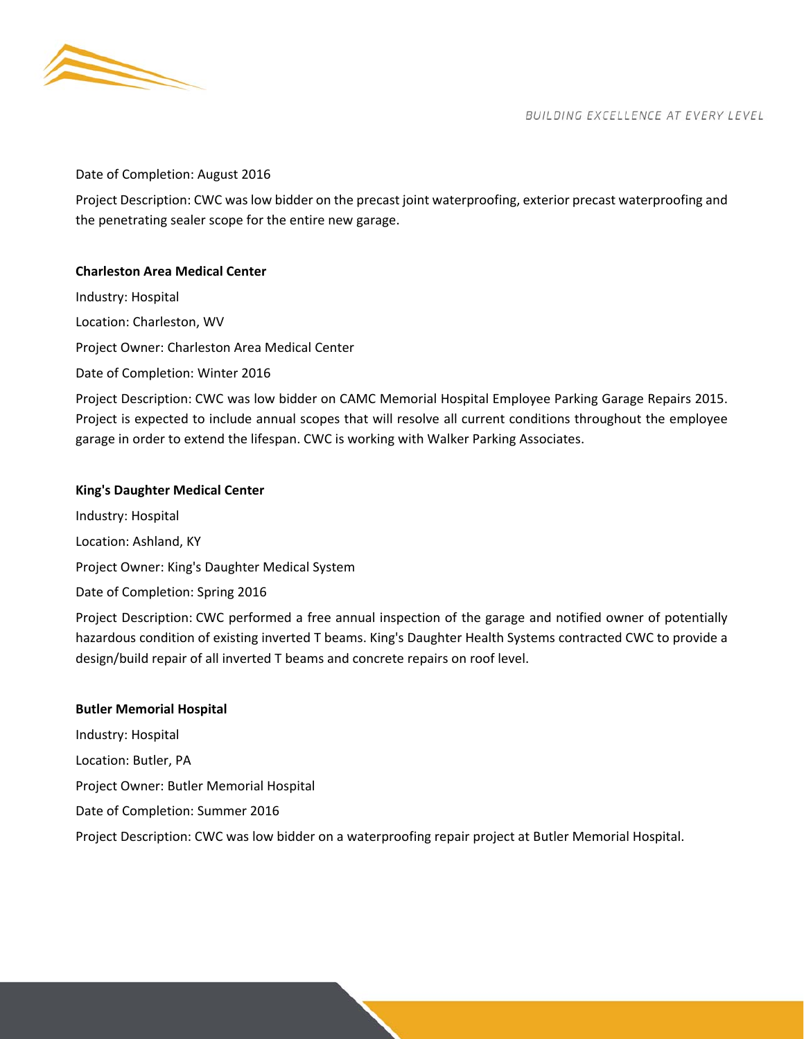

## Date of Completion: August 2016

Project Description: CWC was low bidder on the precast joint waterproofing, exterior precast waterproofing and the penetrating sealer scope for the entire new garage.

## **Charleston Area Medical Center**

Industry: Hospital Location: Charleston, WV Project Owner: Charleston Area Medical Center Date of Completion: Winter 2016

Project Description: CWC was low bidder on CAMC Memorial Hospital Employee Parking Garage Repairs 2015. Project is expected to include annual scopes that will resolve all current conditions throughout the employee garage in order to extend the lifespan. CWC is working with Walker Parking Associates.

## **King's Daughter Medical Center**

Industry: Hospital Location: Ashland, KY Project Owner: King's Daughter Medical System Date of Completion: Spring 2016

Project Description: CWC performed a free annual inspection of the garage and notified owner of potentially hazardous condition of existing inverted T beams. King's Daughter Health Systems contracted CWC to provide a design/build repair of all inverted T beams and concrete repairs on roof level.

#### **Butler Memorial Hospital**

Industry: Hospital Location: Butler, PA Project Owner: Butler Memorial Hospital Date of Completion: Summer 2016 Project Description: CWC was low bidder on a waterproofing repair project at Butler Memorial Hospital.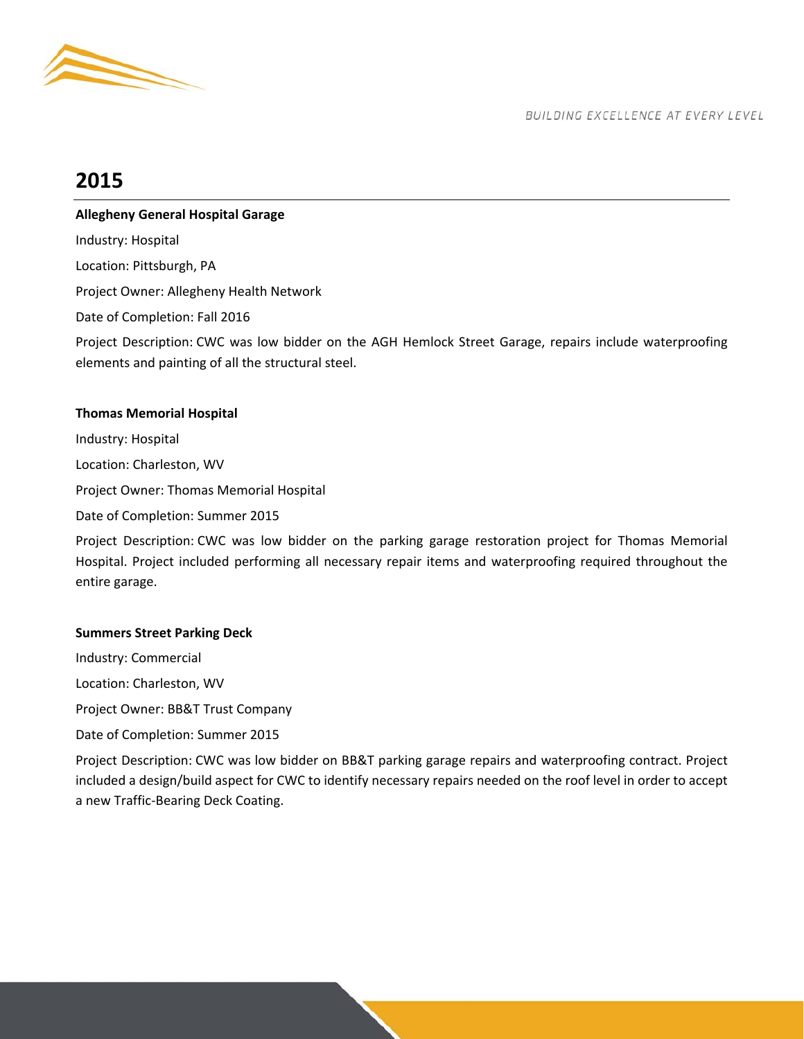

# **2015**

## **Allegheny General Hospital Garage**

Industry: Hospital

Location: Pittsburgh, PA

Project Owner: Allegheny Health Network

Date of Completion: Fall 2016

Project Description: CWC was low bidder on the AGH Hemlock Street Garage, repairs include waterproofing elements and painting of all the structural steel.

## **Thomas Memorial Hospital**

Industry: Hospital Location: Charleston, WV Project Owner: Thomas Memorial Hospital Date of Completion: Summer 2015

Project Description: CWC was low bidder on the parking garage restoration project for Thomas Memorial Hospital. Project included performing all necessary repair items and waterproofing required throughout the entire garage.

## **Summers Street Parking Deck**

Industry: Commercial Location: Charleston, WV Project Owner: BB&T Trust Company

Date of Completion: Summer 2015

Project Description: CWC was low bidder on BB&T parking garage repairs and waterproofing contract. Project included a design/build aspect for CWC to identify necessary repairs needed on the roof level in order to accept a new Traffic‐Bearing Deck Coating.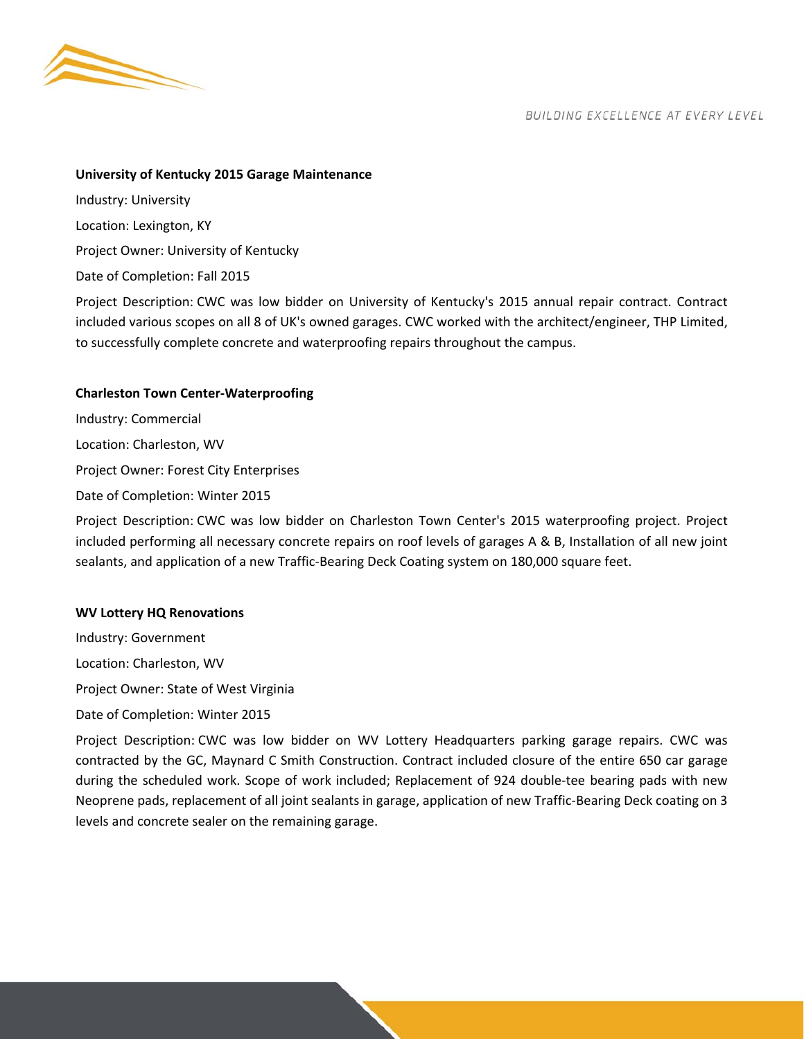

#### **University of Kentucky 2015 Garage Maintenance**

Industry: University Location: Lexington, KY Project Owner: University of Kentucky Date of Completion: Fall 2015

Project Description: CWC was low bidder on University of Kentucky's 2015 annual repair contract. Contract included various scopes on all 8 of UK's owned garages. CWC worked with the architect/engineer, THP Limited, to successfully complete concrete and waterproofing repairs throughout the campus.

## **Charleston Town Center‐Waterproofing**

Industry: Commercial Location: Charleston, WV Project Owner: Forest City Enterprises Date of Completion: Winter 2015

Project Description: CWC was low bidder on Charleston Town Center's 2015 waterproofing project. Project included performing all necessary concrete repairs on roof levels of garages A & B, Installation of all new joint sealants, and application of a new Traffic‐Bearing Deck Coating system on 180,000 square feet.

## **WV Lottery HQ Renovations**

Industry: Government Location: Charleston, WV Project Owner: State of West Virginia Date of Completion: Winter 2015

Project Description: CWC was low bidder on WV Lottery Headquarters parking garage repairs. CWC was contracted by the GC, Maynard C Smith Construction. Contract included closure of the entire 650 car garage during the scheduled work. Scope of work included; Replacement of 924 double-tee bearing pads with new Neoprene pads, replacement of all joint sealants in garage, application of new Traffic‐Bearing Deck coating on 3 levels and concrete sealer on the remaining garage.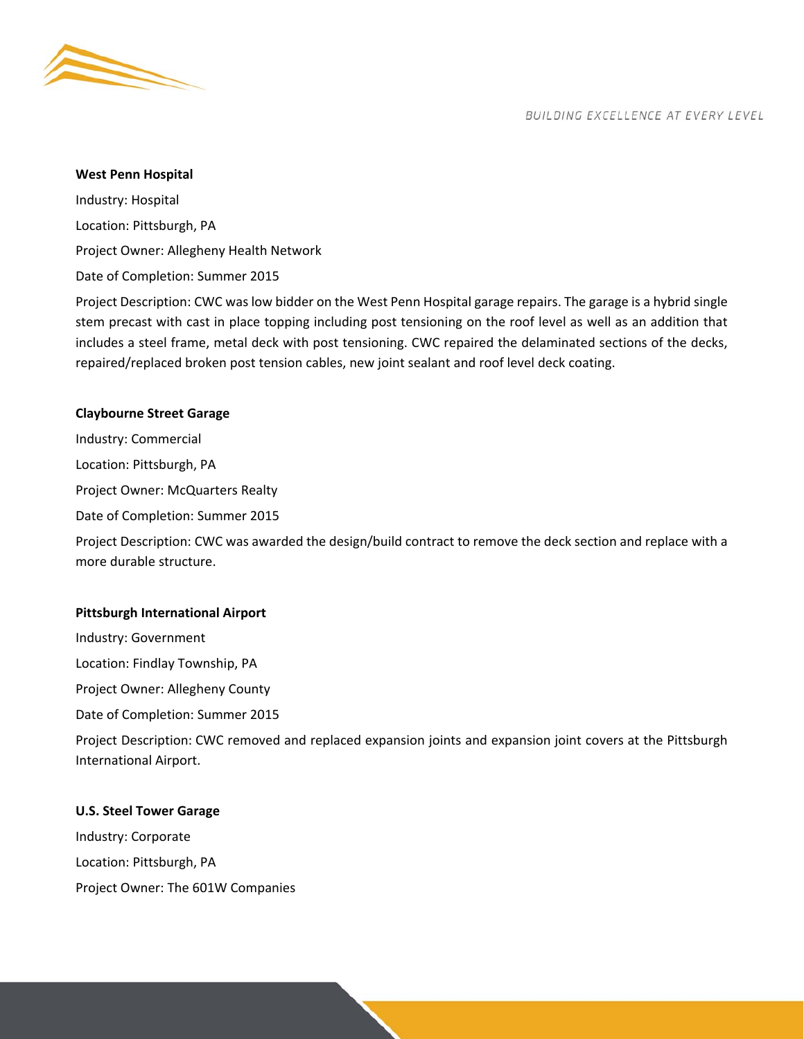

#### **West Penn Hospital**

Industry: Hospital Location: Pittsburgh, PA Project Owner: Allegheny Health Network Date of Completion: Summer 2015

Project Description: CWC was low bidder on the West Penn Hospital garage repairs. The garage is a hybrid single stem precast with cast in place topping including post tensioning on the roof level as well as an addition that includes a steel frame, metal deck with post tensioning. CWC repaired the delaminated sections of the decks, repaired/replaced broken post tension cables, new joint sealant and roof level deck coating.

## **Claybourne Street Garage**

Industry: Commercial

Location: Pittsburgh, PA

Project Owner: McQuarters Realty

Date of Completion: Summer 2015

Project Description: CWC was awarded the design/build contract to remove the deck section and replace with a more durable structure.

## **Pittsburgh International Airport**

Industry: Government

Location: Findlay Township, PA

Project Owner: Allegheny County

Date of Completion: Summer 2015

Project Description: CWC removed and replaced expansion joints and expansion joint covers at the Pittsburgh International Airport.

## **U.S. Steel Tower Garage**

Industry: Corporate Location: Pittsburgh, PA Project Owner: The 601W Companies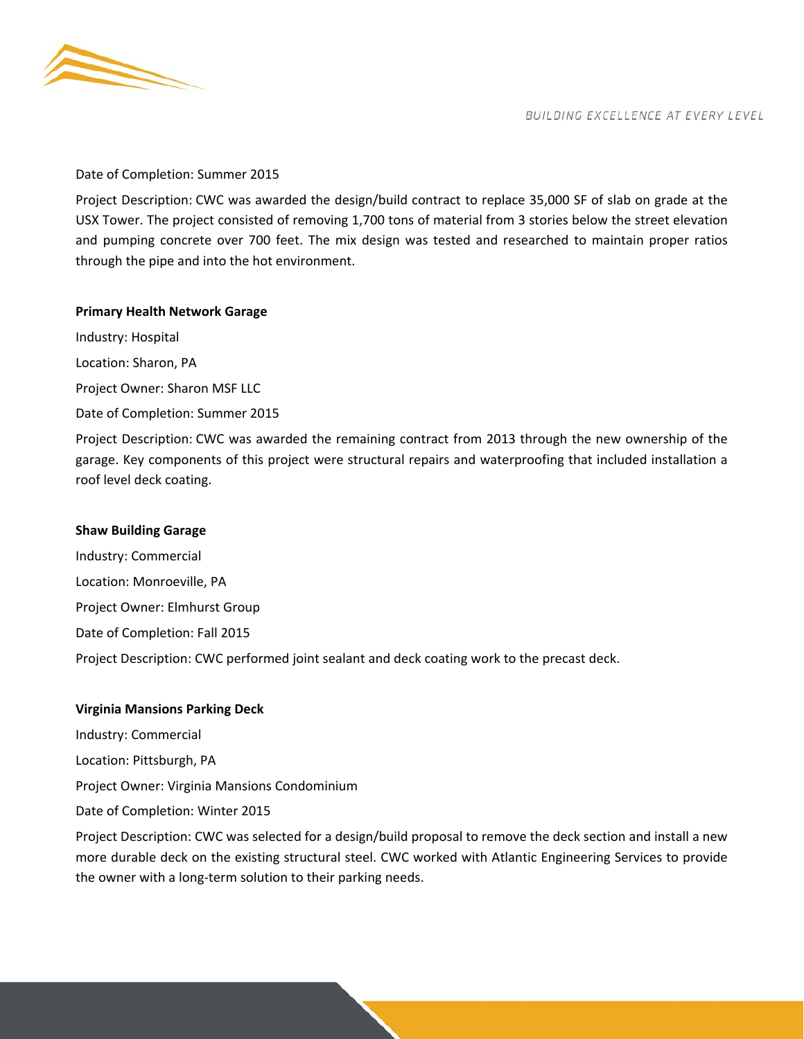

#### Date of Completion: Summer 2015

Project Description: CWC was awarded the design/build contract to replace 35,000 SF of slab on grade at the USX Tower. The project consisted of removing 1,700 tons of material from 3 stories below the street elevation and pumping concrete over 700 feet. The mix design was tested and researched to maintain proper ratios through the pipe and into the hot environment.

## **Primary Health Network Garage**

Industry: Hospital Location: Sharon, PA Project Owner: Sharon MSF LLC Date of Completion: Summer 2015

Project Description: CWC was awarded the remaining contract from 2013 through the new ownership of the garage. Key components of this project were structural repairs and waterproofing that included installation a roof level deck coating.

#### **Shaw Building Garage**

Industry: Commercial Location: Monroeville, PA Project Owner: Elmhurst Group Date of Completion: Fall 2015 Project Description: CWC performed joint sealant and deck coating work to the precast deck.

#### **Virginia Mansions Parking Deck**

Industry: Commercial Location: Pittsburgh, PA

Project Owner: Virginia Mansions Condominium

Date of Completion: Winter 2015

Project Description: CWC was selected for a design/build proposal to remove the deck section and install a new more durable deck on the existing structural steel. CWC worked with Atlantic Engineering Services to provide the owner with a long‐term solution to their parking needs.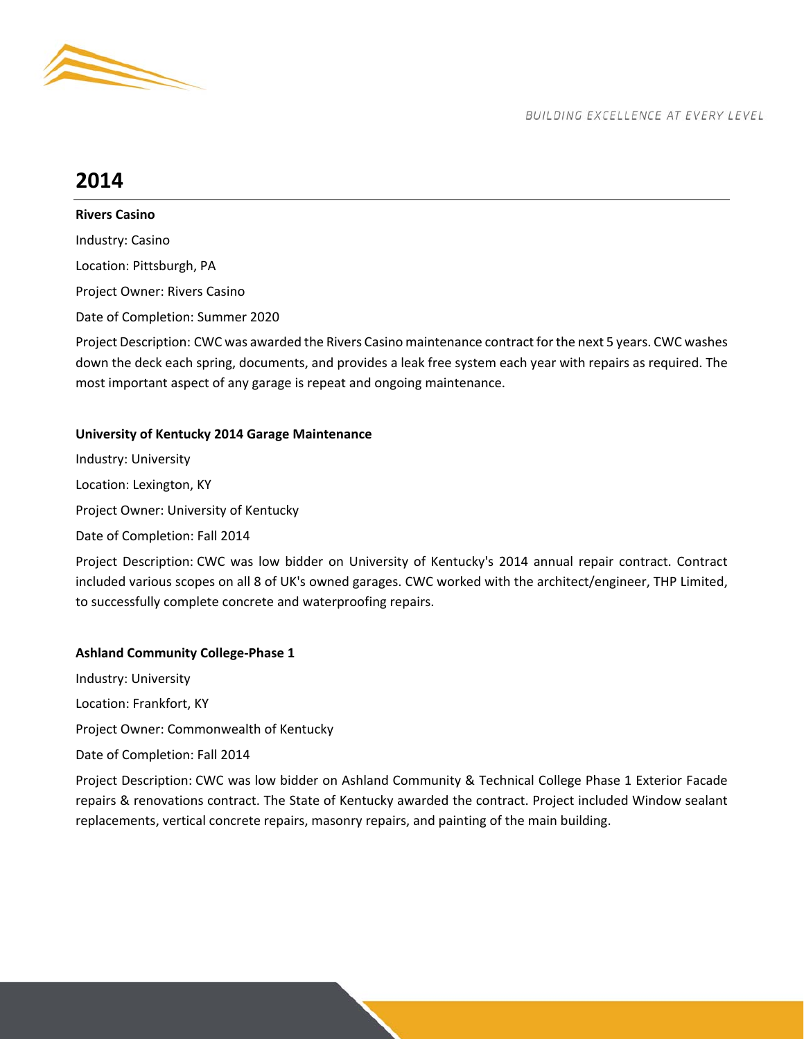

# **2014**

**Rivers Casino** 

Industry: Casino Location: Pittsburgh, PA Project Owner: Rivers Casino Date of Completion: Summer 2020

Project Description: CWC was awarded the Rivers Casino maintenance contract for the next 5 years. CWC washes down the deck each spring, documents, and provides a leak free system each year with repairs as required. The most important aspect of any garage is repeat and ongoing maintenance.

## **University of Kentucky 2014 Garage Maintenance**

Industry: University Location: Lexington, KY Project Owner: University of Kentucky Date of Completion: Fall 2014

Project Description: CWC was low bidder on University of Kentucky's 2014 annual repair contract. Contract included various scopes on all 8 of UK's owned garages. CWC worked with the architect/engineer, THP Limited, to successfully complete concrete and waterproofing repairs.

## **Ashland Community College‐Phase 1**

Industry: University Location: Frankfort, KY Project Owner: Commonwealth of Kentucky Date of Completion: Fall 2014

Project Description: CWC was low bidder on Ashland Community & Technical College Phase 1 Exterior Facade repairs & renovations contract. The State of Kentucky awarded the contract. Project included Window sealant replacements, vertical concrete repairs, masonry repairs, and painting of the main building.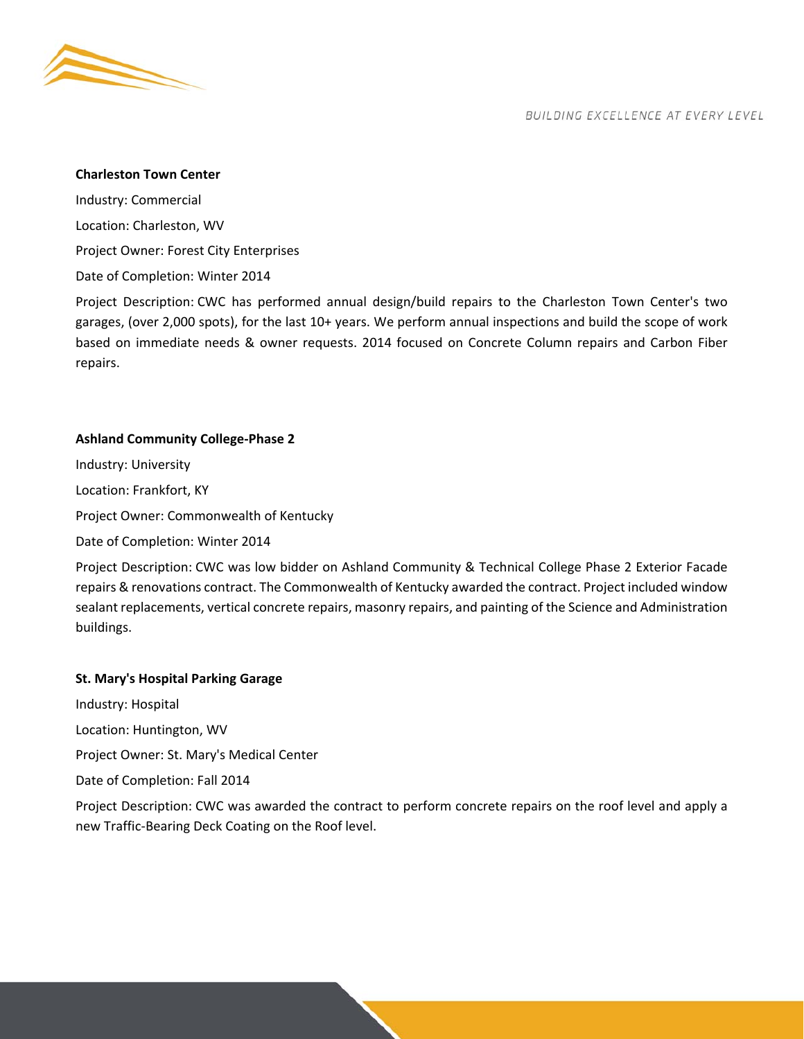

## **Charleston Town Center**

Industry: Commercial Location: Charleston, WV Project Owner: Forest City Enterprises Date of Completion: Winter 2014

Project Description: CWC has performed annual design/build repairs to the Charleston Town Center's two garages, (over 2,000 spots), for the last 10+ years. We perform annual inspections and build the scope of work based on immediate needs & owner requests. 2014 focused on Concrete Column repairs and Carbon Fiber repairs.

## **Ashland Community College‐Phase 2**

Industry: University Location: Frankfort, KY Project Owner: Commonwealth of Kentucky Date of Completion: Winter 2014

Project Description: CWC was low bidder on Ashland Community & Technical College Phase 2 Exterior Facade repairs & renovations contract. The Commonwealth of Kentucky awarded the contract. Project included window sealant replacements, vertical concrete repairs, masonry repairs, and painting of the Science and Administration buildings.

## **St. Mary's Hospital Parking Garage**

Industry: Hospital Location: Huntington, WV Project Owner: St. Mary's Medical Center Date of Completion: Fall 2014

Project Description: CWC was awarded the contract to perform concrete repairs on the roof level and apply a new Traffic‐Bearing Deck Coating on the Roof level.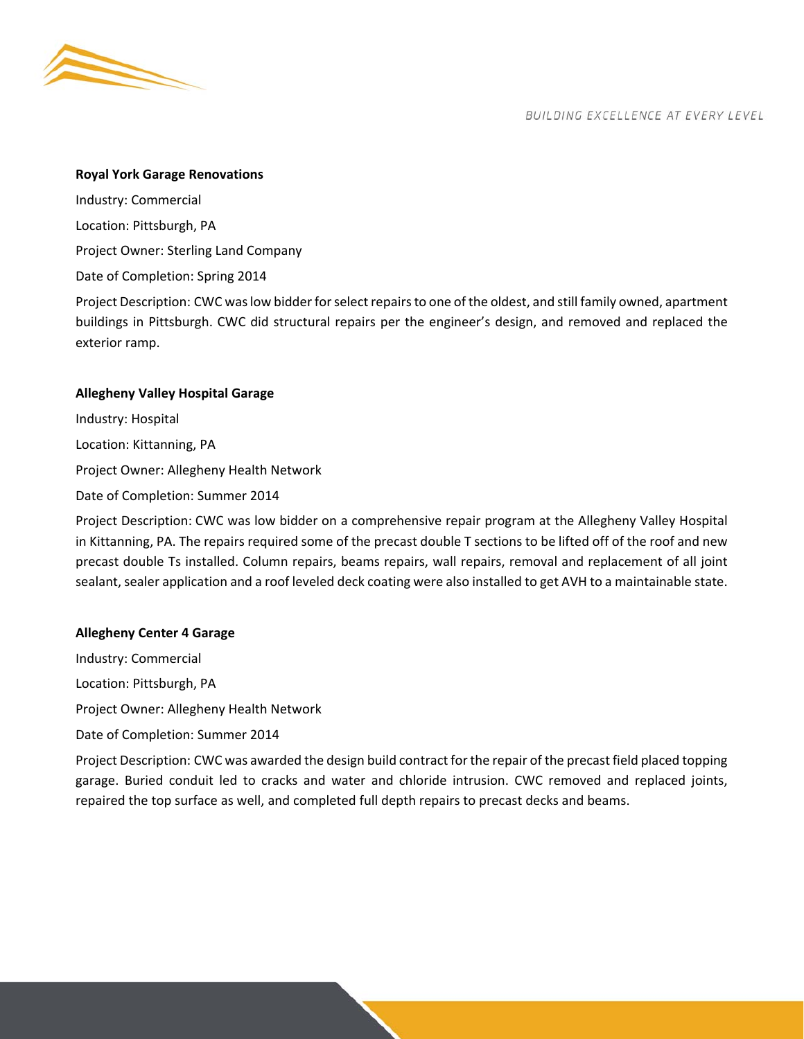

#### **Royal York Garage Renovations**

Industry: Commercial Location: Pittsburgh, PA Project Owner: Sterling Land Company Date of Completion: Spring 2014

Project Description: CWC was low bidder for select repairs to one of the oldest, and still family owned, apartment buildings in Pittsburgh. CWC did structural repairs per the engineer's design, and removed and replaced the exterior ramp.

## **Allegheny Valley Hospital Garage**

Industry: Hospital Location: Kittanning, PA Project Owner: Allegheny Health Network

Date of Completion: Summer 2014

Project Description: CWC was low bidder on a comprehensive repair program at the Allegheny Valley Hospital in Kittanning, PA. The repairs required some of the precast double T sections to be lifted off of the roof and new precast double Ts installed. Column repairs, beams repairs, wall repairs, removal and replacement of all joint sealant, sealer application and a roof leveled deck coating were also installed to get AVH to a maintainable state.

repaired the top surface as well, and completed full depth repairs to precast decks and beams.

#### **Allegheny Center 4 Garage**

Industry: Commercial Location: Pittsburgh, PA Project Owner: Allegheny Health Network Date of Completion: Summer 2014 Project Description: CWC was awarded the design build contract for the repair of the precast field placed topping garage. Buried conduit led to cracks and water and chloride intrusion. CWC removed and replaced joints,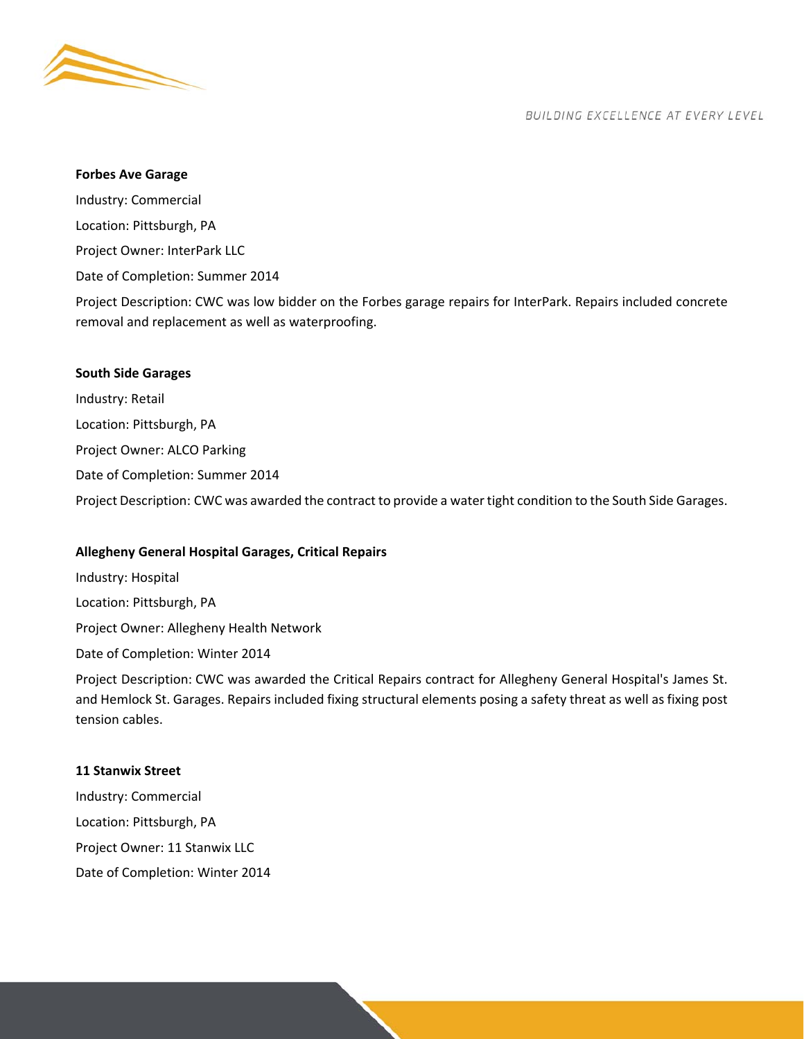

#### **Forbes Ave Garage**

Industry: Commercial Location: Pittsburgh, PA Project Owner: InterPark LLC Date of Completion: Summer 2014

Project Description: CWC was low bidder on the Forbes garage repairs for InterPark. Repairs included concrete removal and replacement as well as waterproofing.

#### **South Side Garages**

Industry: Retail Location: Pittsburgh, PA Project Owner: ALCO Parking Date of Completion: Summer 2014 Project Description: CWC was awarded the contract to provide a water tight condition to the South Side Garages.

## **Allegheny General Hospital Garages, Critical Repairs**

Industry: Hospital Location: Pittsburgh, PA Project Owner: Allegheny Health Network

Date of Completion: Winter 2014

Project Description: CWC was awarded the Critical Repairs contract for Allegheny General Hospital's James St. and Hemlock St. Garages. Repairs included fixing structural elements posing a safety threat as well as fixing post tension cables.

#### **11 Stanwix Street**

Industry: Commercial Location: Pittsburgh, PA Project Owner: 11 Stanwix LLC Date of Completion: Winter 2014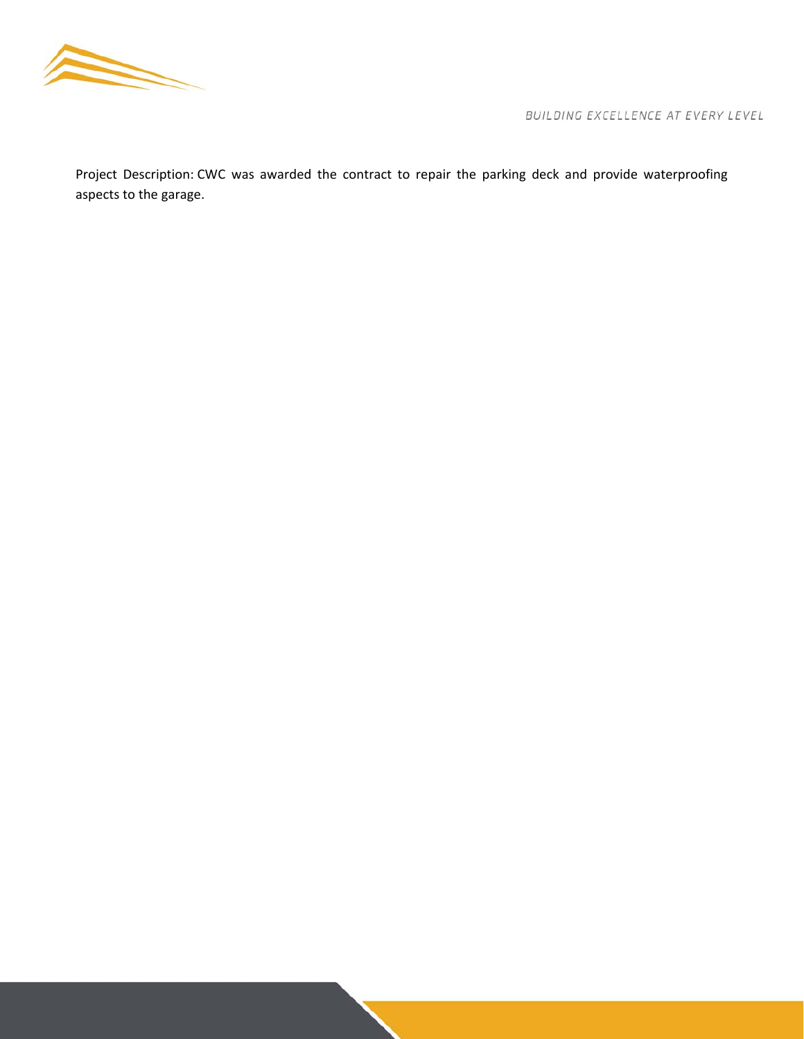

Project Description: CWC was awarded the contract to repair the parking deck and provide waterproofing aspects to the garage.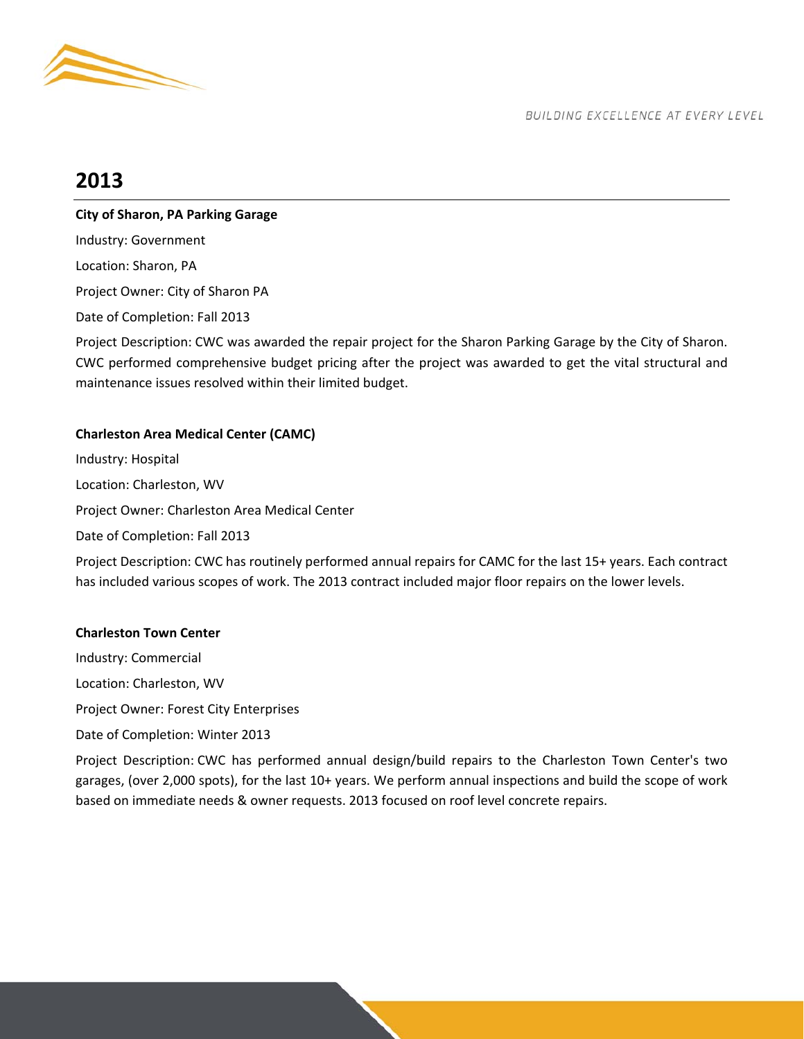

# **2013**

## **City of Sharon, PA Parking Garage**

Industry: Government Location: Sharon, PA Project Owner: City of Sharon PA Date of Completion: Fall 2013

Project Description: CWC was awarded the repair project for the Sharon Parking Garage by the City of Sharon. CWC performed comprehensive budget pricing after the project was awarded to get the vital structural and maintenance issues resolved within their limited budget.

## **Charleston Area Medical Center (CAMC)**

Industry: Hospital Location: Charleston, WV Project Owner: Charleston Area Medical Center Date of Completion: Fall 2013 Project Description: CWC has routinely performed annual repairs for CAMC for the last 15+ years. Each contract has included various scopes of work. The 2013 contract included major floor repairs on the lower levels.

## **Charleston Town Center**

Industry: Commercial Location: Charleston, WV Project Owner: Forest City Enterprises Date of Completion: Winter 2013

Project Description: CWC has performed annual design/build repairs to the Charleston Town Center's two garages, (over 2,000 spots), for the last 10+ years. We perform annual inspections and build the scope of work based on immediate needs & owner requests. 2013 focused on roof level concrete repairs.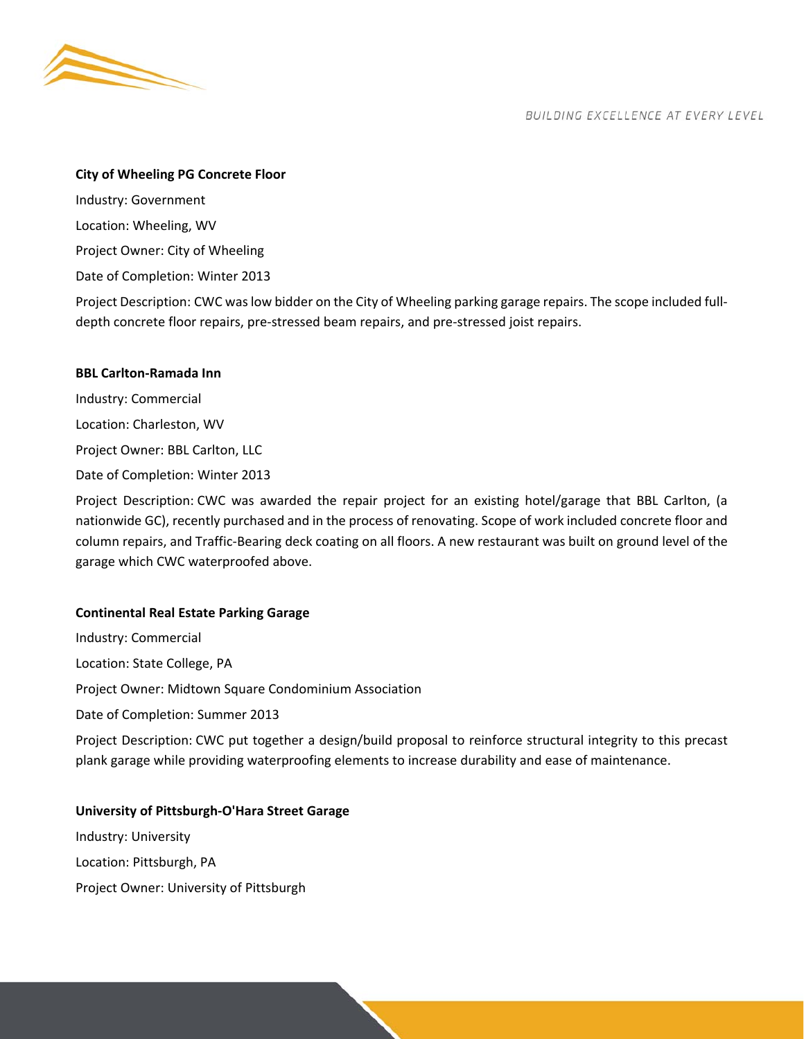

#### **City of Wheeling PG Concrete Floor**

Industry: Government Location: Wheeling, WV Project Owner: City of Wheeling Date of Completion: Winter 2013

Project Description: CWC was low bidder on the City of Wheeling parking garage repairs. The scope included full‐ depth concrete floor repairs, pre‐stressed beam repairs, and pre‐stressed joist repairs.

## **BBL Carlton‐Ramada Inn**

Industry: Commercial Location: Charleston, WV Project Owner: BBL Carlton, LLC Date of Completion: Winter 2013

Project Description: CWC was awarded the repair project for an existing hotel/garage that BBL Carlton, (a nationwide GC), recently purchased and in the process of renovating. Scope of work included concrete floor and column repairs, and Traffic‐Bearing deck coating on all floors. A new restaurant was built on ground level of the garage which CWC waterproofed above.

## **Continental Real Estate Parking Garage**

Industry: Commercial Location: State College, PA Project Owner: Midtown Square Condominium Association Date of Completion: Summer 2013 Project Description: CWC put together a design/build proposal to reinforce structural integrity to this precast plank garage while providing waterproofing elements to increase durability and ease of maintenance.

## **University of Pittsburgh‐O'Hara Street Garage**

Industry: University Location: Pittsburgh, PA Project Owner: University of Pittsburgh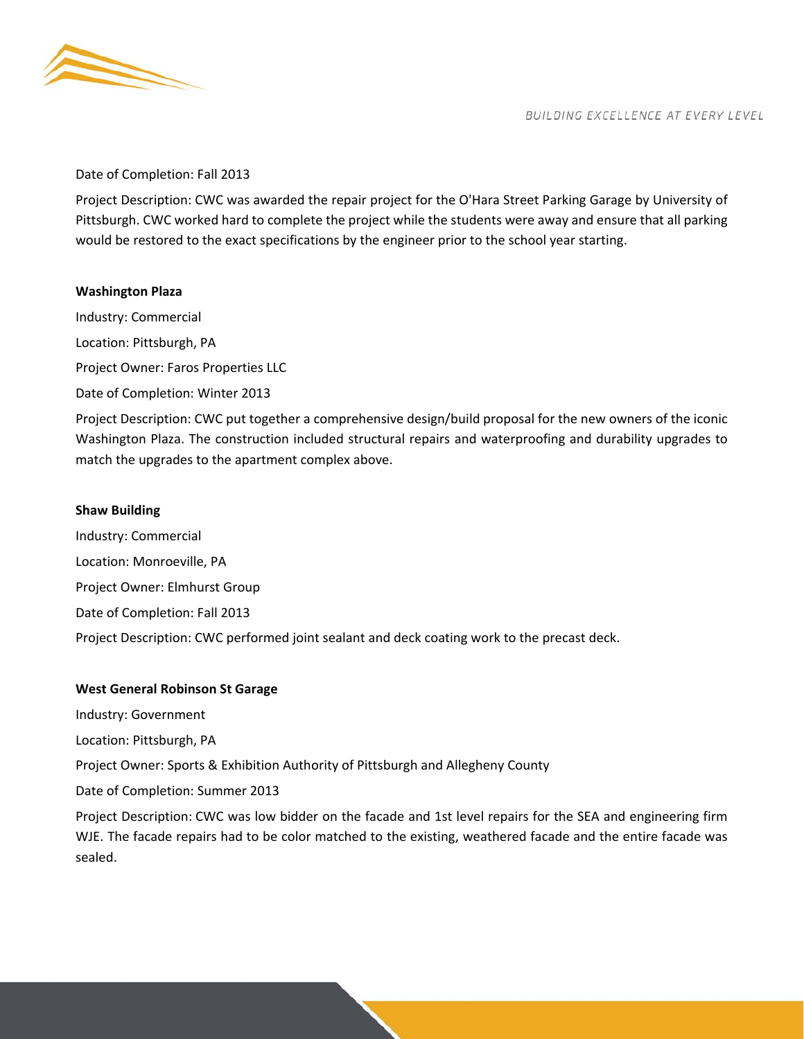

#### Date of Completion: Fall 2013

Project Description: CWC was awarded the repair project for the O'Hara Street Parking Garage by University of Pittsburgh. CWC worked hard to complete the project while the students were away and ensure that all parking would be restored to the exact specifications by the engineer prior to the school year starting.

## **Washington Plaza**

Industry: Commercial Location: Pittsburgh, PA Project Owner: Faros Properties LLC Date of Completion: Winter 2013 Project Description: CWC put together a comprehensive design/build proposal for the new owners of the iconic Washington Plaza. The construction included structural repairs and waterproofing and durability upgrades to match the upgrades to the apartment complex above.

## **Shaw Building**

Industry: Commercial Location: Monroeville, PA Project Owner: Elmhurst Group Date of Completion: Fall 2013 Project Description: CWC performed joint sealant and deck coating work to the precast deck.

## **West General Robinson St Garage**

Industry: Government

Location: Pittsburgh, PA

Project Owner: Sports & Exhibition Authority of Pittsburgh and Allegheny County

Date of Completion: Summer 2013

Project Description: CWC was low bidder on the facade and 1st level repairs for the SEA and engineering firm WJE. The facade repairs had to be color matched to the existing, weathered facade and the entire facade was sealed.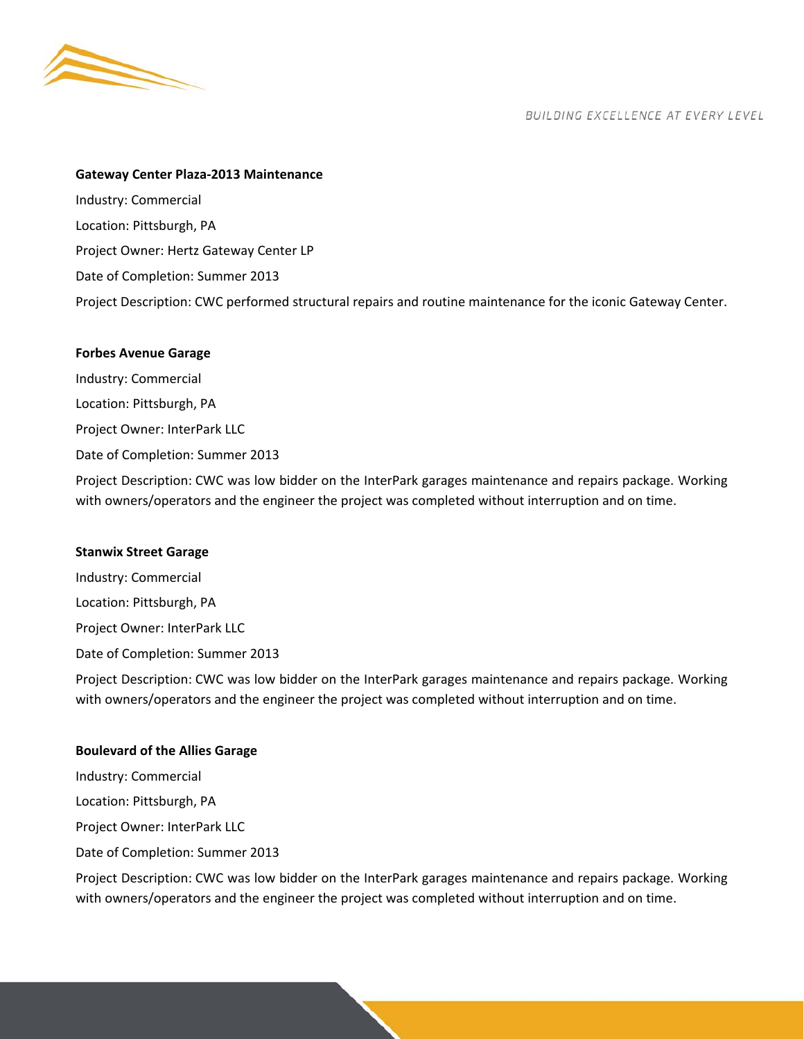

#### **Gateway Center Plaza‐2013 Maintenance**

Industry: Commercial Location: Pittsburgh, PA Project Owner: Hertz Gateway Center LP Date of Completion: Summer 2013 Project Description: CWC performed structural repairs and routine maintenance for the iconic Gateway Center.

#### **Forbes Avenue Garage**

Industry: Commercial Location: Pittsburgh, PA Project Owner: InterPark LLC Date of Completion: Summer 2013 Project Description: CWC was low bidder on the InterPark garages maintenance and repairs package. Working

#### **Stanwix Street Garage**

Industry: Commercial Location: Pittsburgh, PA Project Owner: InterPark LLC Date of Completion: Summer 2013

Project Description: CWC was low bidder on the InterPark garages maintenance and repairs package. Working with owners/operators and the engineer the project was completed without interruption and on time.

with owners/operators and the engineer the project was completed without interruption and on time.

## **Boulevard of the Allies Garage**

Industry: Commercial Location: Pittsburgh, PA Project Owner: InterPark LLC Date of Completion: Summer 2013

Project Description: CWC was low bidder on the InterPark garages maintenance and repairs package. Working with owners/operators and the engineer the project was completed without interruption and on time.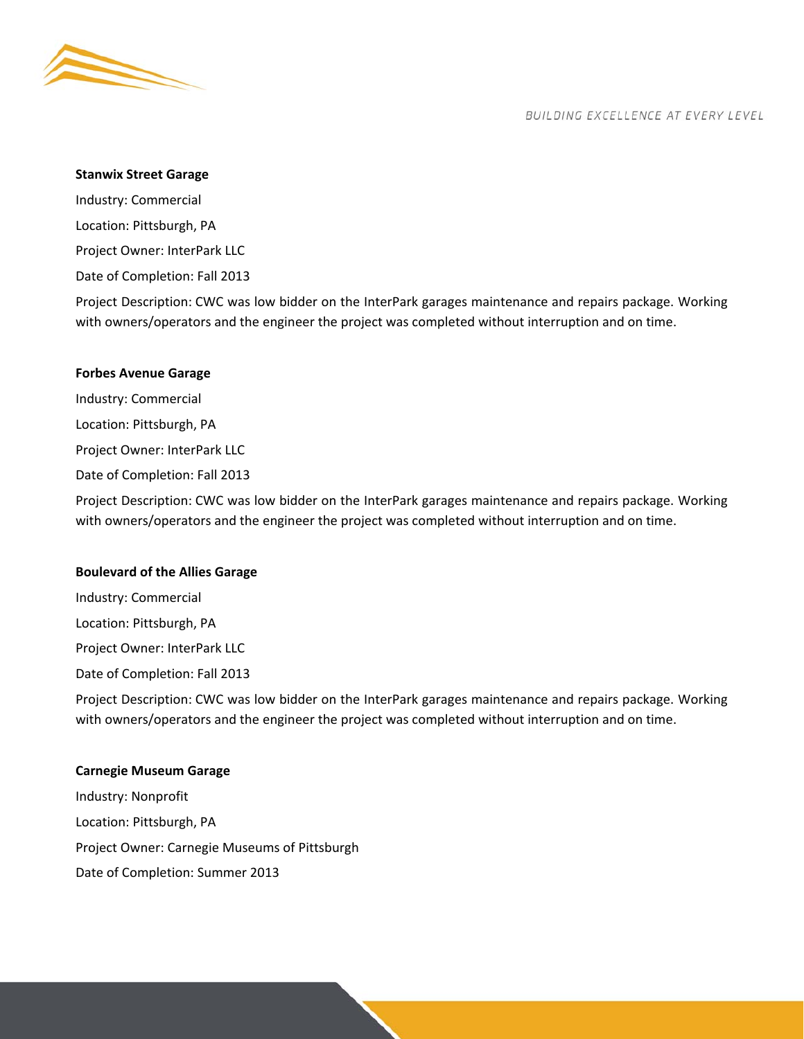

#### **Stanwix Street Garage**

Industry: Commercial Location: Pittsburgh, PA

Project Owner: InterPark LLC

Date of Completion: Fall 2013

Project Description: CWC was low bidder on the InterPark garages maintenance and repairs package. Working with owners/operators and the engineer the project was completed without interruption and on time.

#### **Forbes Avenue Garage**

Industry: Commercial Location: Pittsburgh, PA Project Owner: InterPark LLC Date of Completion: Fall 2013

Project Description: CWC was low bidder on the InterPark garages maintenance and repairs package. Working with owners/operators and the engineer the project was completed without interruption and on time.

#### **Boulevard of the Allies Garage**

Industry: Commercial Location: Pittsburgh, PA Project Owner: InterPark LLC

Date of Completion: Fall 2013

Project Description: CWC was low bidder on the InterPark garages maintenance and repairs package. Working with owners/operators and the engineer the project was completed without interruption and on time.

#### **Carnegie Museum Garage**

Industry: Nonprofit Location: Pittsburgh, PA Project Owner: Carnegie Museums of Pittsburgh Date of Completion: Summer 2013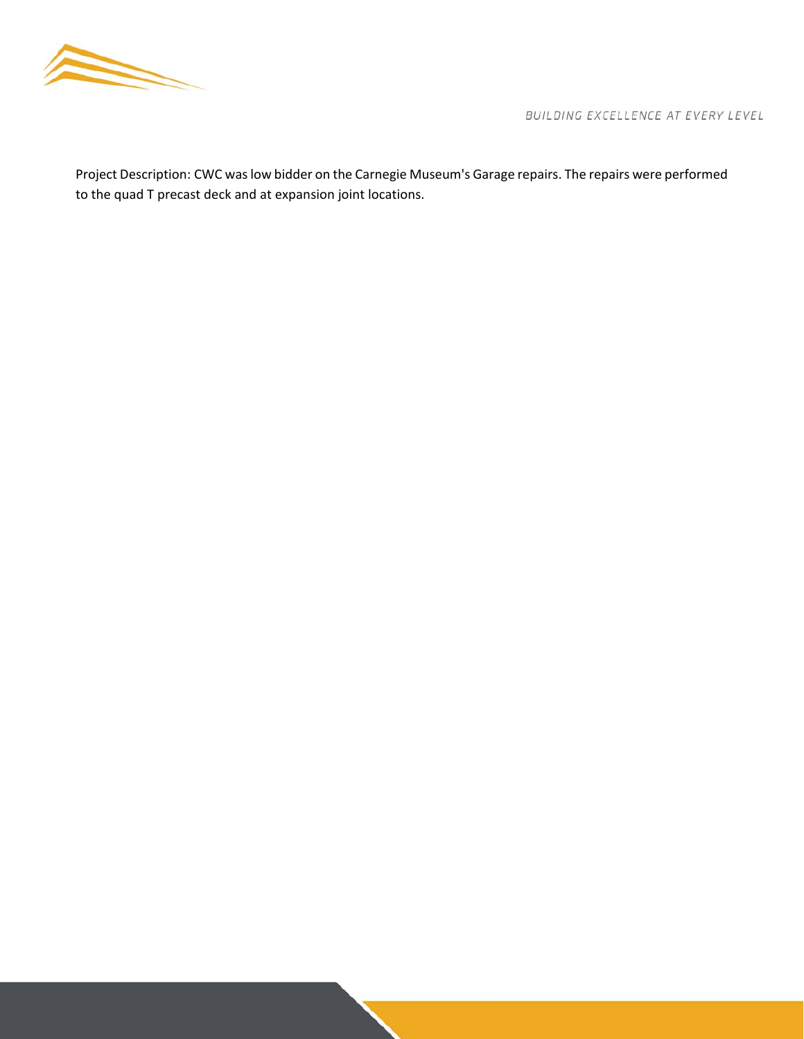

Project Description: CWC was low bidder on the Carnegie Museum's Garage repairs. The repairs were performed to the quad T precast deck and at expansion joint locations.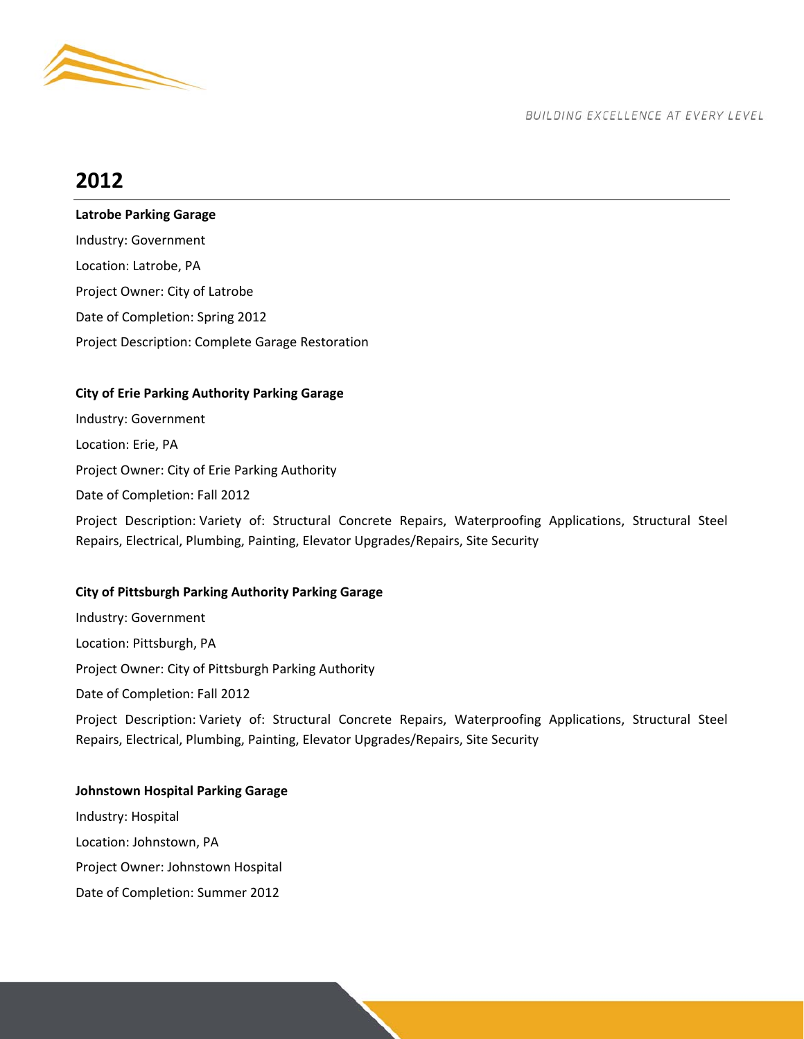

# **2012**

**Latrobe Parking Garage** 

Industry: Government Location: Latrobe, PA Project Owner: City of Latrobe Date of Completion: Spring 2012 Project Description: Complete Garage Restoration

## **City of Erie Parking Authority Parking Garage**

Industry: Government Location: Erie, PA Project Owner: City of Erie Parking Authority Date of Completion: Fall 2012 Project Description: Variety of: Structural Concrete Repairs, Waterproofing Applications, Structural Steel Repairs, Electrical, Plumbing, Painting, Elevator Upgrades/Repairs, Site Security

## **City of Pittsburgh Parking Authority Parking Garage**

Industry: Government Location: Pittsburgh, PA Project Owner: City of Pittsburgh Parking Authority Date of Completion: Fall 2012 Project Description: Variety of: Structural Concrete Repairs, Waterproofing Applications, Structural Steel Repairs, Electrical, Plumbing, Painting, Elevator Upgrades/Repairs, Site Security

**Johnstown Hospital Parking Garage**  Industry: Hospital Location: Johnstown, PA Project Owner: Johnstown Hospital Date of Completion: Summer 2012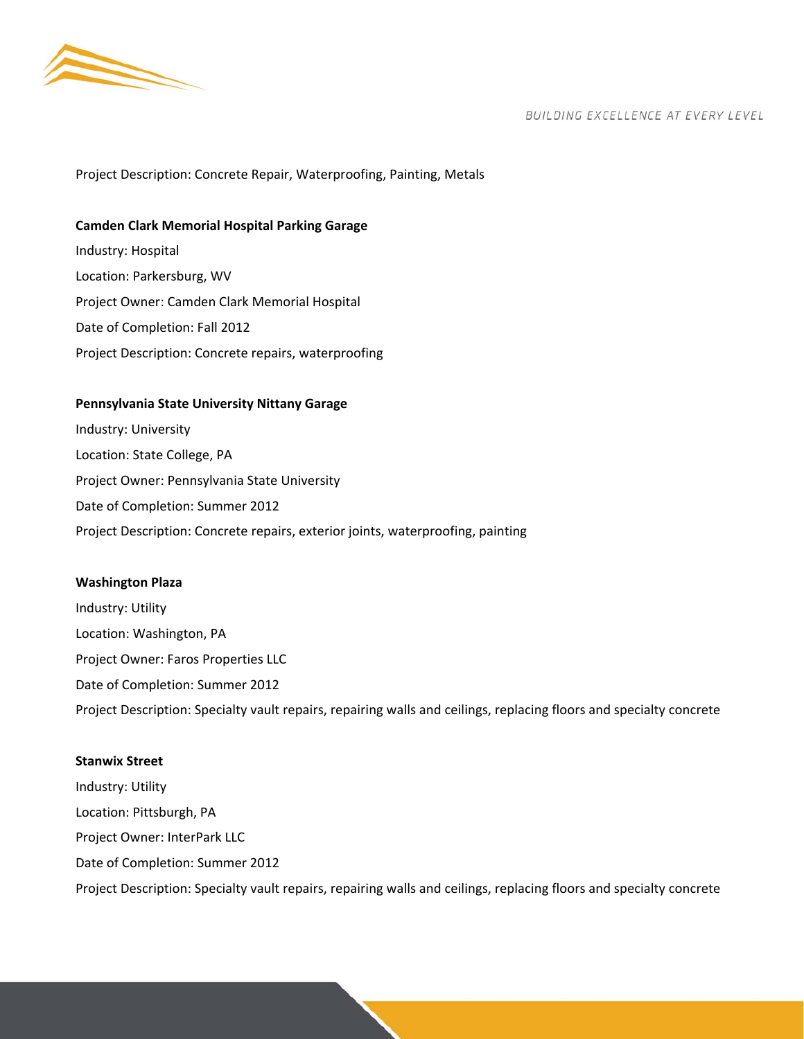

Project Description: Concrete Repair, Waterproofing, Painting, Metals

**Camden Clark Memorial Hospital Parking Garage**  Industry: Hospital Location: Parkersburg, WV Project Owner: Camden Clark Memorial Hospital Date of Completion: Fall 2012 Project Description: Concrete repairs, waterproofing

## **Pennsylvania State University Nittany Garage**

Industry: University Location: State College, PA Project Owner: Pennsylvania State University Date of Completion: Summer 2012 Project Description: Concrete repairs, exterior joints, waterproofing, painting

#### **Washington Plaza**

Industry: Utility Location: Washington, PA Project Owner: Faros Properties LLC Date of Completion: Summer 2012 Project Description: Specialty vault repairs, repairing walls and ceilings, replacing floors and specialty concrete

## **Stanwix Street**

Industry: Utility Location: Pittsburgh, PA Project Owner: InterPark LLC Date of Completion: Summer 2012 Project Description: Specialty vault repairs, repairing walls and ceilings, replacing floors and specialty concrete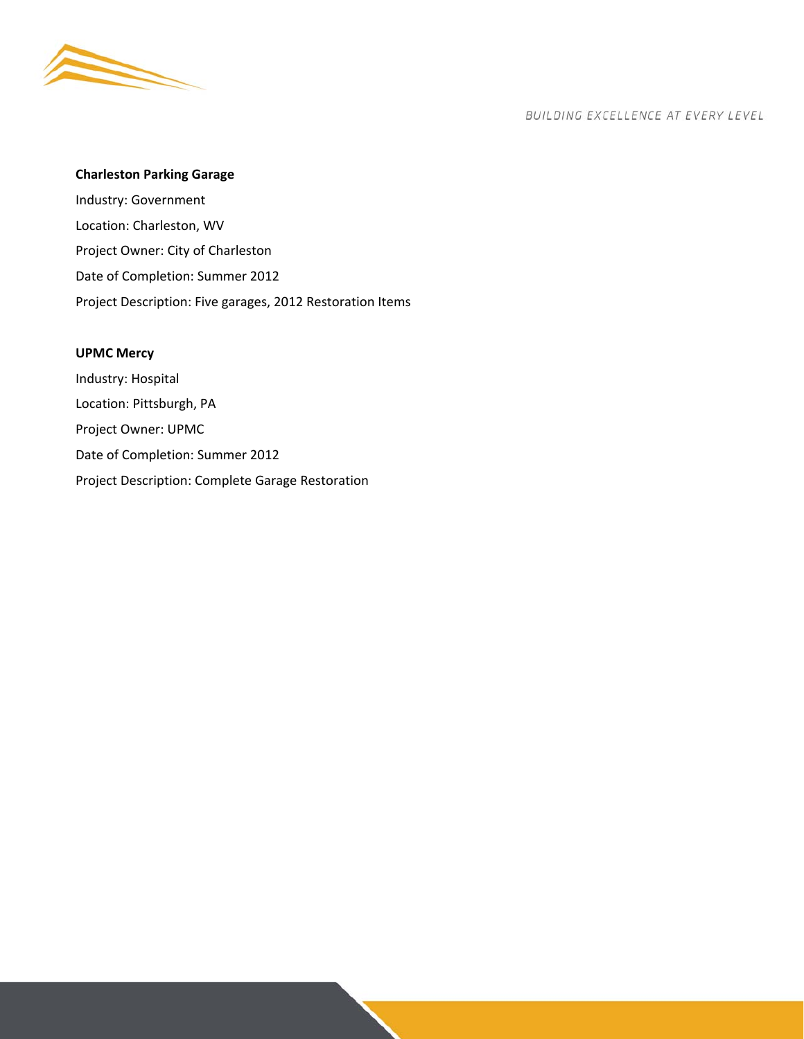

## **Charleston Parking Garage**

Industry: Government Location: Charleston, WV Project Owner: City of Charleston Date of Completion: Summer 2012 Project Description: Five garages, 2012 Restoration Items

## **UPMC Mercy**

Industry: Hospital Location: Pittsburgh, PA Project Owner: UPMC Date of Completion: Summer 2012 Project Description: Complete Garage Restoration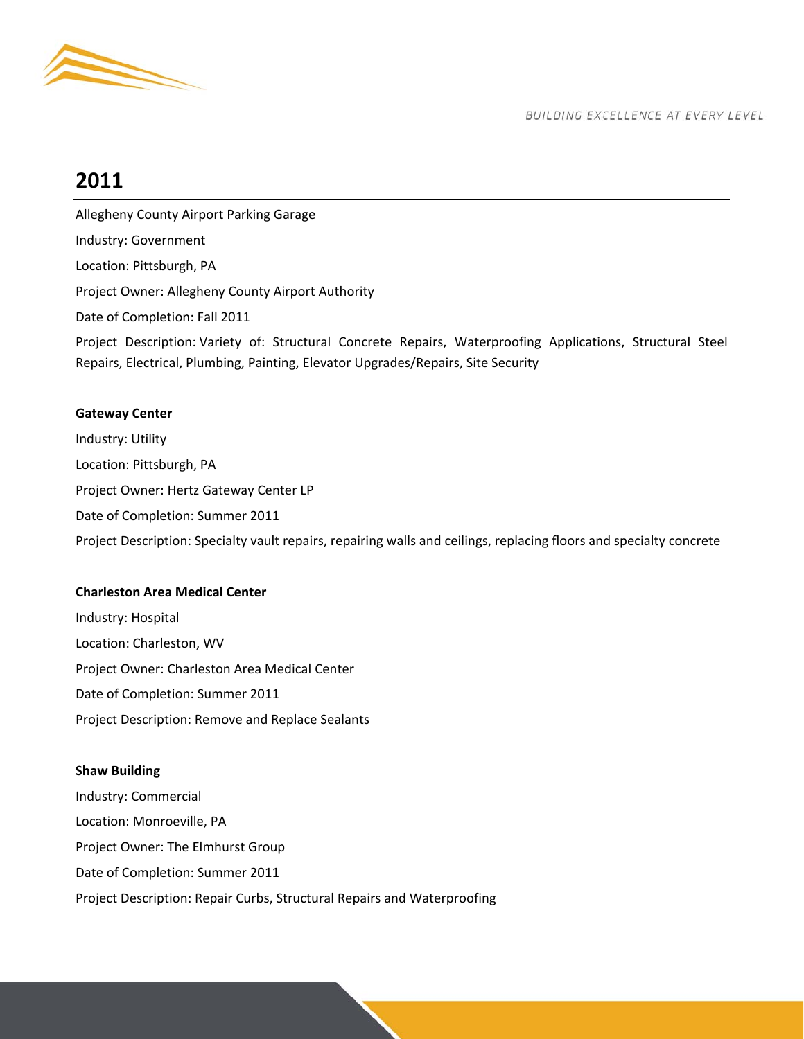

# **2011**

Allegheny County Airport Parking Garage Industry: Government Location: Pittsburgh, PA Project Owner: Allegheny County Airport Authority Date of Completion: Fall 2011

Project Description: Variety of: Structural Concrete Repairs, Waterproofing Applications, Structural Steel Repairs, Electrical, Plumbing, Painting, Elevator Upgrades/Repairs, Site Security

## **Gateway Center**

Industry: Utility Location: Pittsburgh, PA Project Owner: Hertz Gateway Center LP Date of Completion: Summer 2011 Project Description: Specialty vault repairs, repairing walls and ceilings, replacing floors and specialty concrete

## **Charleston Area Medical Center**

Industry: Hospital Location: Charleston, WV Project Owner: Charleston Area Medical Center Date of Completion: Summer 2011 Project Description: Remove and Replace Sealants

## **Shaw Building**

Industry: Commercial Location: Monroeville, PA Project Owner: The Elmhurst Group Date of Completion: Summer 2011 Project Description: Repair Curbs, Structural Repairs and Waterproofing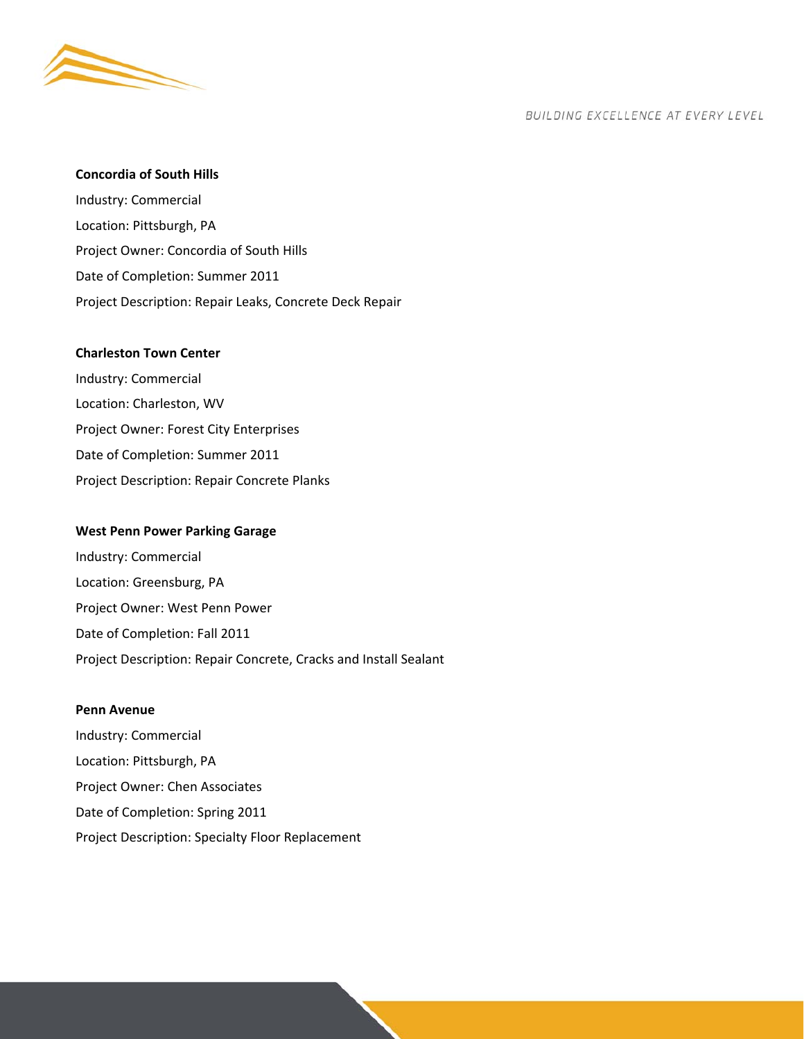

#### **Concordia of South Hills**

Industry: Commercial Location: Pittsburgh, PA Project Owner: Concordia of South Hills Date of Completion: Summer 2011 Project Description: Repair Leaks, Concrete Deck Repair

#### **Charleston Town Center**

Industry: Commercial Location: Charleston, WV Project Owner: Forest City Enterprises Date of Completion: Summer 2011 Project Description: Repair Concrete Planks

#### **West Penn Power Parking Garage**

Industry: Commercial Location: Greensburg, PA Project Owner: West Penn Power Date of Completion: Fall 2011 Project Description: Repair Concrete, Cracks and Install Sealant

#### **Penn Avenue**

Industry: Commercial Location: Pittsburgh, PA Project Owner: Chen Associates Date of Completion: Spring 2011 Project Description: Specialty Floor Replacement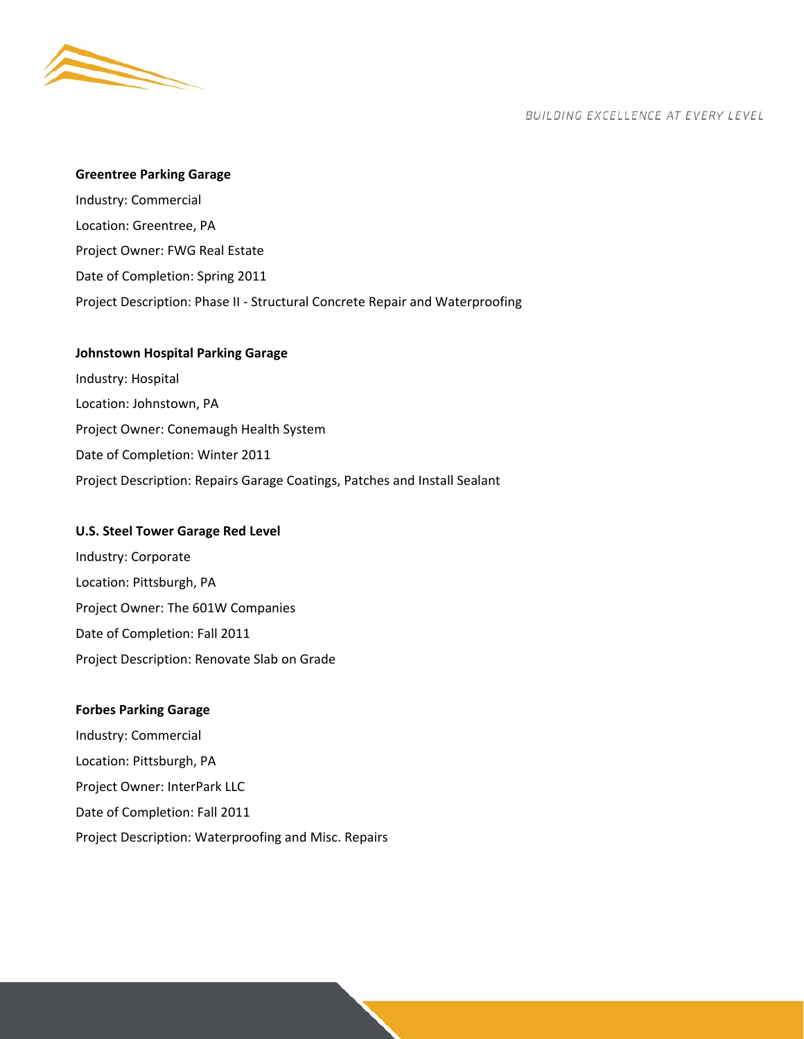

#### **Greentree Parking Garage**

Industry: Commercial Location: Greentree, PA Project Owner: FWG Real Estate Date of Completion: Spring 2011 Project Description: Phase II ‐ Structural Concrete Repair and Waterproofing

## **Johnstown Hospital Parking Garage**

Industry: Hospital Location: Johnstown, PA Project Owner: Conemaugh Health System Date of Completion: Winter 2011 Project Description: Repairs Garage Coatings, Patches and Install Sealant

#### **U.S. Steel Tower Garage Red Level**

Industry: Corporate Location: Pittsburgh, PA Project Owner: The 601W Companies Date of Completion: Fall 2011 Project Description: Renovate Slab on Grade

#### **Forbes Parking Garage**

Industry: Commercial Location: Pittsburgh, PA Project Owner: InterPark LLC Date of Completion: Fall 2011 Project Description: Waterproofing and Misc. Repairs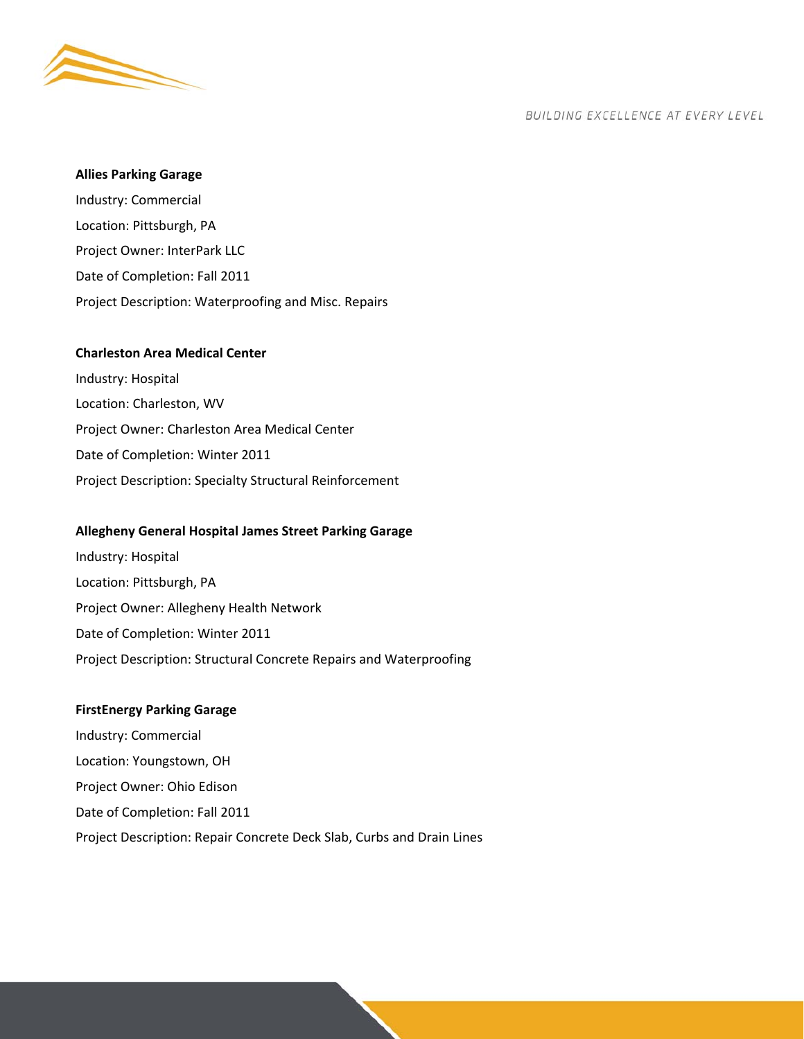

#### **Allies Parking Garage**

Industry: Commercial Location: Pittsburgh, PA Project Owner: InterPark LLC Date of Completion: Fall 2011 Project Description: Waterproofing and Misc. Repairs

## **Charleston Area Medical Center**

Industry: Hospital Location: Charleston, WV Project Owner: Charleston Area Medical Center Date of Completion: Winter 2011 Project Description: Specialty Structural Reinforcement

#### **Allegheny General Hospital James Street Parking Garage**

Industry: Hospital Location: Pittsburgh, PA Project Owner: Allegheny Health Network Date of Completion: Winter 2011 Project Description: Structural Concrete Repairs and Waterproofing

#### **FirstEnergy Parking Garage**

Industry: Commercial Location: Youngstown, OH Project Owner: Ohio Edison Date of Completion: Fall 2011 Project Description: Repair Concrete Deck Slab, Curbs and Drain Lines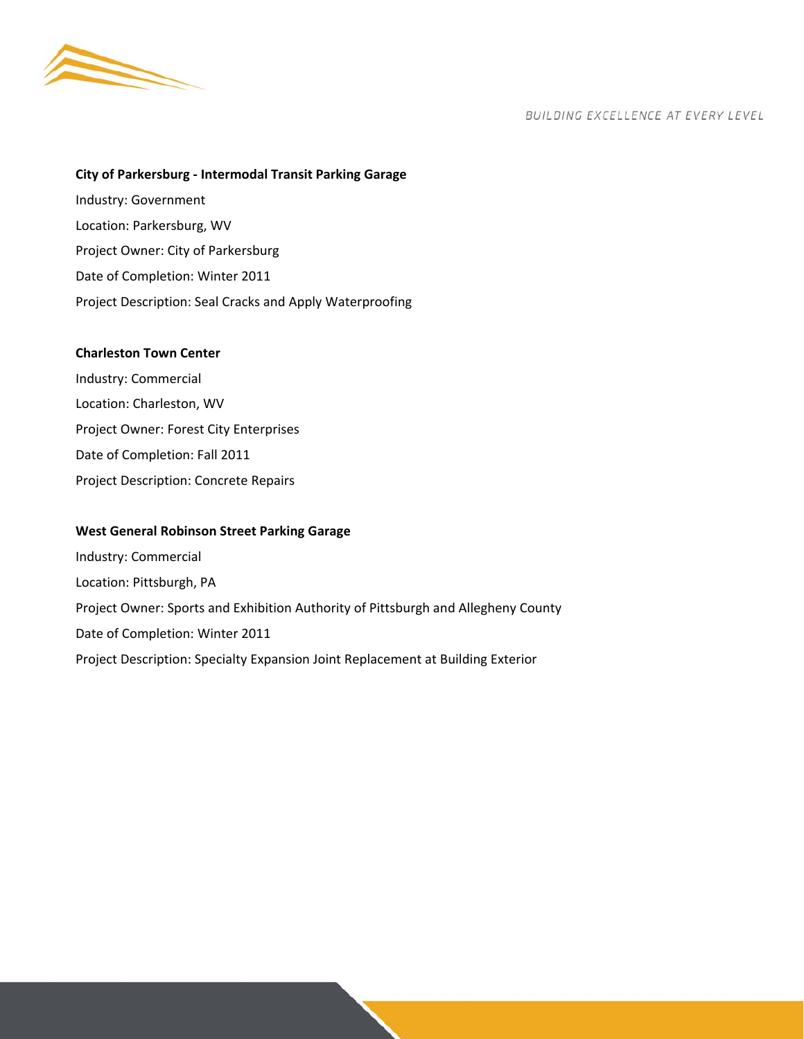

#### **City of Parkersburg ‐ Intermodal Transit Parking Garage**

Industry: Government Location: Parkersburg, WV Project Owner: City of Parkersburg Date of Completion: Winter 2011 Project Description: Seal Cracks and Apply Waterproofing

#### **Charleston Town Center**

Industry: Commercial Location: Charleston, WV Project Owner: Forest City Enterprises Date of Completion: Fall 2011 Project Description: Concrete Repairs

#### **West General Robinson Street Parking Garage**

Industry: Commercial Location: Pittsburgh, PA Project Owner: Sports and Exhibition Authority of Pittsburgh and Allegheny County Date of Completion: Winter 2011 Project Description: Specialty Expansion Joint Replacement at Building Exterior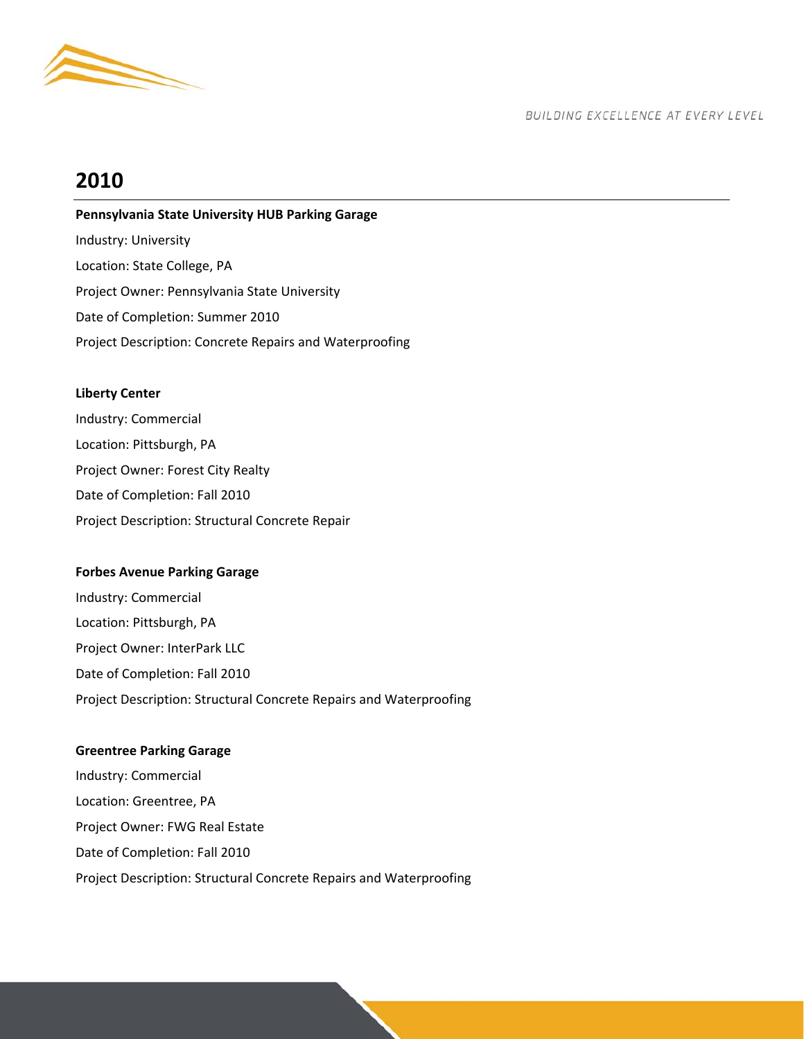

# **2010**

## **Pennsylvania State University HUB Parking Garage**

Industry: University Location: State College, PA Project Owner: Pennsylvania State University Date of Completion: Summer 2010 Project Description: Concrete Repairs and Waterproofing

## **Liberty Center**

Industry: Commercial Location: Pittsburgh, PA Project Owner: Forest City Realty Date of Completion: Fall 2010 Project Description: Structural Concrete Repair

## **Forbes Avenue Parking Garage**

Industry: Commercial Location: Pittsburgh, PA Project Owner: InterPark LLC Date of Completion: Fall 2010 Project Description: Structural Concrete Repairs and Waterproofing

## **Greentree Parking Garage**

Industry: Commercial Location: Greentree, PA Project Owner: FWG Real Estate Date of Completion: Fall 2010 Project Description: Structural Concrete Repairs and Waterproofing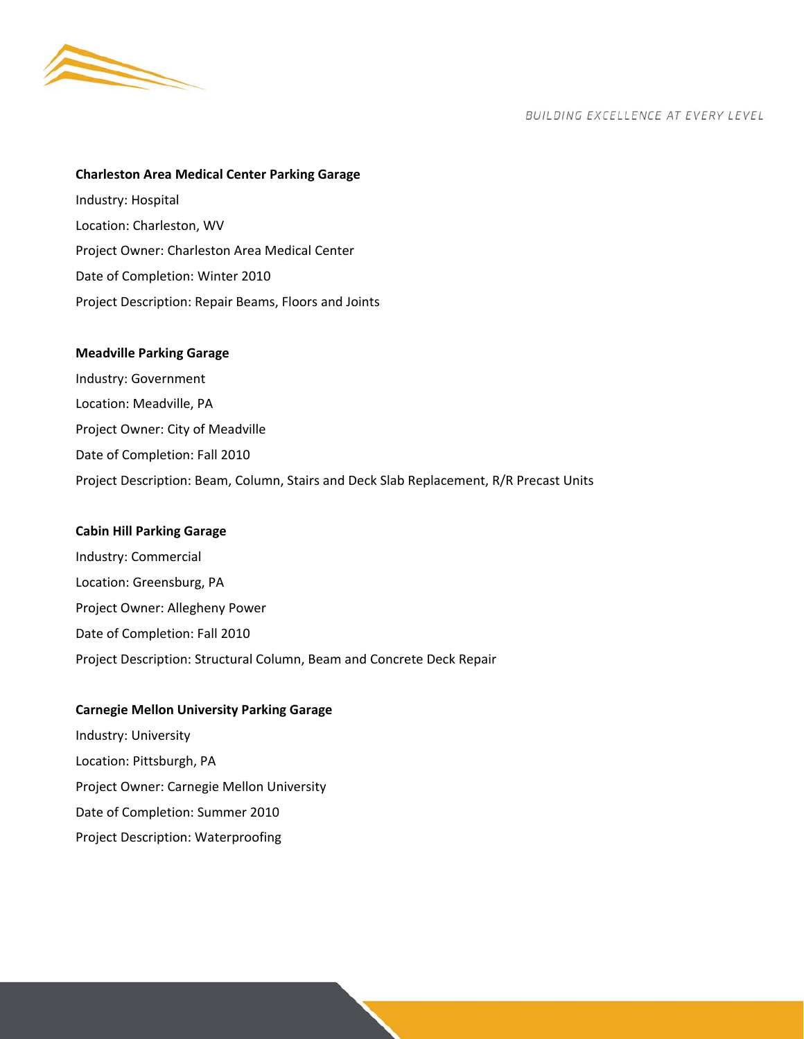

## **Charleston Area Medical Center Parking Garage**

Industry: Hospital Location: Charleston, WV Project Owner: Charleston Area Medical Center Date of Completion: Winter 2010 Project Description: Repair Beams, Floors and Joints

#### **Meadville Parking Garage**

Industry: Government Location: Meadville, PA Project Owner: City of Meadville Date of Completion: Fall 2010 Project Description: Beam, Column, Stairs and Deck Slab Replacement, R/R Precast Units

#### **Cabin Hill Parking Garage**

Industry: Commercial Location: Greensburg, PA Project Owner: Allegheny Power Date of Completion: Fall 2010 Project Description: Structural Column, Beam and Concrete Deck Repair

#### **Carnegie Mellon University Parking Garage**

Industry: University Location: Pittsburgh, PA Project Owner: Carnegie Mellon University Date of Completion: Summer 2010 Project Description: Waterproofing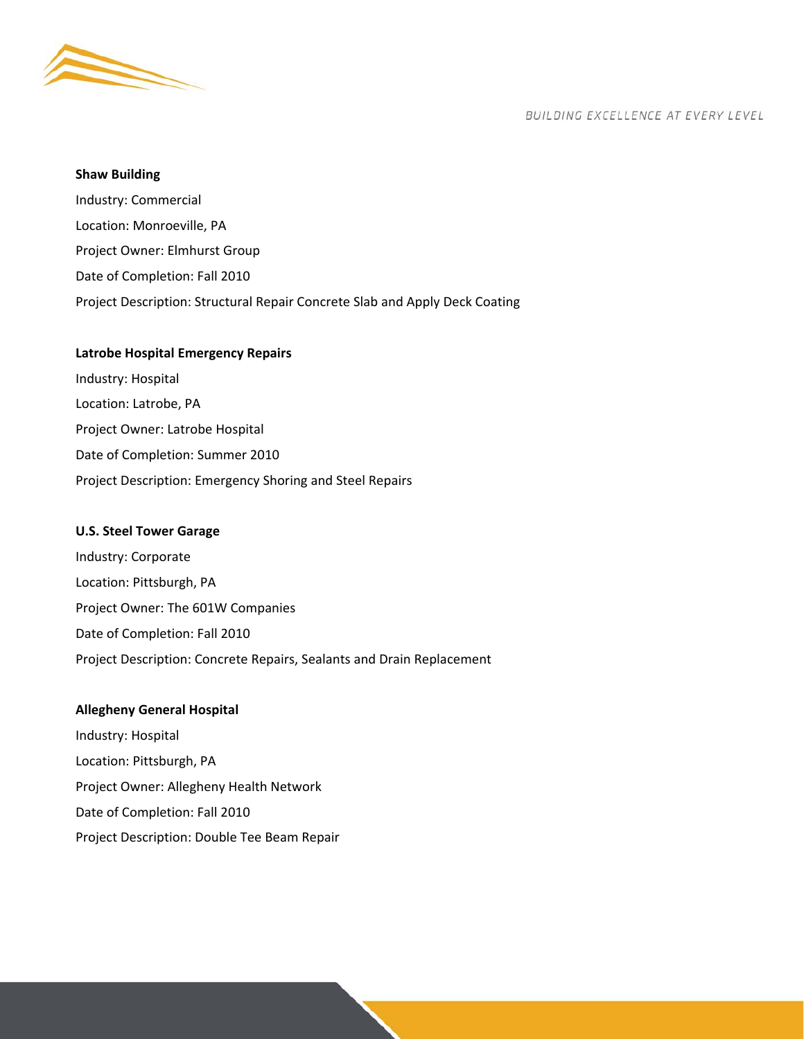

#### **Shaw Building**

Industry: Commercial Location: Monroeville, PA Project Owner: Elmhurst Group Date of Completion: Fall 2010 Project Description: Structural Repair Concrete Slab and Apply Deck Coating

#### **Latrobe Hospital Emergency Repairs**

Industry: Hospital Location: Latrobe, PA Project Owner: Latrobe Hospital Date of Completion: Summer 2010 Project Description: Emergency Shoring and Steel Repairs

#### **U.S. Steel Tower Garage**

Industry: Corporate Location: Pittsburgh, PA Project Owner: The 601W Companies Date of Completion: Fall 2010 Project Description: Concrete Repairs, Sealants and Drain Replacement

## **Allegheny General Hospital**

Industry: Hospital Location: Pittsburgh, PA Project Owner: Allegheny Health Network Date of Completion: Fall 2010 Project Description: Double Tee Beam Repair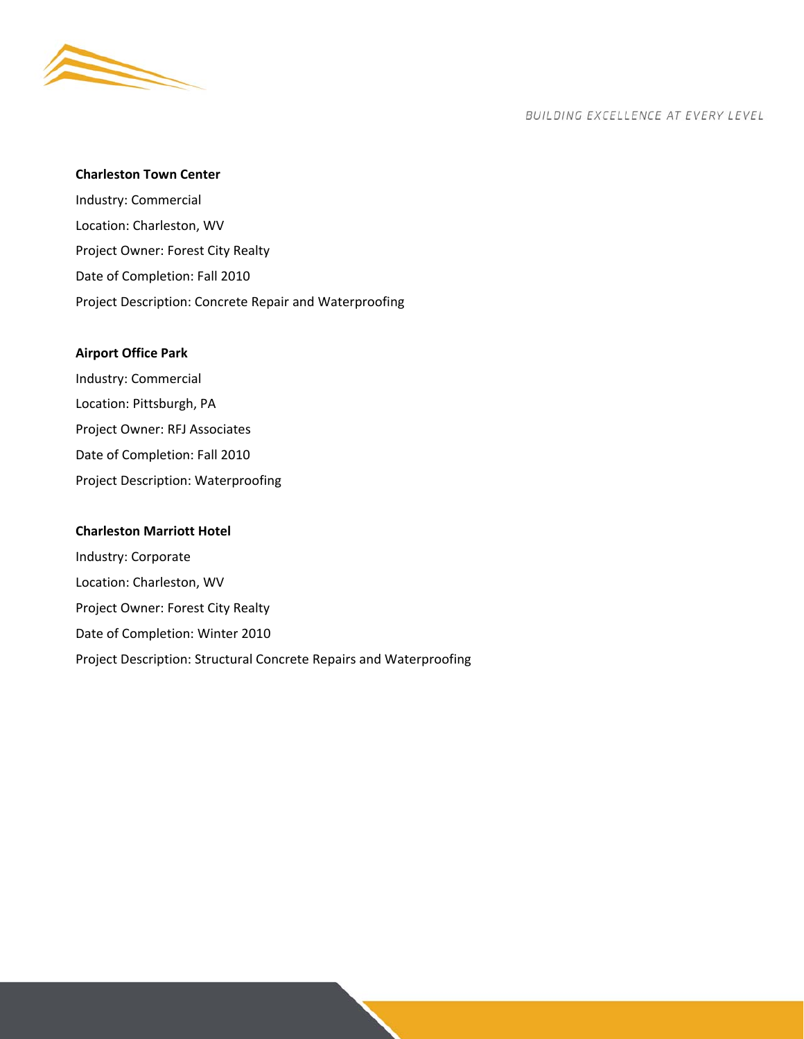

#### **Charleston Town Center**

Industry: Commercial Location: Charleston, WV Project Owner: Forest City Realty Date of Completion: Fall 2010 Project Description: Concrete Repair and Waterproofing

#### **Airport Office Park**

Industry: Commercial Location: Pittsburgh, PA Project Owner: RFJ Associates Date of Completion: Fall 2010 Project Description: Waterproofing

#### **Charleston Marriott Hotel**

Industry: Corporate Location: Charleston, WV Project Owner: Forest City Realty Date of Completion: Winter 2010 Project Description: Structural Concrete Repairs and Waterproofing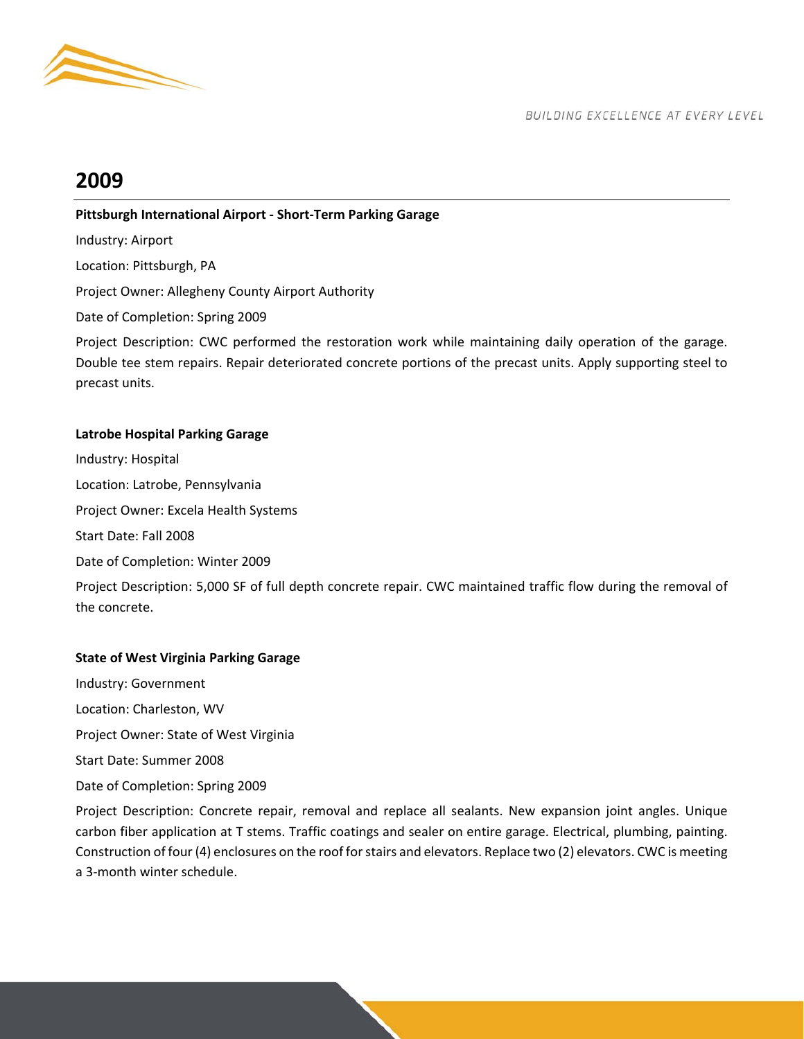

# **2009**

## **Pittsburgh International Airport ‐ Short‐Term Parking Garage**

Industry: Airport Location: Pittsburgh, PA Project Owner: Allegheny County Airport Authority

Date of Completion: Spring 2009

Project Description: CWC performed the restoration work while maintaining daily operation of the garage. Double tee stem repairs. Repair deteriorated concrete portions of the precast units. Apply supporting steel to precast units.

## **Latrobe Hospital Parking Garage**

Industry: Hospital Location: Latrobe, Pennsylvania Project Owner: Excela Health Systems Start Date: Fall 2008 Date of Completion: Winter 2009 Project Description: 5,000 SF of full depth concrete repair. CWC maintained traffic flow during the removal of the concrete.

## **State of West Virginia Parking Garage**

Industry: Government Location: Charleston, WV Project Owner: State of West Virginia Start Date: Summer 2008 Date of Completion: Spring 2009

Project Description: Concrete repair, removal and replace all sealants. New expansion joint angles. Unique carbon fiber application at T stems. Traffic coatings and sealer on entire garage. Electrical, plumbing, painting. Construction of four (4) enclosures on the roof for stairs and elevators. Replace two (2) elevators. CWC is meeting a 3‐month winter schedule.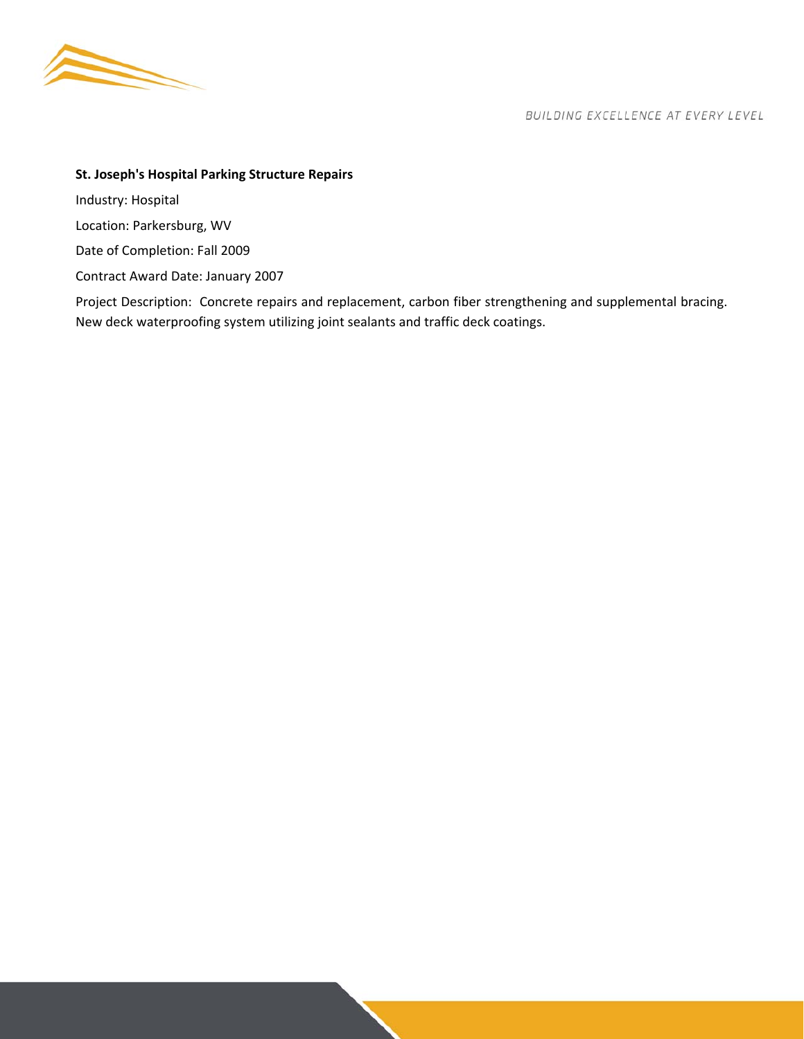

## **St. Joseph's Hospital Parking Structure Repairs**

Industry: Hospital

Location: Parkersburg, WV

Date of Completion: Fall 2009

Contract Award Date: January 2007

Project Description: Concrete repairs and replacement, carbon fiber strengthening and supplemental bracing. New deck waterproofing system utilizing joint sealants and traffic deck coatings.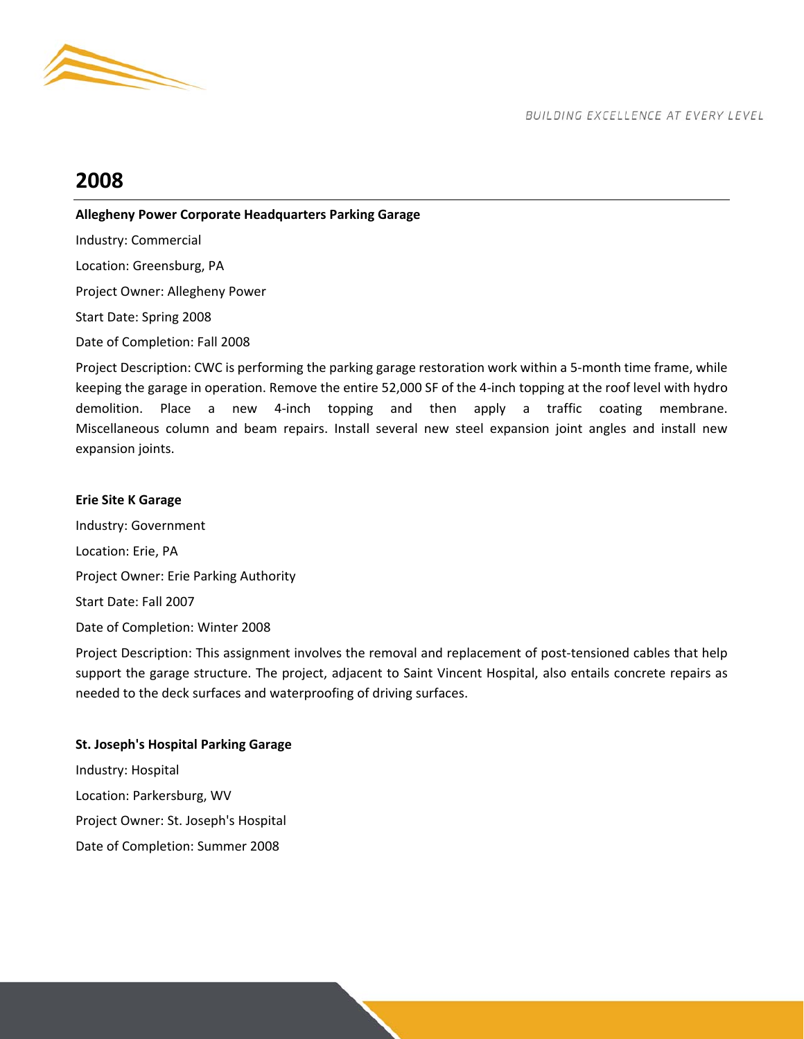

## **2008**

## **Allegheny Power Corporate Headquarters Parking Garage**

Industry: Commercial Location: Greensburg, PA

Project Owner: Allegheny Power

Start Date: Spring 2008

Date of Completion: Fall 2008

Project Description: CWC is performing the parking garage restoration work within a 5-month time frame, while keeping the garage in operation. Remove the entire 52,000 SF of the 4‐inch topping at the roof level with hydro demolition. Place a new 4-inch topping and then apply a traffic coating membrane. Miscellaneous column and beam repairs. Install several new steel expansion joint angles and install new expansion joints.

## **Erie Site K Garage**

Industry: Government Location: Erie, PA Project Owner: Erie Parking Authority Start Date: Fall 2007 Date of Completion: Winter 2008

Project Description: This assignment involves the removal and replacement of post-tensioned cables that help support the garage structure. The project, adjacent to Saint Vincent Hospital, also entails concrete repairs as needed to the deck surfaces and waterproofing of driving surfaces.

## **St. Joseph's Hospital Parking Garage**

Industry: Hospital Location: Parkersburg, WV Project Owner: St. Joseph's Hospital Date of Completion: Summer 2008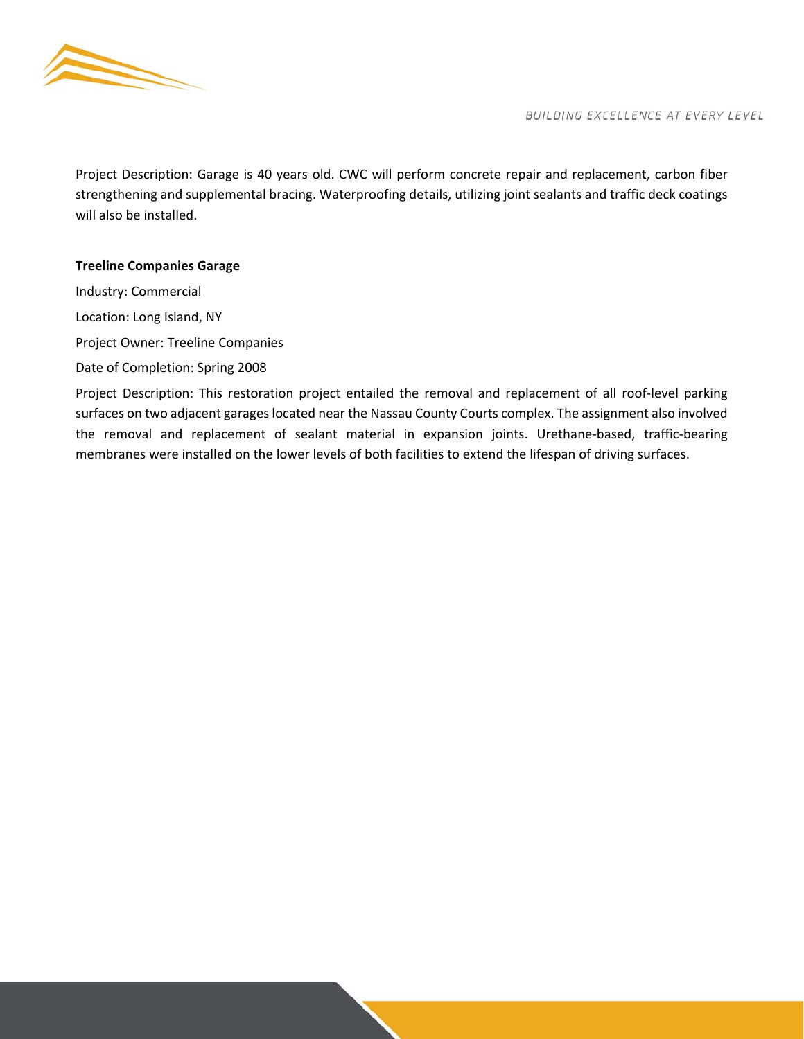

Project Description: Garage is 40 years old. CWC will perform concrete repair and replacement, carbon fiber strengthening and supplemental bracing. Waterproofing details, utilizing joint sealants and traffic deck coatings will also be installed.

## **Treeline Companies Garage**

Industry: Commercial Location: Long Island, NY Project Owner: Treeline Companies Date of Completion: Spring 2008

Project Description: This restoration project entailed the removal and replacement of all roof-level parking surfaces on two adjacent garages located near the Nassau County Courts complex. The assignment also involved the removal and replacement of sealant material in expansion joints. Urethane‐based, traffic‐bearing membranes were installed on the lower levels of both facilities to extend the lifespan of driving surfaces.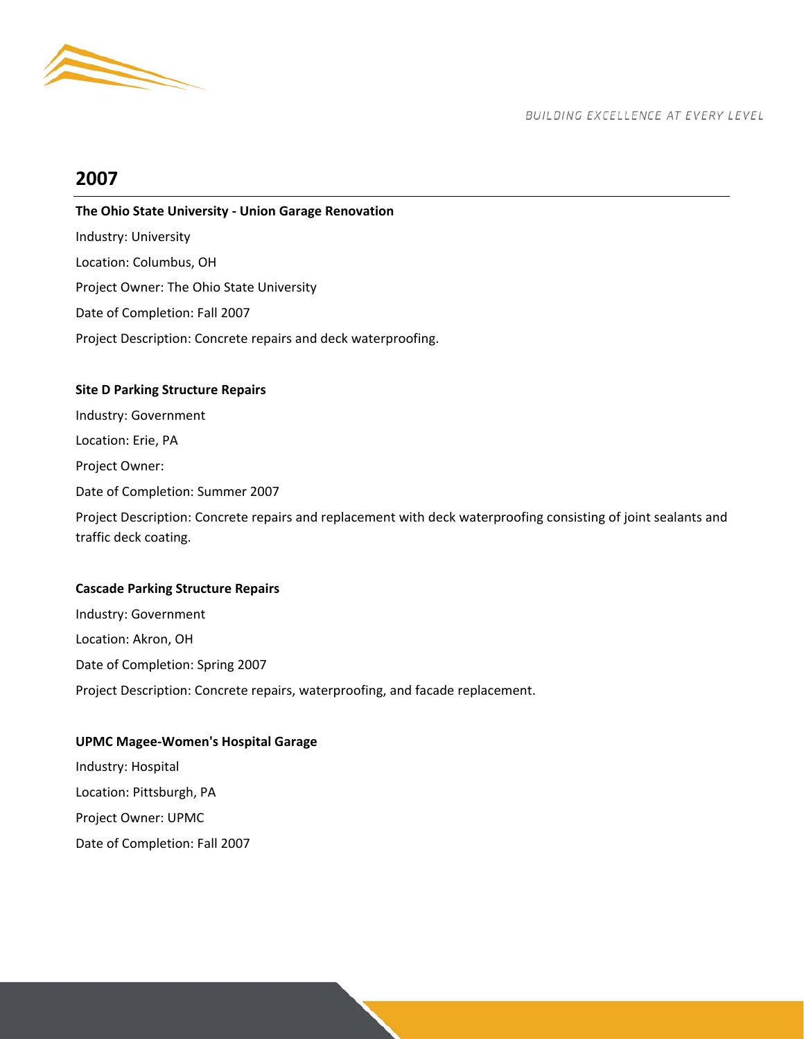

## **2007**

## **The Ohio State University ‐ Union Garage Renovation**

Industry: University Location: Columbus, OH Project Owner: The Ohio State University Date of Completion: Fall 2007 Project Description: Concrete repairs and deck waterproofing.

## **Site D Parking Structure Repairs**

Industry: Government Location: Erie, PA Project Owner: Date of Completion: Summer 2007 Project Description: Concrete repairs and replacement with deck waterproofing consisting of joint sealants and traffic deck coating.

## **Cascade Parking Structure Repairs**

Industry: Government Location: Akron, OH Date of Completion: Spring 2007 Project Description: Concrete repairs, waterproofing, and facade replacement.

## **UPMC Magee‐Women's Hospital Garage**

Industry: Hospital Location: Pittsburgh, PA Project Owner: UPMC Date of Completion: Fall 2007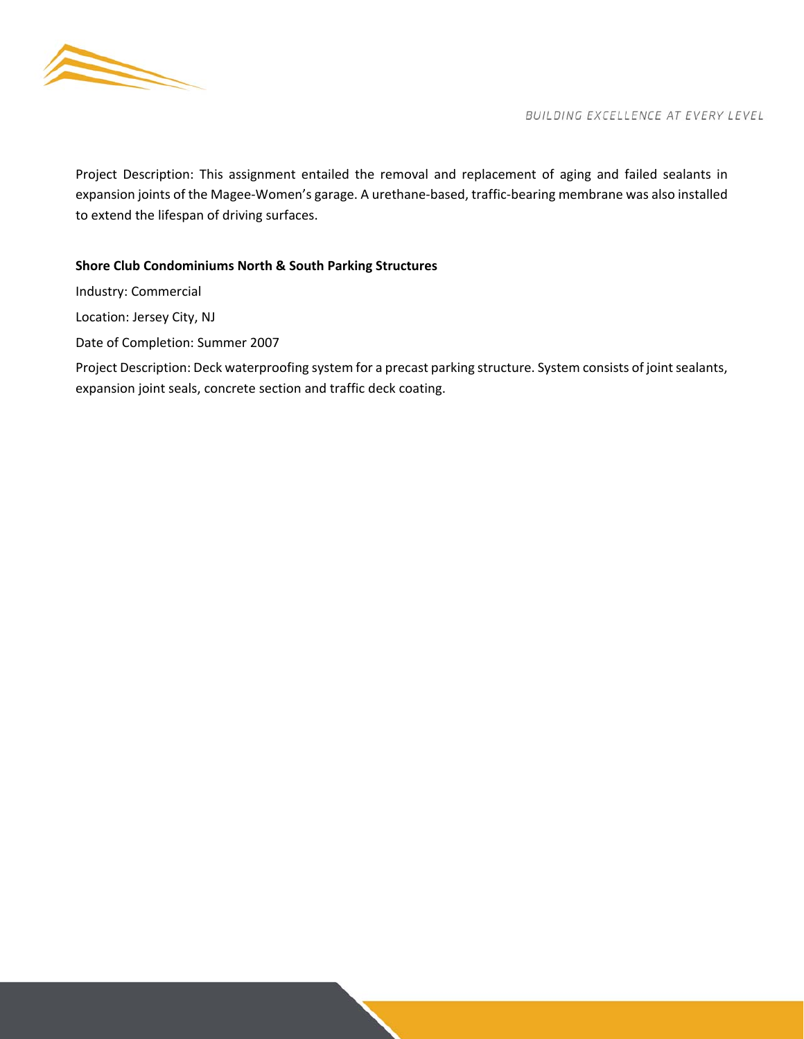

Project Description: This assignment entailed the removal and replacement of aging and failed sealants in expansion joints of the Magee‐Women's garage. A urethane‐based, traffic‐bearing membrane was also installed to extend the lifespan of driving surfaces.

## **Shore Club Condominiums North & South Parking Structures**

Industry: Commercial

Location: Jersey City, NJ

Date of Completion: Summer 2007

Project Description: Deck waterproofing system for a precast parking structure. System consists of joint sealants, expansion joint seals, concrete section and traffic deck coating.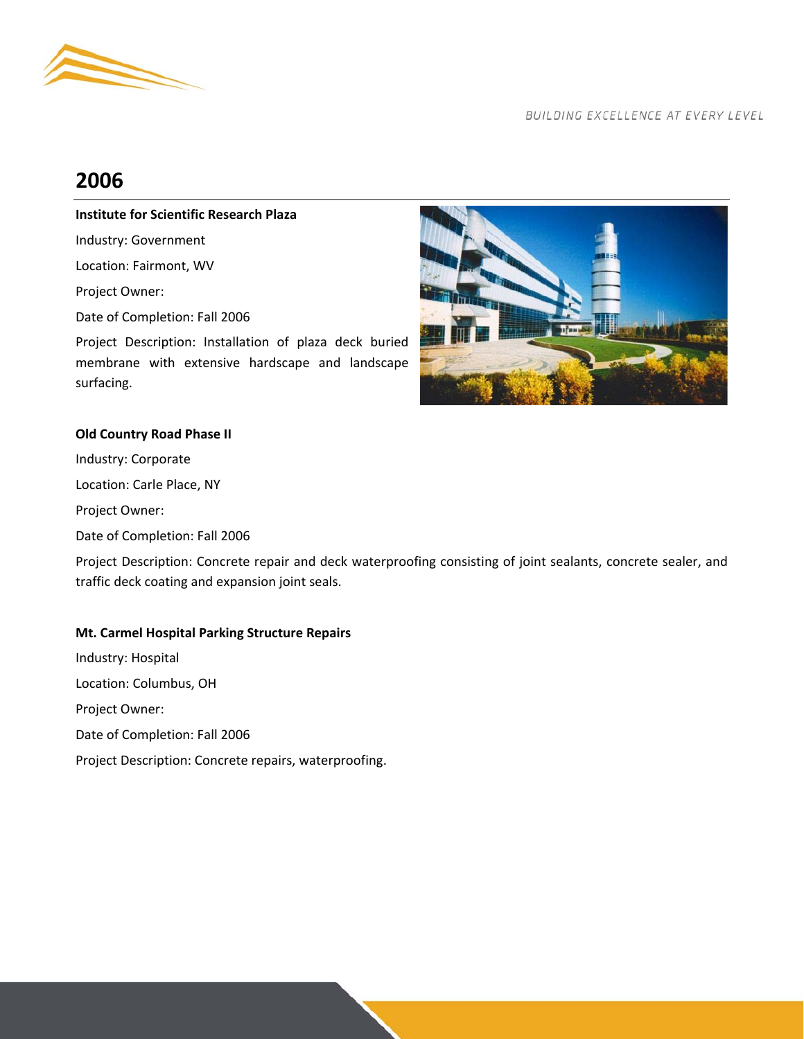

# **2006**

## **Institute for Scientific Research Plaza**

Industry: Government

Location: Fairmont, WV

Project Owner:

Date of Completion: Fall 2006

Project Description: Installation of plaza deck buried membrane with extensive hardscape and landscape surfacing.



## **Old Country Road Phase II**

Industry: Corporate

Location: Carle Place, NY

Project Owner:

Date of Completion: Fall 2006

Project Description: Concrete repair and deck waterproofing consisting of joint sealants, concrete sealer, and traffic deck coating and expansion joint seals.

## **Mt. Carmel Hospital Parking Structure Repairs**

Industry: Hospital Location: Columbus, OH Project Owner: Date of Completion: Fall 2006 Project Description: Concrete repairs, waterproofing.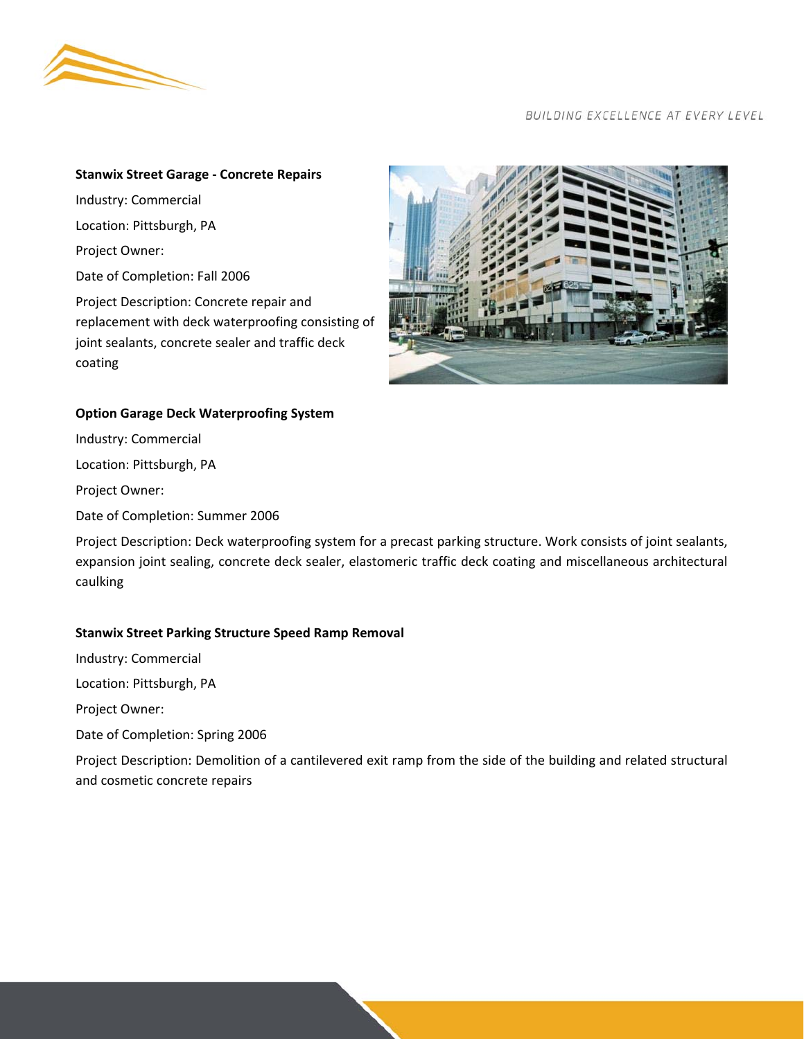

#### **Stanwix Street Garage ‐ Concrete Repairs**

Industry: Commercial Location: Pittsburgh, PA Project Owner: Date of Completion: Fall 2006 Project Description: Concrete repair and replacement with deck waterproofing consisting of joint sealants, concrete sealer and traffic deck



## **Option Garage Deck Waterproofing System**

Industry: Commercial

Location: Pittsburgh, PA

Project Owner:

coating

Date of Completion: Summer 2006

Project Description: Deck waterproofing system for a precast parking structure. Work consists of joint sealants, expansion joint sealing, concrete deck sealer, elastomeric traffic deck coating and miscellaneous architectural caulking

## **Stanwix Street Parking Structure Speed Ramp Removal**

Industry: Commercial

Location: Pittsburgh, PA

Project Owner:

Date of Completion: Spring 2006

Project Description: Demolition of a cantilevered exit ramp from the side of the building and related structural and cosmetic concrete repairs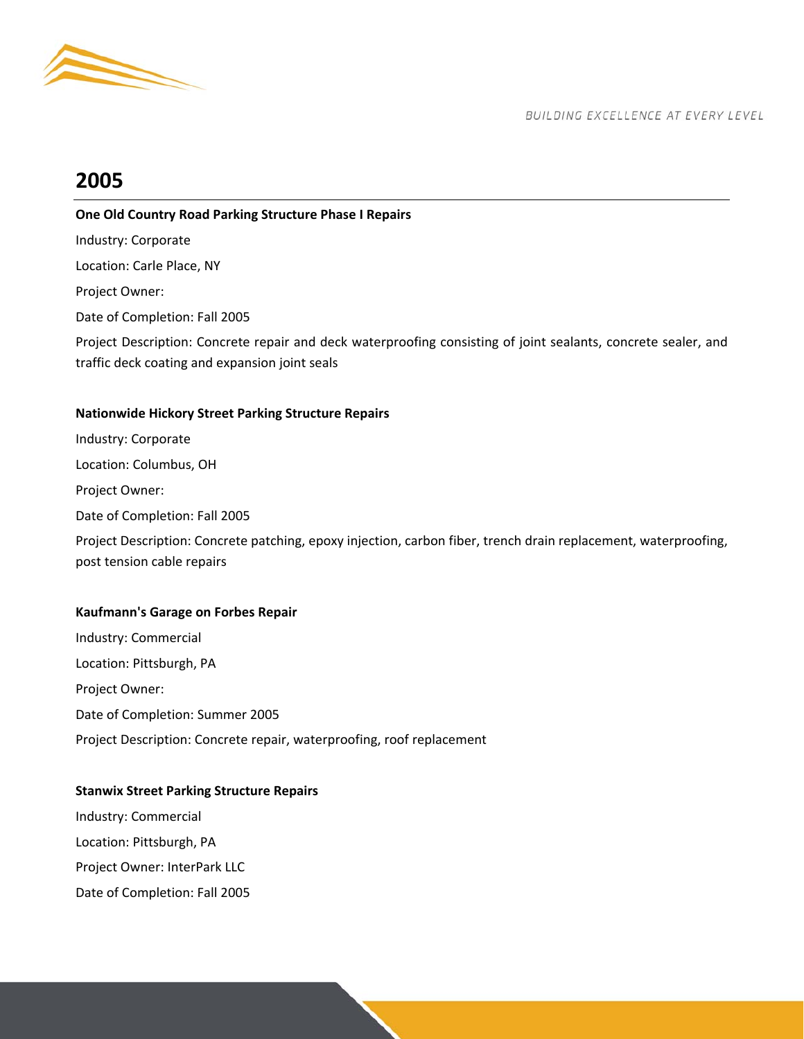

## **2005**

## **One Old Country Road Parking Structure Phase I Repairs**

Industry: Corporate

Location: Carle Place, NY

Project Owner:

Date of Completion: Fall 2005

Project Description: Concrete repair and deck waterproofing consisting of joint sealants, concrete sealer, and traffic deck coating and expansion joint seals

## **Nationwide Hickory Street Parking Structure Repairs**

Industry: Corporate Location: Columbus, OH Project Owner: Date of Completion: Fall 2005 Project Description: Concrete patching, epoxy injection, carbon fiber, trench drain replacement, waterproofing, post tension cable repairs

## **Kaufmann's Garage on Forbes Repair**

Industry: Commercial Location: Pittsburgh, PA Project Owner: Date of Completion: Summer 2005 Project Description: Concrete repair, waterproofing, roof replacement

#### **Stanwix Street Parking Structure Repairs**

Industry: Commercial

Location: Pittsburgh, PA

Project Owner: InterPark LLC

Date of Completion: Fall 2005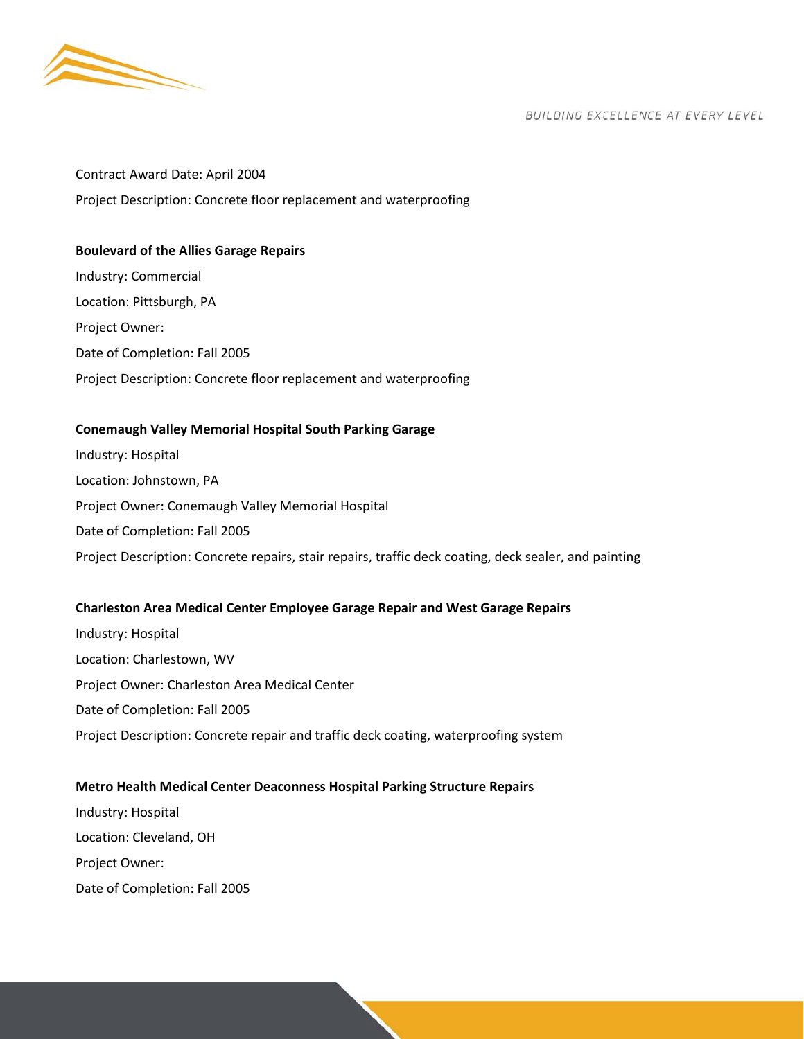

## Contract Award Date: April 2004 Project Description: Concrete floor replacement and waterproofing

## **Boulevard of the Allies Garage Repairs**

Industry: Commercial Location: Pittsburgh, PA Project Owner: Date of Completion: Fall 2005 Project Description: Concrete floor replacement and waterproofing

## **Conemaugh Valley Memorial Hospital South Parking Garage**

Industry: Hospital Location: Johnstown, PA Project Owner: Conemaugh Valley Memorial Hospital Date of Completion: Fall 2005 Project Description: Concrete repairs, stair repairs, traffic deck coating, deck sealer, and painting

## **Charleston Area Medical Center Employee Garage Repair and West Garage Repairs**

Industry: Hospital Location: Charlestown, WV Project Owner: Charleston Area Medical Center Date of Completion: Fall 2005 Project Description: Concrete repair and traffic deck coating, waterproofing system

## **Metro Health Medical Center Deaconness Hospital Parking Structure Repairs**

Industry: Hospital Location: Cleveland, OH Project Owner: Date of Completion: Fall 2005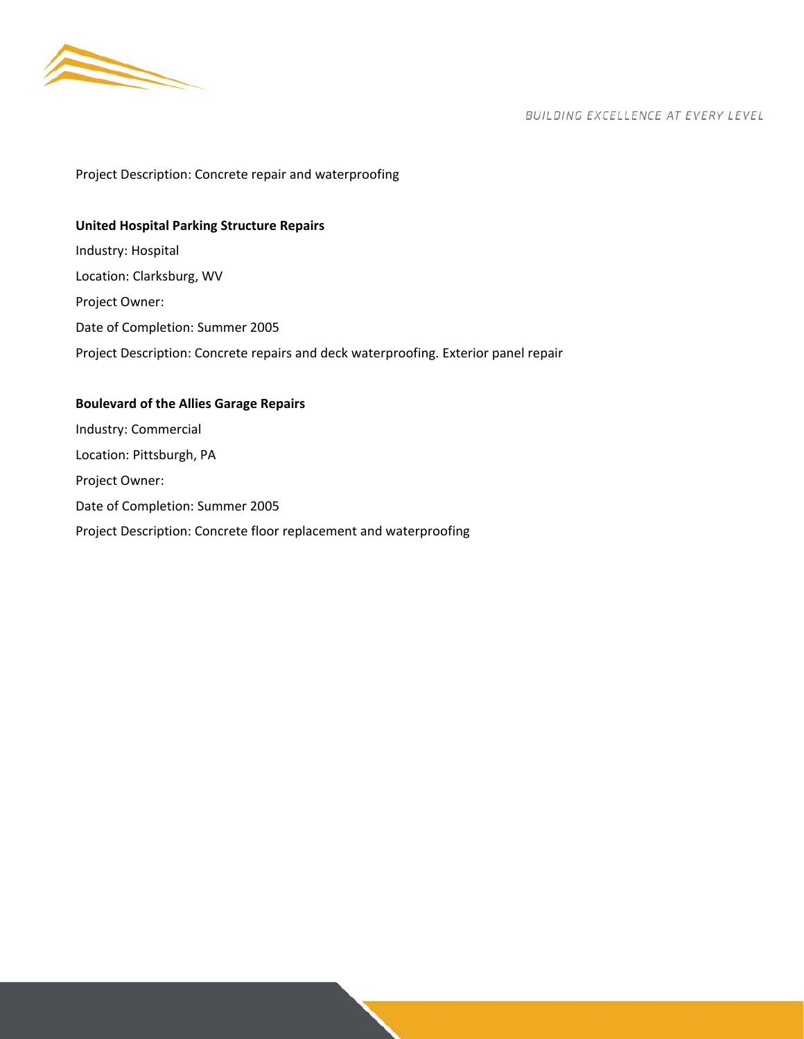

Project Description: Concrete repair and waterproofing

## **United Hospital Parking Structure Repairs**

Industry: Hospital Location: Clarksburg, WV Project Owner: Date of Completion: Summer 2005 Project Description: Concrete repairs and deck waterproofing. Exterior panel repair

## **Boulevard of the Allies Garage Repairs**

Industry: Commercial Location: Pittsburgh, PA Project Owner: Date of Completion: Summer 2005 Project Description: Concrete floor replacement and waterproofing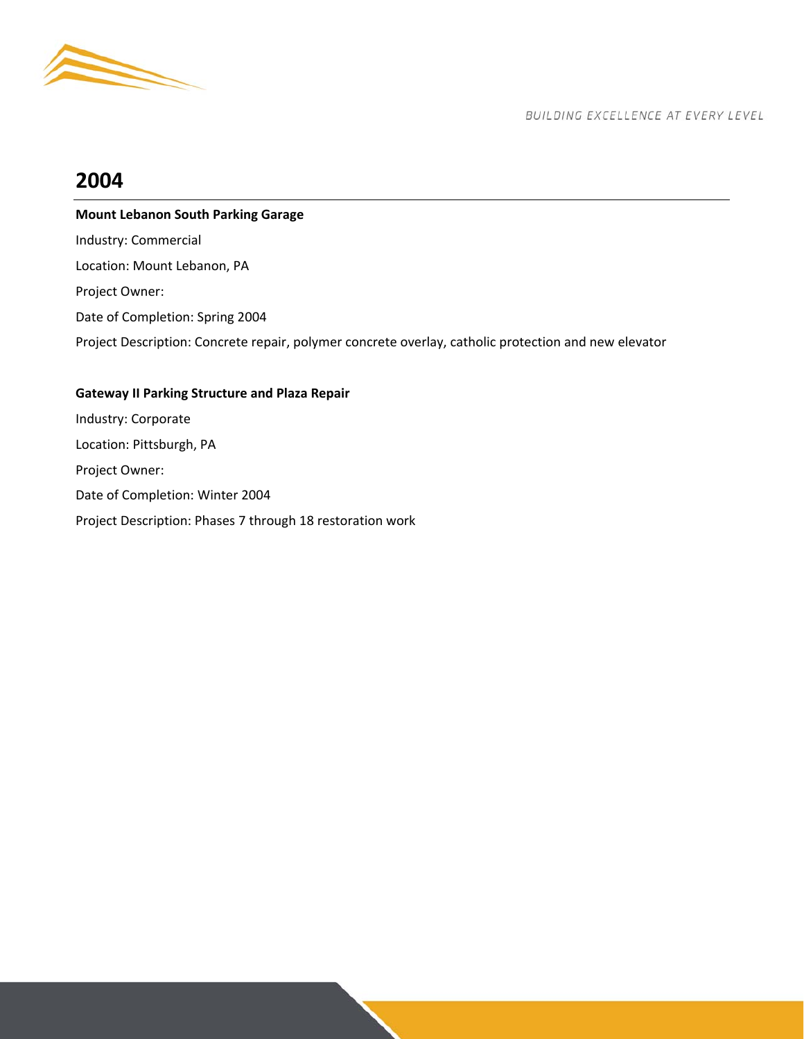

## **2004**

## **Mount Lebanon South Parking Garage**

Industry: Commercial Location: Mount Lebanon, PA

Project Owner:

Date of Completion: Spring 2004

Project Description: Concrete repair, polymer concrete overlay, catholic protection and new elevator

## **Gateway II Parking Structure and Plaza Repair**

Industry: Corporate Location: Pittsburgh, PA Project Owner: Date of Completion: Winter 2004 Project Description: Phases 7 through 18 restoration work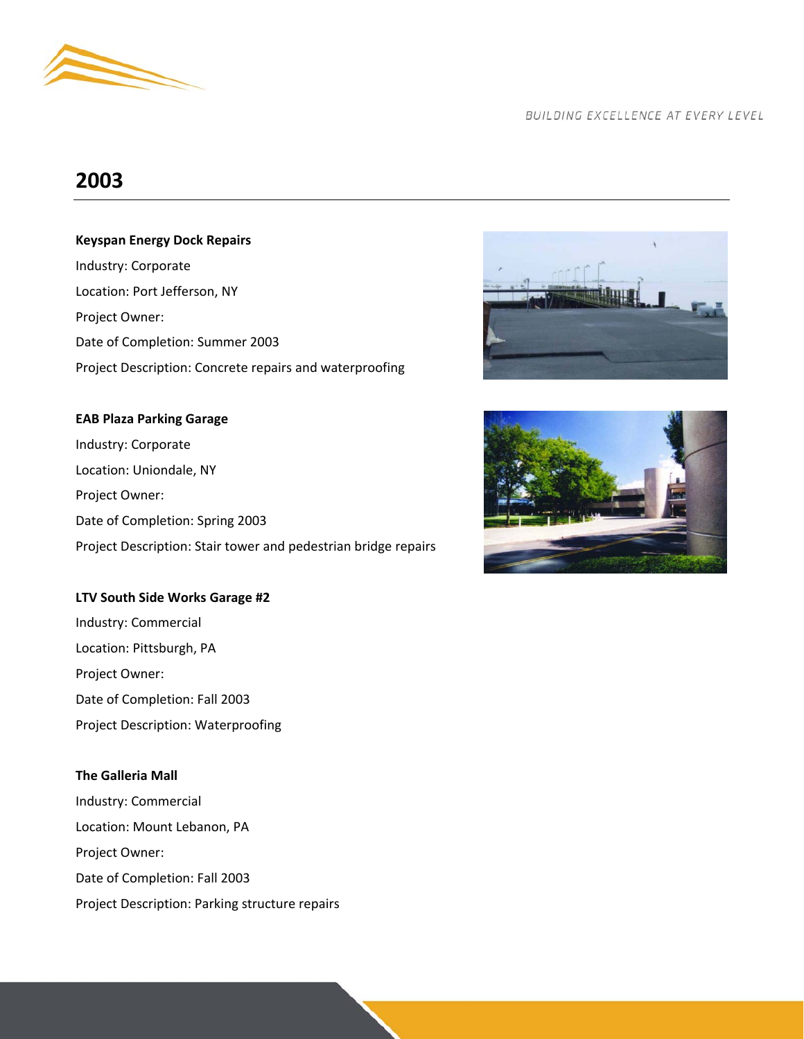

## **2003**

## **Keyspan Energy Dock Repairs**

Industry: Corporate Location: Port Jefferson, NY Project Owner: Date of Completion: Summer 2003 Project Description: Concrete repairs and waterproofing

## **EAB Plaza Parking Garage**

Industry: Corporate Location: Uniondale, NY Project Owner: Date of Completion: Spring 2003 Project Description: Stair tower and pedestrian bridge repairs

#### **LTV South Side Works Garage #2**

Industry: Commercial Location: Pittsburgh, PA Project Owner: Date of Completion: Fall 2003 Project Description: Waterproofing

## **The Galleria Mall**

Industry: Commercial Location: Mount Lebanon, PA Project Owner: Date of Completion: Fall 2003 Project Description: Parking structure repairs



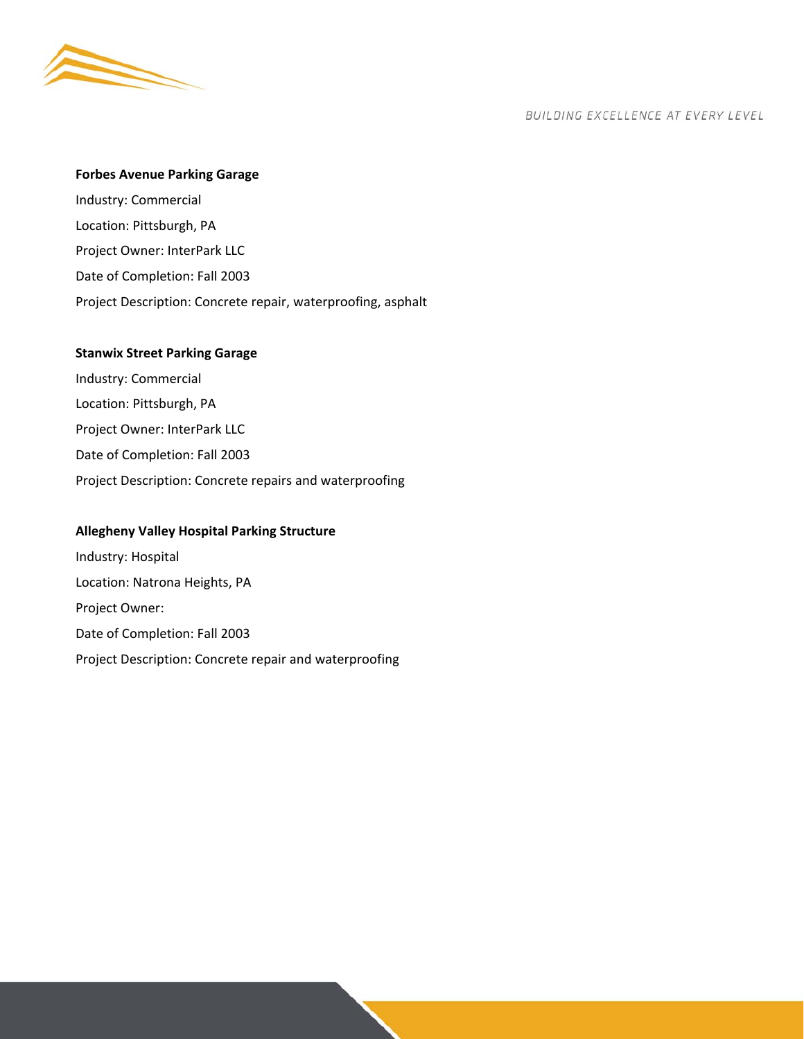

## **Forbes Avenue Parking Garage**

Industry: Commercial Location: Pittsburgh, PA Project Owner: InterPark LLC Date of Completion: Fall 2003 Project Description: Concrete repair, waterproofing, asphalt

#### **Stanwix Street Parking Garage**

Industry: Commercial Location: Pittsburgh, PA Project Owner: InterPark LLC Date of Completion: Fall 2003 Project Description: Concrete repairs and waterproofing

#### **Allegheny Valley Hospital Parking Structure**

Industry: Hospital Location: Natrona Heights, PA Project Owner: Date of Completion: Fall 2003 Project Description: Concrete repair and waterproofing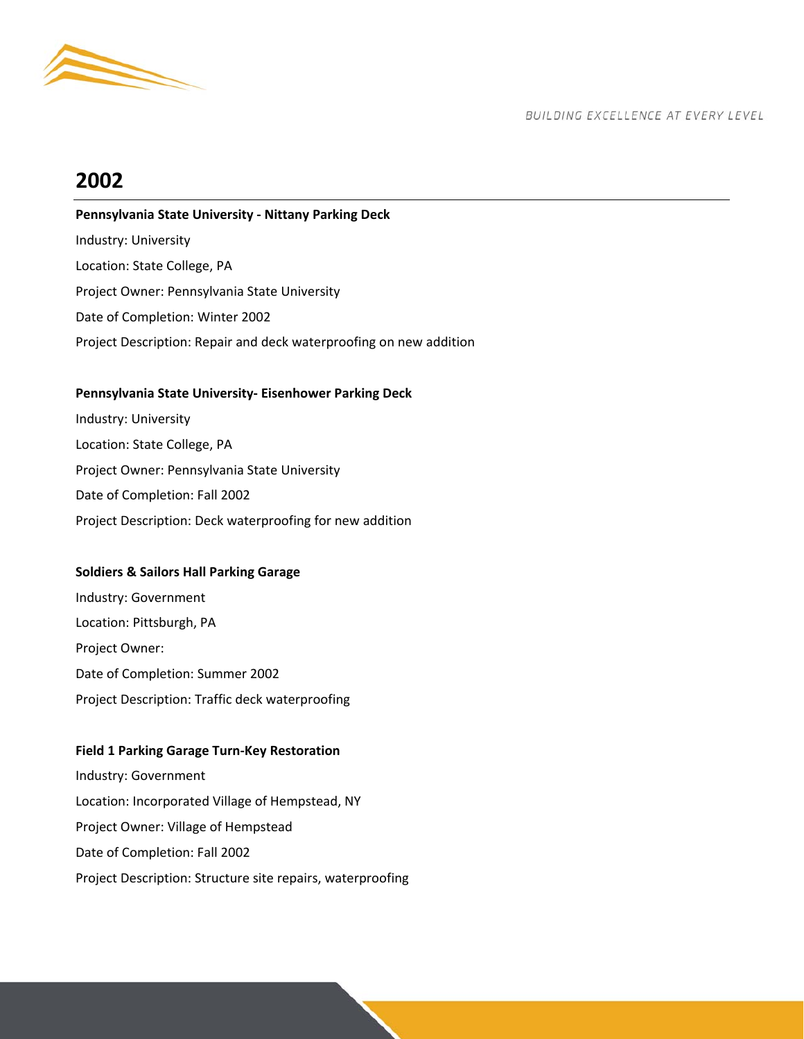

# **2002**

## **Pennsylvania State University ‐ Nittany Parking Deck**

Industry: University Location: State College, PA Project Owner: Pennsylvania State University Date of Completion: Winter 2002 Project Description: Repair and deck waterproofing on new addition

## **Pennsylvania State University‐ Eisenhower Parking Deck**

Industry: University Location: State College, PA Project Owner: Pennsylvania State University Date of Completion: Fall 2002 Project Description: Deck waterproofing for new addition

## **Soldiers & Sailors Hall Parking Garage**

Industry: Government Location: Pittsburgh, PA Project Owner: Date of Completion: Summer 2002 Project Description: Traffic deck waterproofing

## **Field 1 Parking Garage Turn‐Key Restoration**

Industry: Government Location: Incorporated Village of Hempstead, NY Project Owner: Village of Hempstead Date of Completion: Fall 2002 Project Description: Structure site repairs, waterproofing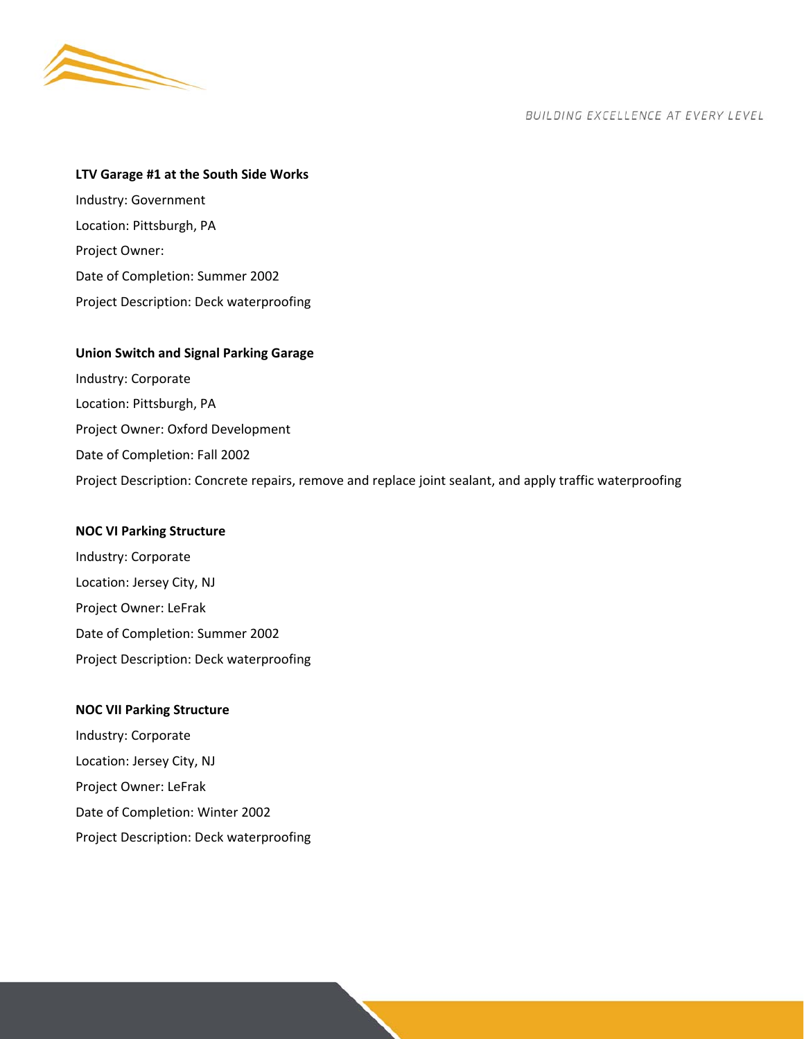

## **LTV Garage #1 at the South Side Works**

Industry: Government Location: Pittsburgh, PA Project Owner: Date of Completion: Summer 2002 Project Description: Deck waterproofing

## **Union Switch and Signal Parking Garage**

Industry: Corporate Location: Pittsburgh, PA Project Owner: Oxford Development Date of Completion: Fall 2002 Project Description: Concrete repairs, remove and replace joint sealant, and apply traffic waterproofing

## **NOC VI Parking Structure**

Industry: Corporate Location: Jersey City, NJ Project Owner: LeFrak Date of Completion: Summer 2002 Project Description: Deck waterproofing

## **NOC VII Parking Structure**

Industry: Corporate Location: Jersey City, NJ Project Owner: LeFrak Date of Completion: Winter 2002 Project Description: Deck waterproofing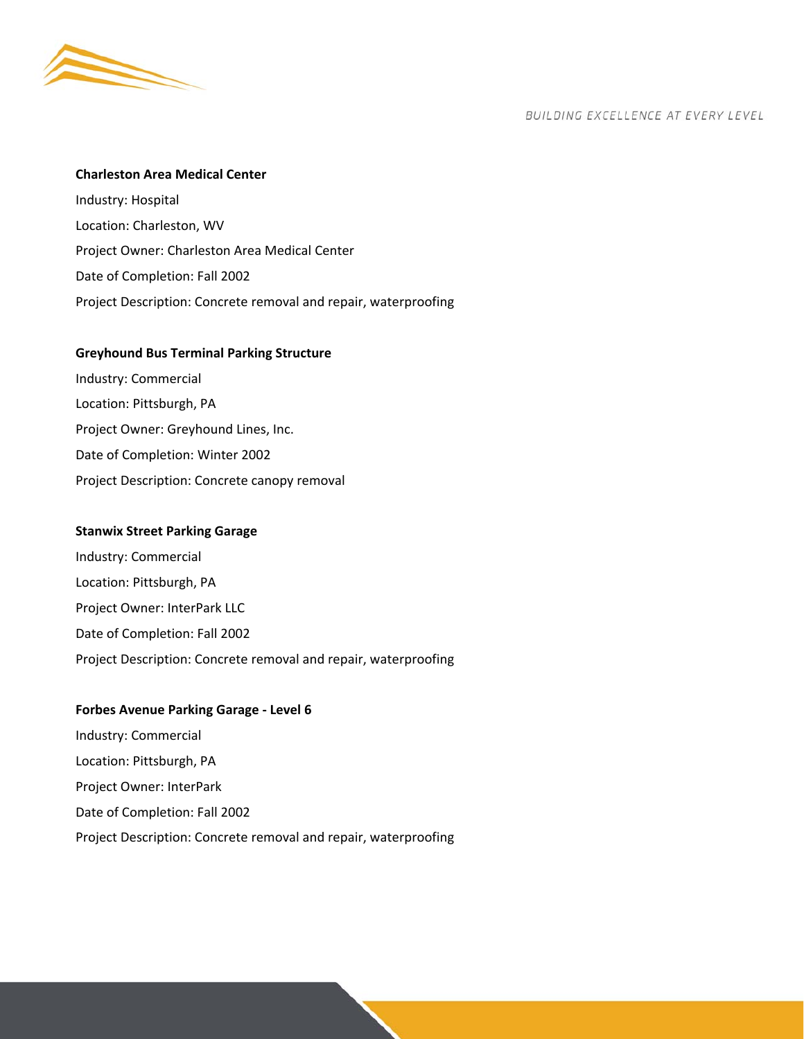

#### **Charleston Area Medical Center**

Industry: Hospital Location: Charleston, WV Project Owner: Charleston Area Medical Center Date of Completion: Fall 2002 Project Description: Concrete removal and repair, waterproofing

#### **Greyhound Bus Terminal Parking Structure**

Industry: Commercial Location: Pittsburgh, PA Project Owner: Greyhound Lines, Inc. Date of Completion: Winter 2002 Project Description: Concrete canopy removal

#### **Stanwix Street Parking Garage**

Industry: Commercial Location: Pittsburgh, PA Project Owner: InterPark LLC Date of Completion: Fall 2002 Project Description: Concrete removal and repair, waterproofing

#### **Forbes Avenue Parking Garage ‐ Level 6**

Industry: Commercial Location: Pittsburgh, PA Project Owner: InterPark Date of Completion: Fall 2002 Project Description: Concrete removal and repair, waterproofing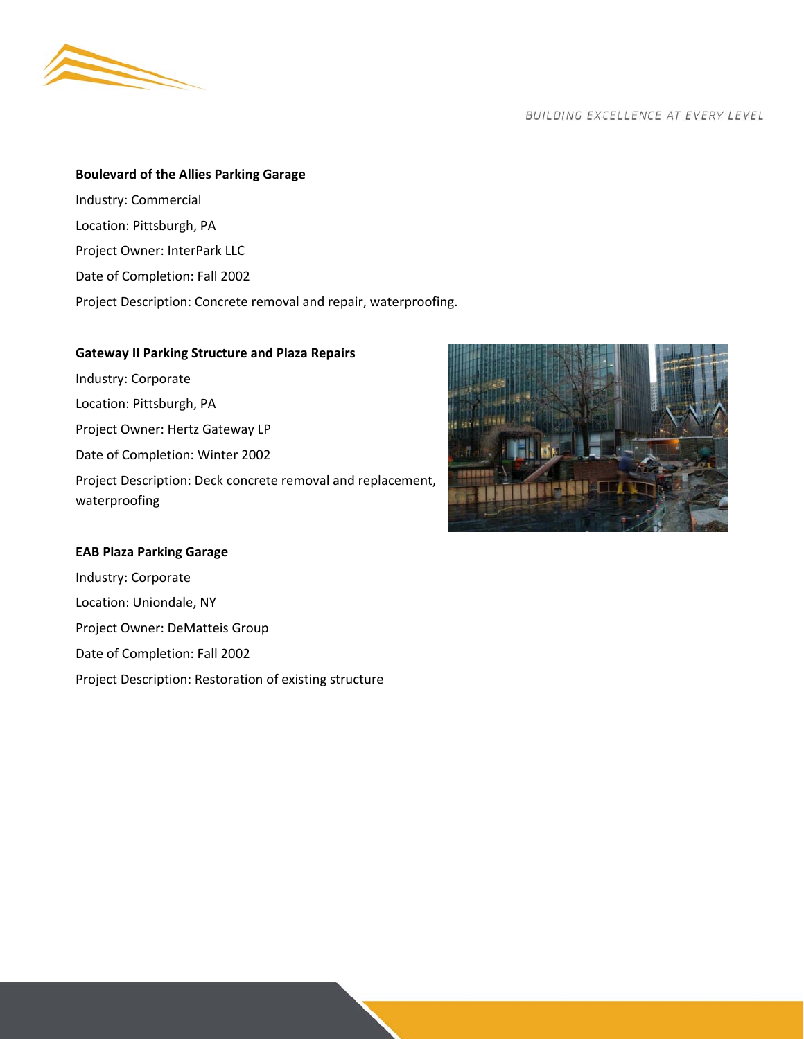

## **Boulevard of the Allies Parking Garage**

- Industry: Commercial
- Location: Pittsburgh, PA
- Project Owner: InterPark LLC
- Date of Completion: Fall 2002
- Project Description: Concrete removal and repair, waterproofing.

## **Gateway II Parking Structure and Plaza Repairs**

Industry: Corporate Location: Pittsburgh, PA Project Owner: Hertz Gateway LP Date of Completion: Winter 2002 Project Description: Deck concrete removal and replacement, waterproofing

## **EAB Plaza Parking Garage**

Industry: Corporate Location: Uniondale, NY Project Owner: DeMatteis Group Date of Completion: Fall 2002 Project Description: Restoration of existing structure

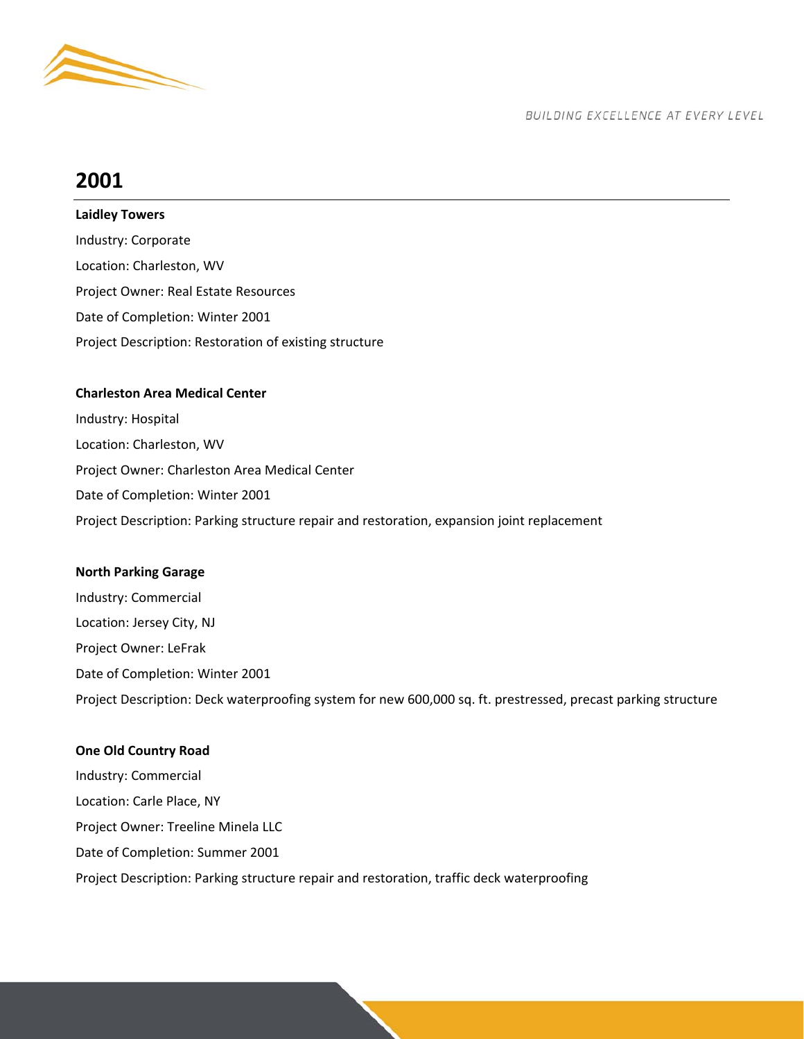

# **2001**

## **Laidley Towers**

Industry: Corporate Location: Charleston, WV Project Owner: Real Estate Resources Date of Completion: Winter 2001 Project Description: Restoration of existing structure

## **Charleston Area Medical Center**

Industry: Hospital Location: Charleston, WV Project Owner: Charleston Area Medical Center Date of Completion: Winter 2001 Project Description: Parking structure repair and restoration, expansion joint replacement

## **North Parking Garage**

Industry: Commercial Location: Jersey City, NJ Project Owner: LeFrak Date of Completion: Winter 2001 Project Description: Deck waterproofing system for new 600,000 sq. ft. prestressed, precast parking structure

## **One Old Country Road**

Industry: Commercial Location: Carle Place, NY Project Owner: Treeline Minela LLC Date of Completion: Summer 2001 Project Description: Parking structure repair and restoration, traffic deck waterproofing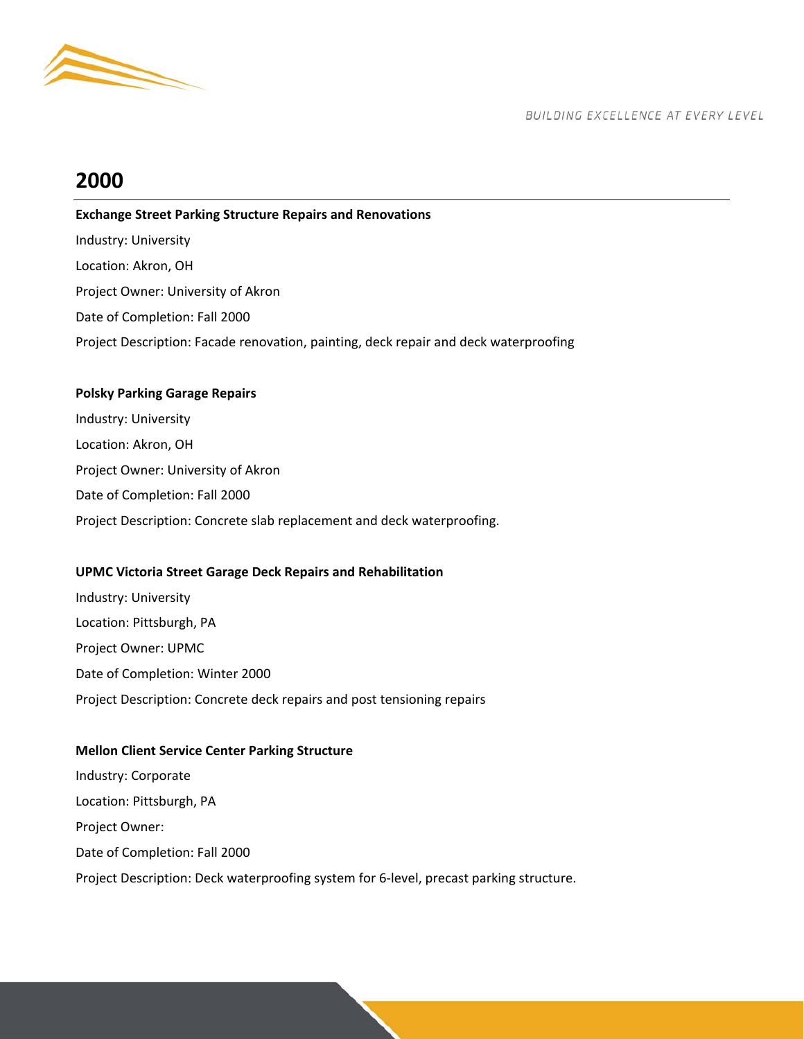

## **2000**

## **Exchange Street Parking Structure Repairs and Renovations**  Industry: University Location: Akron, OH Project Owner: University of Akron Date of Completion: Fall 2000 Project Description: Facade renovation, painting, deck repair and deck waterproofing

## **Polsky Parking Garage Repairs**

Industry: University Location: Akron, OH Project Owner: University of Akron Date of Completion: Fall 2000 Project Description: Concrete slab replacement and deck waterproofing.

## **UPMC Victoria Street Garage Deck Repairs and Rehabilitation**

Industry: University Location: Pittsburgh, PA Project Owner: UPMC Date of Completion: Winter 2000 Project Description: Concrete deck repairs and post tensioning repairs

## **Mellon Client Service Center Parking Structure**

Industry: Corporate Location: Pittsburgh, PA Project Owner: Date of Completion: Fall 2000 Project Description: Deck waterproofing system for 6‐level, precast parking structure.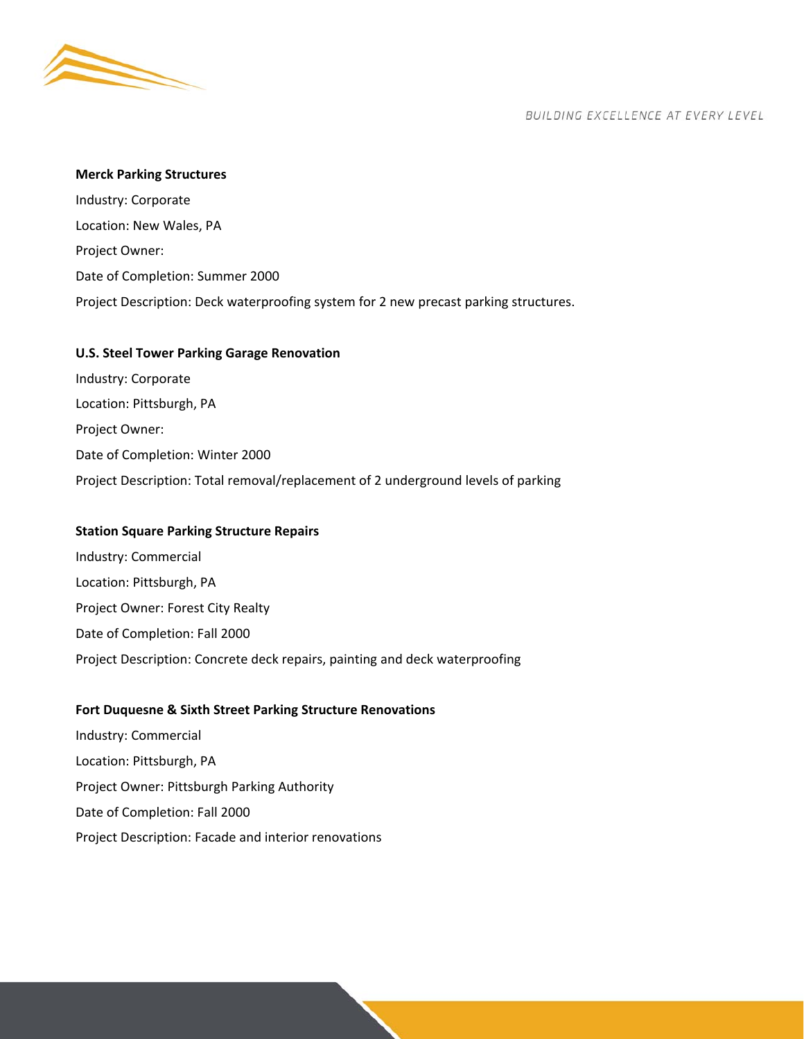

#### **Merck Parking Structures**

Industry: Corporate Location: New Wales, PA Project Owner: Date of Completion: Summer 2000 Project Description: Deck waterproofing system for 2 new precast parking structures.

#### **U.S. Steel Tower Parking Garage Renovation**

Industry: Corporate Location: Pittsburgh, PA Project Owner: Date of Completion: Winter 2000 Project Description: Total removal/replacement of 2 underground levels of parking

#### **Station Square Parking Structure Repairs**

Industry: Commercial Location: Pittsburgh, PA Project Owner: Forest City Realty Date of Completion: Fall 2000 Project Description: Concrete deck repairs, painting and deck waterproofing

#### **Fort Duquesne & Sixth Street Parking Structure Renovations**

Industry: Commercial Location: Pittsburgh, PA Project Owner: Pittsburgh Parking Authority Date of Completion: Fall 2000 Project Description: Facade and interior renovations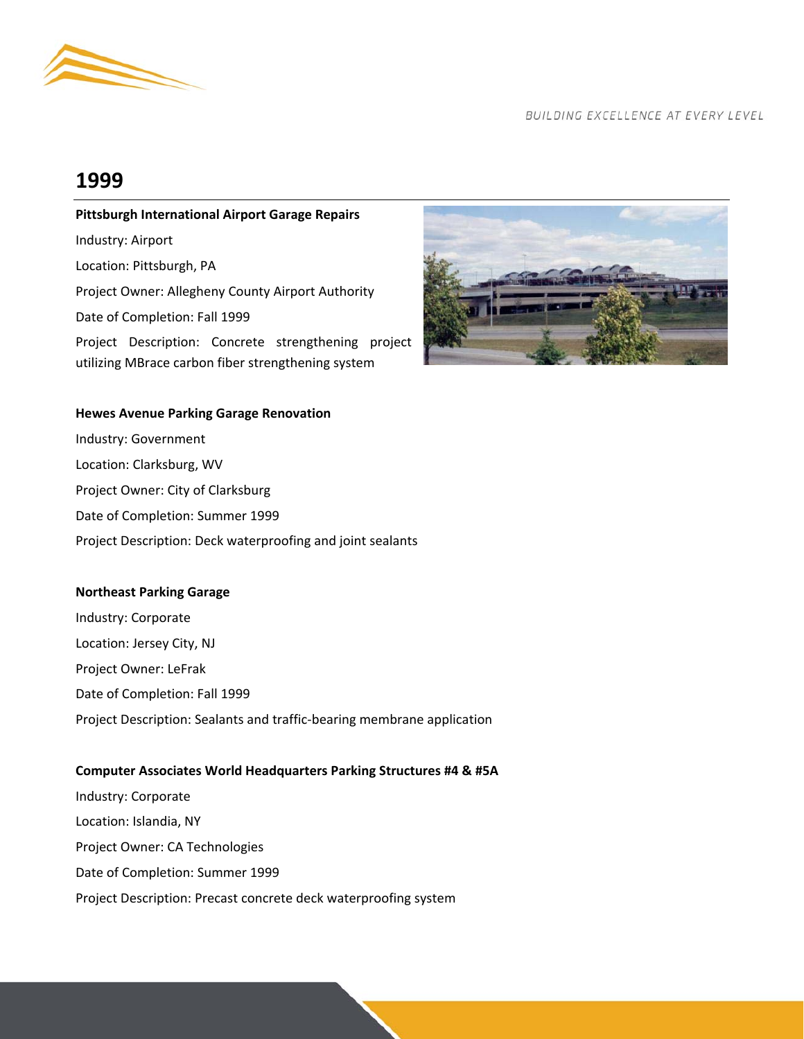

## **1999**

## **Pittsburgh International Airport Garage Repairs**  Industry: Airport Location: Pittsburgh, PA

Project Owner: Allegheny County Airport Authority

Date of Completion: Fall 1999

Project Description: Concrete strengthening project utilizing MBrace carbon fiber strengthening system



#### **Hewes Avenue Parking Garage Renovation**

Industry: Government Location: Clarksburg, WV Project Owner: City of Clarksburg Date of Completion: Summer 1999 Project Description: Deck waterproofing and joint sealants

## **Northeast Parking Garage**

Industry: Corporate Location: Jersey City, NJ Project Owner: LeFrak Date of Completion: Fall 1999 Project Description: Sealants and traffic‐bearing membrane application

## **Computer Associates World Headquarters Parking Structures #4 & #5A**

Industry: Corporate Location: Islandia, NY Project Owner: CA Technologies Date of Completion: Summer 1999 Project Description: Precast concrete deck waterproofing system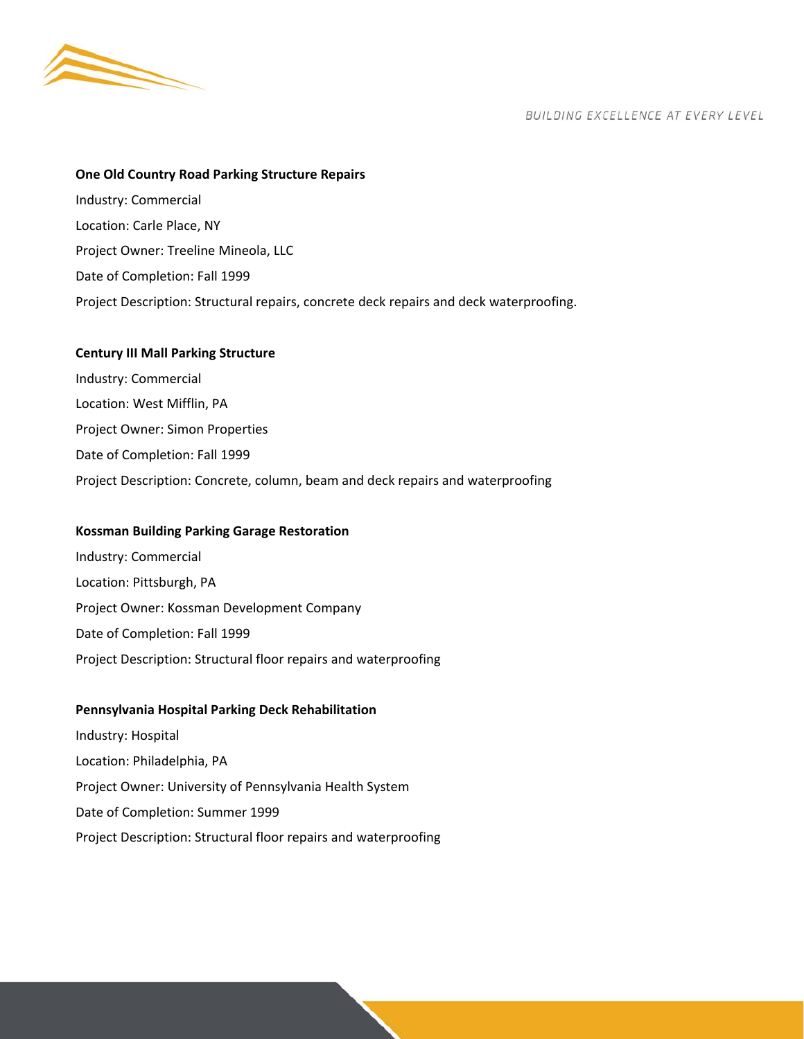

#### **One Old Country Road Parking Structure Repairs**

Industry: Commercial Location: Carle Place, NY Project Owner: Treeline Mineola, LLC Date of Completion: Fall 1999 Project Description: Structural repairs, concrete deck repairs and deck waterproofing.

#### **Century III Mall Parking Structure**

Industry: Commercial Location: West Mifflin, PA Project Owner: Simon Properties Date of Completion: Fall 1999 Project Description: Concrete, column, beam and deck repairs and waterproofing

#### **Kossman Building Parking Garage Restoration**

Industry: Commercial Location: Pittsburgh, PA Project Owner: Kossman Development Company Date of Completion: Fall 1999 Project Description: Structural floor repairs and waterproofing

#### **Pennsylvania Hospital Parking Deck Rehabilitation**

Industry: Hospital Location: Philadelphia, PA Project Owner: University of Pennsylvania Health System Date of Completion: Summer 1999 Project Description: Structural floor repairs and waterproofing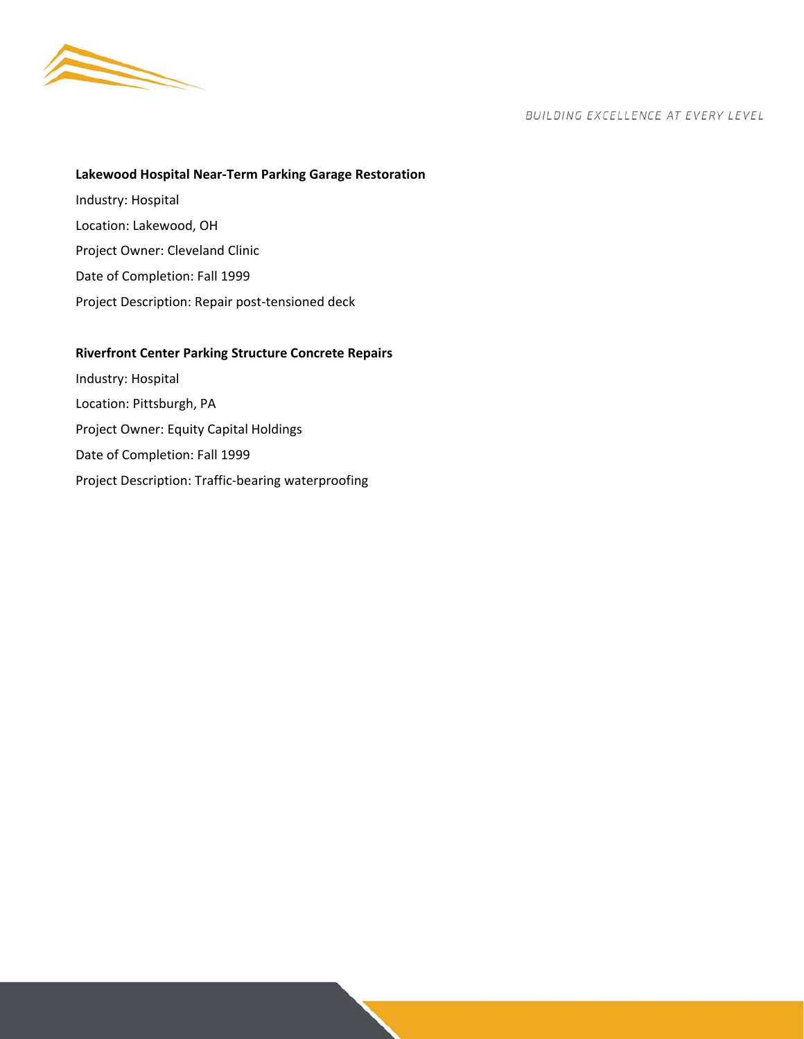

## **Lakewood Hospital Near‐Term Parking Garage Restoration**

Industry: Hospital Location: Lakewood, OH Project Owner: Cleveland Clinic Date of Completion: Fall 1999 Project Description: Repair post‐tensioned deck

## **Riverfront Center Parking Structure Concrete Repairs**

Industry: Hospital Location: Pittsburgh, PA Project Owner: Equity Capital Holdings Date of Completion: Fall 1999 Project Description: Traffic‐bearing waterproofing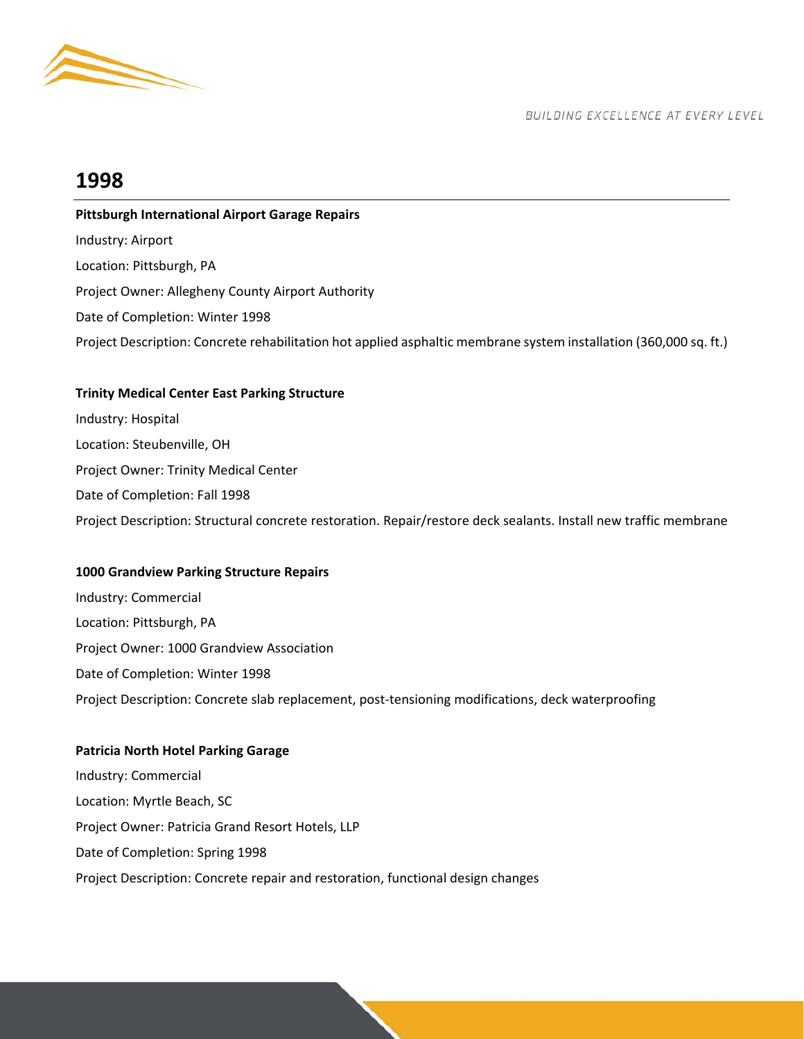

## **1998**

## **Pittsburgh International Airport Garage Repairs**  Industry: Airport Location: Pittsburgh, PA Project Owner: Allegheny County Airport Authority Date of Completion: Winter 1998 Project Description: Concrete rehabilitation hot applied asphaltic membrane system installation (360,000 sq. ft.)

## **Trinity Medical Center East Parking Structure**

Industry: Hospital Location: Steubenville, OH Project Owner: Trinity Medical Center Date of Completion: Fall 1998 Project Description: Structural concrete restoration. Repair/restore deck sealants. Install new traffic membrane

## **1000 Grandview Parking Structure Repairs**

Industry: Commercial Location: Pittsburgh, PA Project Owner: 1000 Grandview Association Date of Completion: Winter 1998 Project Description: Concrete slab replacement, post‐tensioning modifications, deck waterproofing

## **Patricia North Hotel Parking Garage**

Industry: Commercial Location: Myrtle Beach, SC Project Owner: Patricia Grand Resort Hotels, LLP Date of Completion: Spring 1998 Project Description: Concrete repair and restoration, functional design changes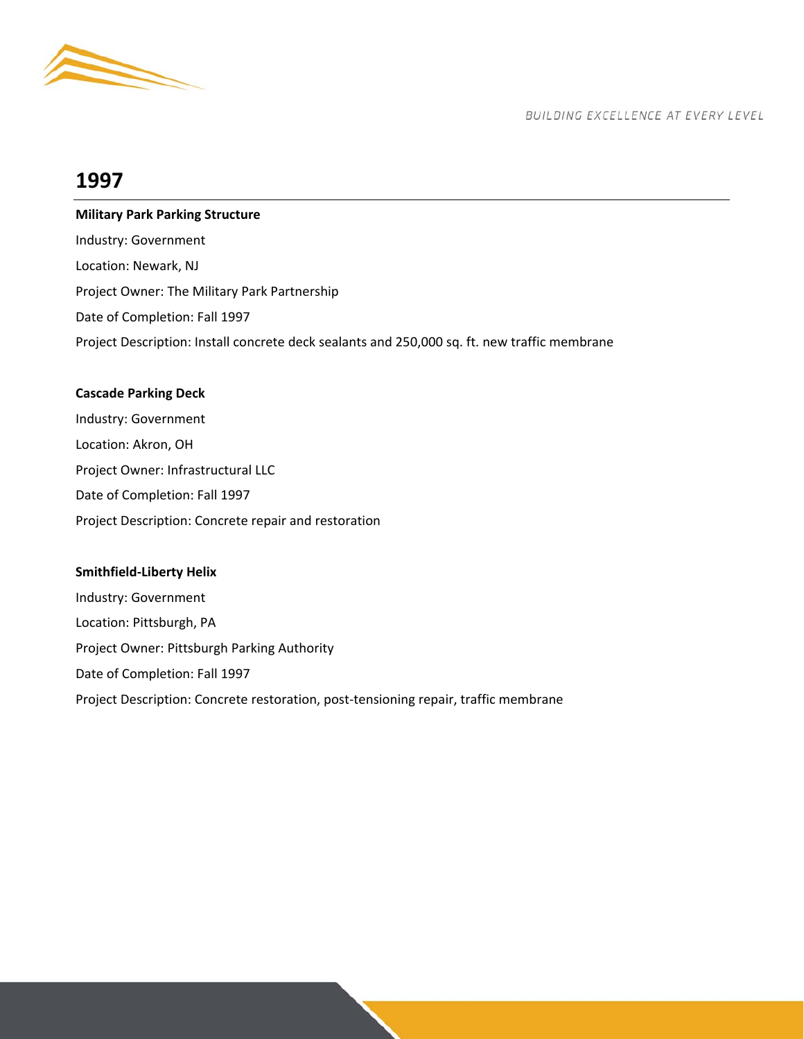

## **1997**

**Military Park Parking Structure**  Industry: Government Location: Newark, NJ Project Owner: The Military Park Partnership Date of Completion: Fall 1997 Project Description: Install concrete deck sealants and 250,000 sq. ft. new traffic membrane

## **Cascade Parking Deck**

Industry: Government Location: Akron, OH Project Owner: Infrastructural LLC Date of Completion: Fall 1997 Project Description: Concrete repair and restoration

## **Smithfield‐Liberty Helix**

Industry: Government Location: Pittsburgh, PA Project Owner: Pittsburgh Parking Authority Date of Completion: Fall 1997 Project Description: Concrete restoration, post-tensioning repair, traffic membrane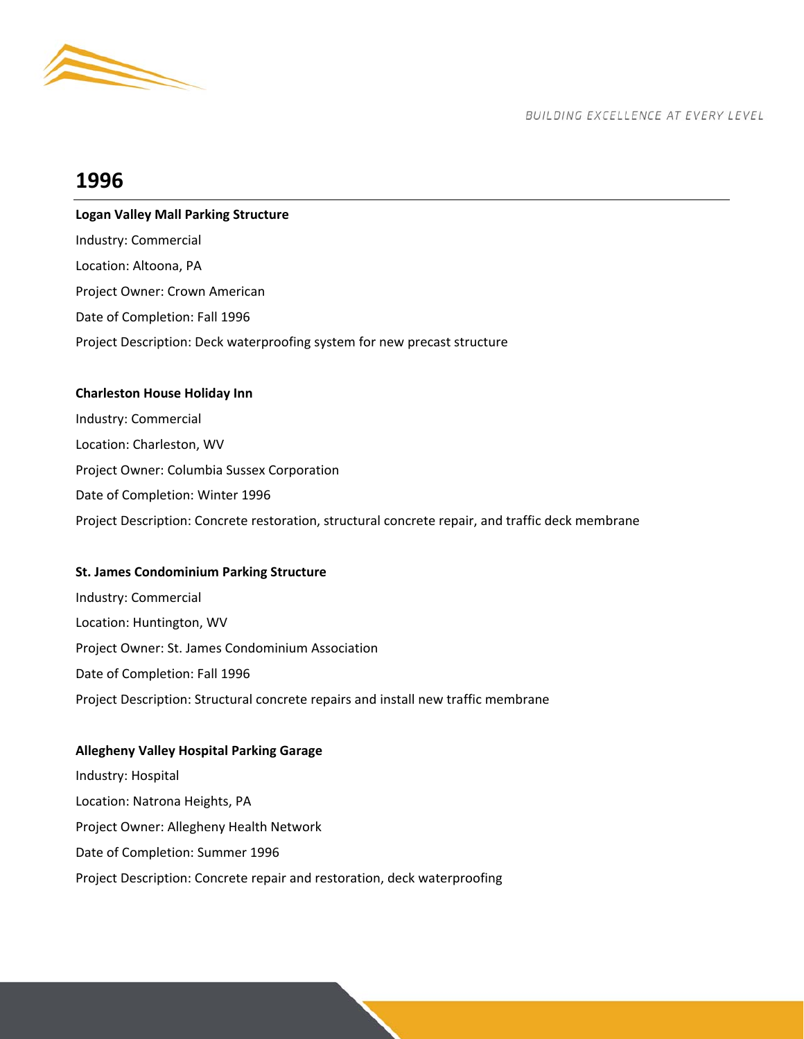

## **1996**

## **Logan Valley Mall Parking Structure**  Industry: Commercial Location: Altoona, PA Project Owner: Crown American Date of Completion: Fall 1996 Project Description: Deck waterproofing system for new precast structure

## **Charleston House Holiday Inn**

Industry: Commercial Location: Charleston, WV Project Owner: Columbia Sussex Corporation Date of Completion: Winter 1996 Project Description: Concrete restoration, structural concrete repair, and traffic deck membrane

## **St. James Condominium Parking Structure**

Industry: Commercial Location: Huntington, WV Project Owner: St. James Condominium Association Date of Completion: Fall 1996 Project Description: Structural concrete repairs and install new traffic membrane

## **Allegheny Valley Hospital Parking Garage**

Industry: Hospital Location: Natrona Heights, PA Project Owner: Allegheny Health Network Date of Completion: Summer 1996 Project Description: Concrete repair and restoration, deck waterproofing